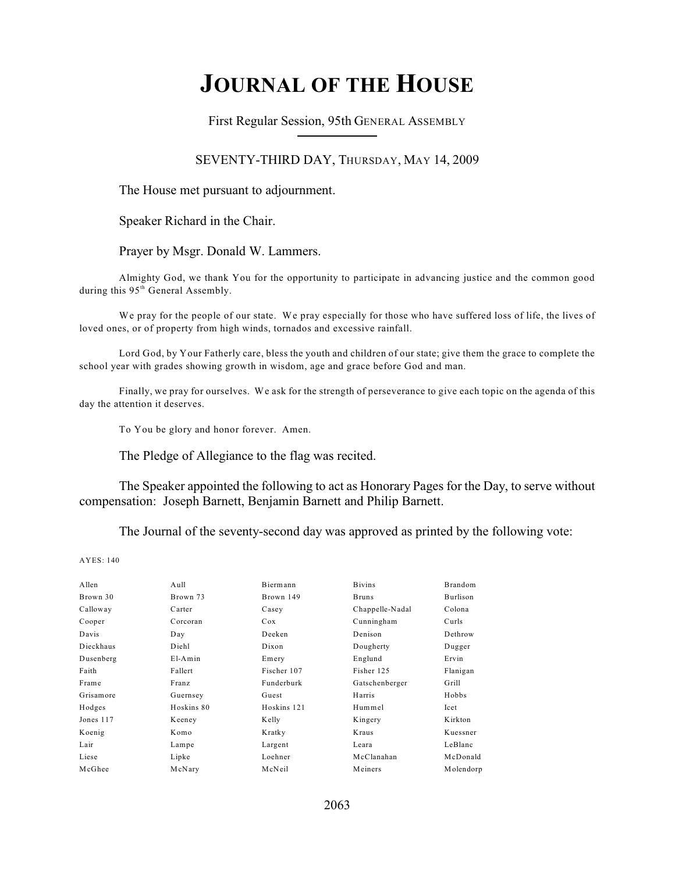# **JOURNAL OF THE HOUSE**

First Regular Session, 95th GENERAL ASSEMBLY

## SEVENTY-THIRD DAY, THURSDAY, MAY 14, 2009

The House met pursuant to adjournment.

Speaker Richard in the Chair.

#### Prayer by Msgr. Donald W. Lammers.

Almighty God, we thank You for the opportunity to participate in advancing justice and the common good during this 95<sup>th</sup> General Assembly.

We pray for the people of our state. We pray especially for those who have suffered loss of life, the lives of loved ones, or of property from high winds, tornados and excessive rainfall.

Lord God, by Your Fatherly care, bless the youth and children of our state; give them the grace to complete the school year with grades showing growth in wisdom, age and grace before God and man.

Finally, we pray for ourselves. We ask for the strength of perseverance to give each topic on the agenda of this day the attention it deserves.

To You be glory and honor forever. Amen.

The Pledge of Allegiance to the flag was recited.

The Speaker appointed the following to act as Honorary Pages for the Day, to serve without compensation: Joseph Barnett, Benjamin Barnett and Philip Barnett.

The Journal of the seventy-second day was approved as printed by the following vote:

| Allen     | Aull       | Biermann    | <b>Bivins</b>   | Brandom   |
|-----------|------------|-------------|-----------------|-----------|
| Brown 30  | Brown 73   | Brown 149   | <b>Bruns</b>    | Burlison  |
| Calloway  | Carter     | Casey       | Chappelle-Nadal | Colona    |
| Cooper    | Corcoran   | Cox         | Cunningham      | Curls     |
| Davis     | Day        | Deeken      | Denison         | Dethrow   |
| Dieckhaus | Diehl      | Dixon       | Dougherty       | Dugger    |
| Dusenberg | $E1-Amin$  | Emery       | Englund         | Ervin     |
| Faith     | Fallert    | Fischer 107 | Fisher 125      | Flanigan  |
| Frame     | Franz      | Funderburk  | Gatschenberger  | Grill     |
| Grisamore | Guernsey   | Guest       | Harris          | Hobbs     |
| Hodges    | Hoskins 80 | Hoskins 121 | Hummel          | Icet      |
| Jones 117 | Keeney     | Kelly       | Kingery         | Kirkton   |
| Koenig    | Komo       | Kratky      | Kraus           | Kuessner  |
| Lair      | Lampe      | Largent     | Leara           | LeBlanc   |
| Liese     | Lipke      | Loehner     | McClanahan      | McDonald  |
| McGhee    | McNary     | McNeil      | Meiners         | Molendorp |
|           |            |             |                 |           |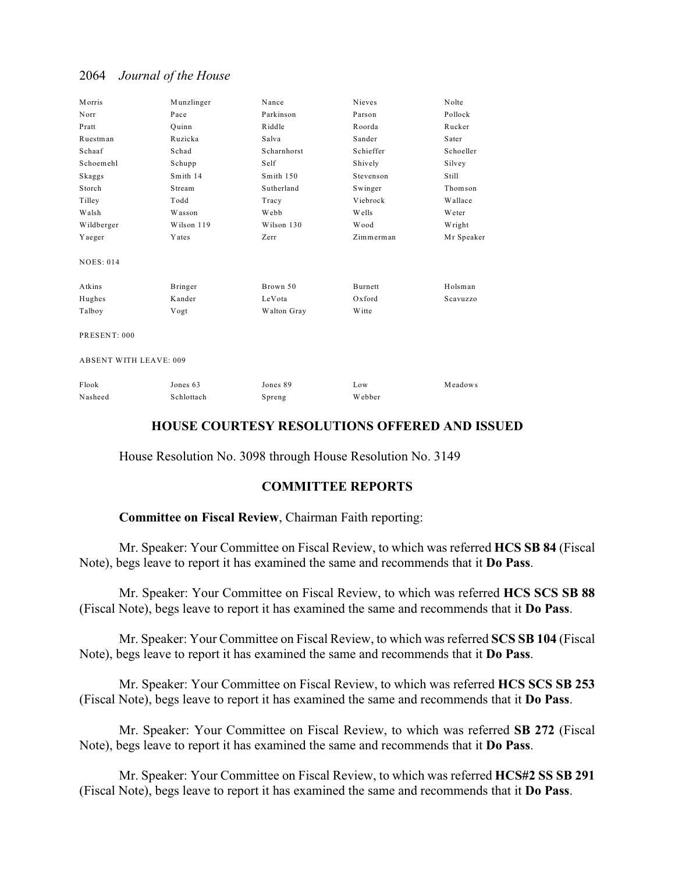| Morris                        | Munzlinger | Nance       | Nieves         | Nolte      |
|-------------------------------|------------|-------------|----------------|------------|
| Norr                          | Pace       | Parkinson   | Parson         | Pollock    |
| Pratt                         | Quinn      | Riddle      | Roorda         | Rucker     |
| Ruestman                      | Ruzicka    | Salva       | Sander         | Sater      |
| Schaaf                        | Schad      | Scharnhorst | Schieffer      | Schoeller  |
| Schoemehl                     | Schupp     | Self        | Shively        | Silvey     |
| Skaggs                        | Smith 14   | Smith 150   | Stevenson      | Still      |
| Storch                        | Stream     | Sutherland  | Swinger        | Thomson    |
| Tilley                        | Todd       | Tracy       | Viebrock       | Wallace    |
| Walsh                         | Wasson     | Webb        | Wells          | Weter      |
| Wildberger                    | Wilson 119 | Wilson 130  | Wood           | Wright     |
| Yaeger                        | Yates      | Zerr        | Zimmerman      | Mr Speaker |
| <b>NOES: 014</b>              |            |             |                |            |
| Atkins                        | Bringer    | Brown 50    | <b>Burnett</b> | Holsman    |
| Hughes                        | Kander     | LeVota      | Oxford         | Scavuzzo   |
| Talboy                        | Vogt       | Walton Gray | Witte          |            |
| PRESENT: 000                  |            |             |                |            |
| <b>ABSENT WITH LEAVE: 009</b> |            |             |                |            |
| Flook                         | Jones 63   | Jones 89    | Low            | Meadows    |
| Nasheed                       | Schlottach | Spreng      | Webber         |            |

## **HOUSE COURTESY RESOLUTIONS OFFERED AND ISSUED**

House Resolution No. 3098 through House Resolution No. 3149

## **COMMITTEE REPORTS**

### **Committee on Fiscal Review**, Chairman Faith reporting:

Mr. Speaker: Your Committee on Fiscal Review, to which was referred **HCS SB 84** (Fiscal Note), begs leave to report it has examined the same and recommends that it **Do Pass**.

Mr. Speaker: Your Committee on Fiscal Review, to which was referred **HCS SCS SB 88** (Fiscal Note), begs leave to report it has examined the same and recommends that it **Do Pass**.

Mr. Speaker: Your Committee on Fiscal Review, to which was referred **SCS SB 104** (Fiscal Note), begs leave to report it has examined the same and recommends that it **Do Pass**.

Mr. Speaker: Your Committee on Fiscal Review, to which was referred **HCS SCS SB 253** (Fiscal Note), begs leave to report it has examined the same and recommends that it **Do Pass**.

Mr. Speaker: Your Committee on Fiscal Review, to which was referred **SB 272** (Fiscal Note), begs leave to report it has examined the same and recommends that it **Do Pass**.

Mr. Speaker: Your Committee on Fiscal Review, to which was referred **HCS#2 SS SB 291** (Fiscal Note), begs leave to report it has examined the same and recommends that it **Do Pass**.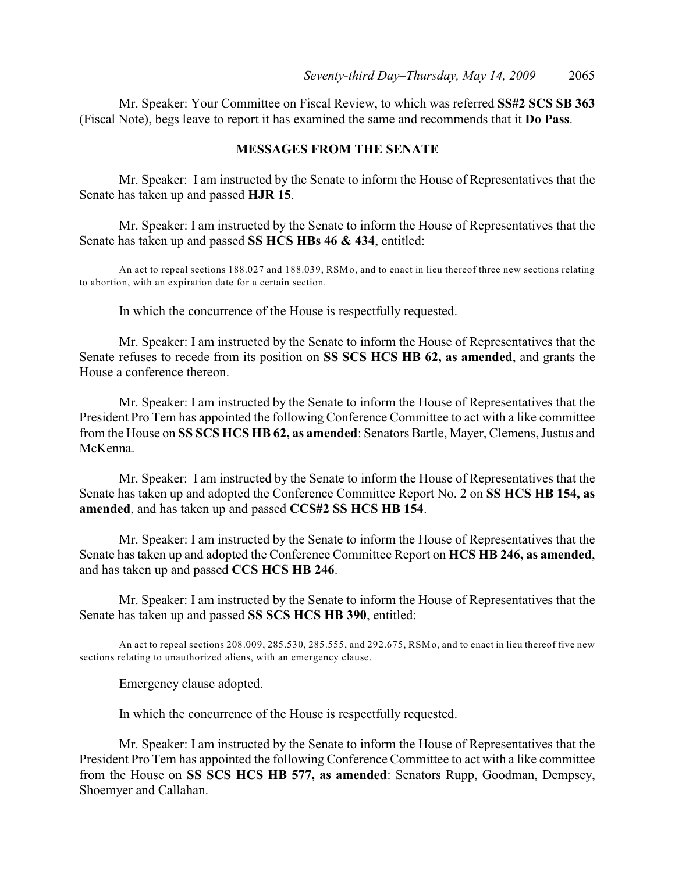Mr. Speaker: Your Committee on Fiscal Review, to which was referred **SS#2 SCS SB 363** (Fiscal Note), begs leave to report it has examined the same and recommends that it **Do Pass**.

### **MESSAGES FROM THE SENATE**

Mr. Speaker: I am instructed by the Senate to inform the House of Representatives that the Senate has taken up and passed **HJR 15**.

Mr. Speaker: I am instructed by the Senate to inform the House of Representatives that the Senate has taken up and passed **SS HCS HBs 46 & 434**, entitled:

An act to repeal sections 188.027 and 188.039, RSMo, and to enact in lieu thereof three new sections relating to abortion, with an expiration date for a certain section.

In which the concurrence of the House is respectfully requested.

Mr. Speaker: I am instructed by the Senate to inform the House of Representatives that the Senate refuses to recede from its position on **SS SCS HCS HB 62, as amended**, and grants the House a conference thereon.

Mr. Speaker: I am instructed by the Senate to inform the House of Representatives that the President Pro Tem has appointed the following Conference Committee to act with a like committee from the House on **SS SCS HCS HB 62, as amended**: Senators Bartle, Mayer, Clemens, Justus and McKenna.

Mr. Speaker: I am instructed by the Senate to inform the House of Representatives that the Senate has taken up and adopted the Conference Committee Report No. 2 on **SS HCS HB 154, as amended**, and has taken up and passed **CCS#2 SS HCS HB 154**.

Mr. Speaker: I am instructed by the Senate to inform the House of Representatives that the Senate has taken up and adopted the Conference Committee Report on **HCS HB 246, as amended**, and has taken up and passed **CCS HCS HB 246**.

Mr. Speaker: I am instructed by the Senate to inform the House of Representatives that the Senate has taken up and passed **SS SCS HCS HB 390**, entitled:

An act to repeal sections 208.009, 285.530, 285.555, and 292.675, RSMo, and to enact in lieu thereof five new sections relating to unauthorized aliens, with an emergency clause.

Emergency clause adopted.

In which the concurrence of the House is respectfully requested.

Mr. Speaker: I am instructed by the Senate to inform the House of Representatives that the President Pro Tem has appointed the following Conference Committee to act with a like committee from the House on **SS SCS HCS HB 577, as amended**: Senators Rupp, Goodman, Dempsey, Shoemyer and Callahan.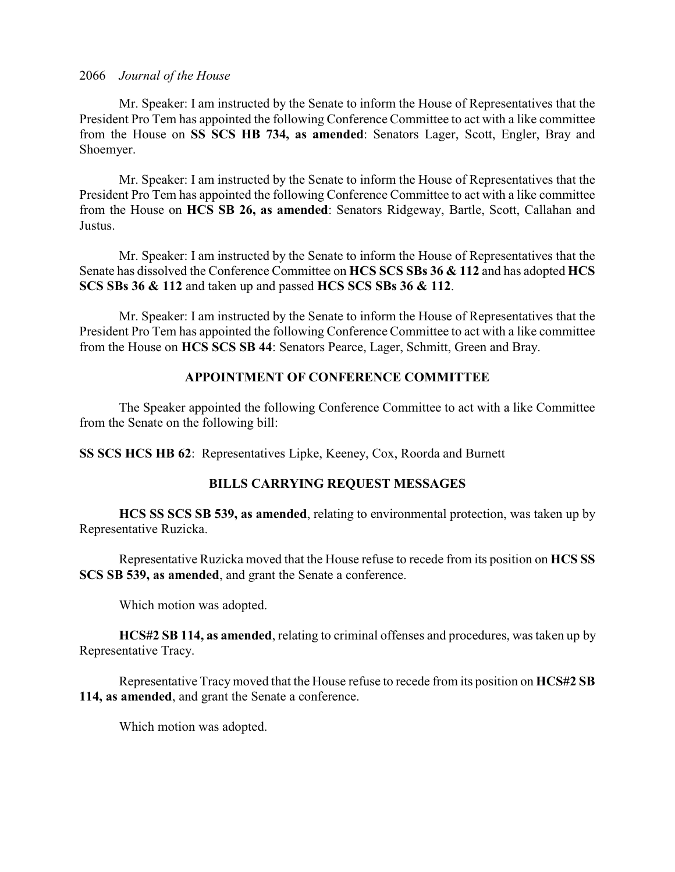Mr. Speaker: I am instructed by the Senate to inform the House of Representatives that the President Pro Tem has appointed the following Conference Committee to act with a like committee from the House on **SS SCS HB 734, as amended**: Senators Lager, Scott, Engler, Bray and Shoemyer.

Mr. Speaker: I am instructed by the Senate to inform the House of Representatives that the President Pro Tem has appointed the following Conference Committee to act with a like committee from the House on **HCS SB 26, as amended**: Senators Ridgeway, Bartle, Scott, Callahan and Justus.

Mr. Speaker: I am instructed by the Senate to inform the House of Representatives that the Senate has dissolved the Conference Committee on **HCS SCS SBs 36 & 112** and has adopted **HCS SCS SBs 36 & 112** and taken up and passed **HCS SCS SBs 36 & 112**.

Mr. Speaker: I am instructed by the Senate to inform the House of Representatives that the President Pro Tem has appointed the following Conference Committee to act with a like committee from the House on **HCS SCS SB 44**: Senators Pearce, Lager, Schmitt, Green and Bray.

## **APPOINTMENT OF CONFERENCE COMMITTEE**

The Speaker appointed the following Conference Committee to act with a like Committee from the Senate on the following bill:

**SS SCS HCS HB 62**: Representatives Lipke, Keeney, Cox, Roorda and Burnett

## **BILLS CARRYING REQUEST MESSAGES**

**HCS SS SCS SB 539, as amended**, relating to environmental protection, was taken up by Representative Ruzicka.

Representative Ruzicka moved that the House refuse to recede from its position on **HCS SS SCS SB 539, as amended**, and grant the Senate a conference.

Which motion was adopted.

**HCS#2 SB 114, as amended**, relating to criminal offenses and procedures, was taken up by Representative Tracy.

Representative Tracy moved that the House refuse to recede from its position on **HCS#2 SB 114, as amended**, and grant the Senate a conference.

Which motion was adopted.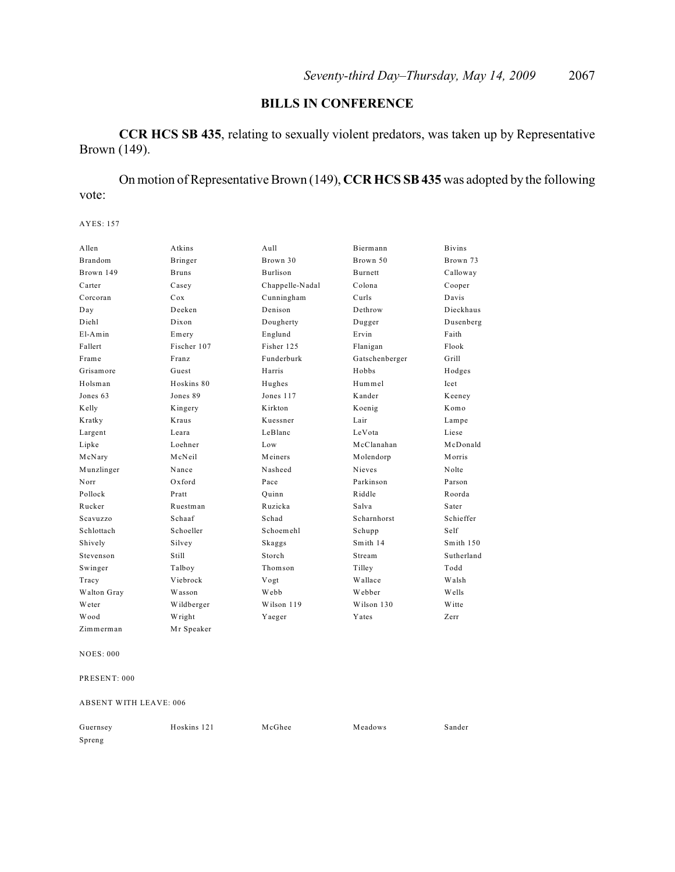## **BILLS IN CONFERENCE**

**CCR HCS SB 435**, relating to sexually violent predators, was taken up by Representative Brown (149).

On motion of Representative Brown (149), **CCR HCS SB 435** was adopted by the following vote:

AYES: 157

| Allen          | Atkins       | $A$ ull         | Biermann       | <b>Bivins</b> |
|----------------|--------------|-----------------|----------------|---------------|
| <b>Brandom</b> | Bringer      | Brown 30        | Brown 50       | Brown 73      |
| Brown 149      | <b>Bruns</b> | <b>Burlison</b> | <b>Burnett</b> | Calloway      |
| Carter         | Casey        | Chappelle-Nadal | Colona         | Cooper        |
| Corcoran       | Cox          | Cunningham      | Curls          | Davis         |
| Day            | Deeken       | Denison         | Dethrow        | Dieckhaus     |
| Diehl          | Dixon        | Dougherty       | Dugger         | Dusenberg     |
| $E1-Amin$      | Emery        | Englund         | Ervin          | Faith         |
| Fallert        | Fischer 107  | Fisher 125      | Flanigan       | Flook         |
| Frame          | Franz        | Funderburk      | Gatschenberger | Grill         |
| Grisamore      | Guest        | Harris          | Hobbs          | Hodges        |
| Holsman        | Hoskins 80   | Hughes          | Hummel         | Icet          |
| Jones 63       | Jones 89     | Jones 117       | Kander         | Keeney        |
| Kelly          | Kingery      | Kirkton         | Koenig         | Komo          |
| Kratky         | <b>Kraus</b> | Kuessner        | Lair           | Lampe         |
| Largent        | Leara        | LeBlanc         | LeVota         | Liese         |
| Lipke          | Loehner      | Low             | McClanahan     | McDonald      |
| McNary         | McNeil       | Meiners         | Molendorp      | Morris        |
| Munzlinger     | Nance        | Nasheed         | Nieves         | Nolte         |
| Norr           | $Ox$ ford    | Pace            | Parkinson      | Parson        |
| Pollock        | Pratt        | Ouinn           | Riddle         | Roorda        |
| Rucker         | Ruestman     | Ruzicka         | Salva          | Sater         |
| Scavuzzo       | Schaaf       | Schad           | Scharnhorst    | Schieffer     |
| Schlottach     | Schoeller    | Schoemehl       | Schupp         | Self          |
| Shively        | Silvey       | Skaggs          | Smith 14       | Smith 150     |
| Stevenson      | Still        | Storch          | Stream         | Sutherland    |
| Swinger        | Talboy       | Thomson         | Tilley         | Todd          |
| Tracy          | Viebrock     | Vogt            | Wallace        | Walsh         |
| Walton Gray    | Wasson       | Webb            | Webber         | Wells         |
| Weter          | Wildberger   | Wilson 119      | Wilson 130     | W itte        |
| Wood           | Wright       | Yaeger          | Yates          | Zerr          |
| Zimmerman      | Mr Speaker   |                 |                |               |

NOES: 000

PRESENT: 000

ABSENT WITH LEAVE: 006

| Guernsey | Hoskins 121 | McGhee | Meadows | Sander |
|----------|-------------|--------|---------|--------|
| Spreng   |             |        |         |        |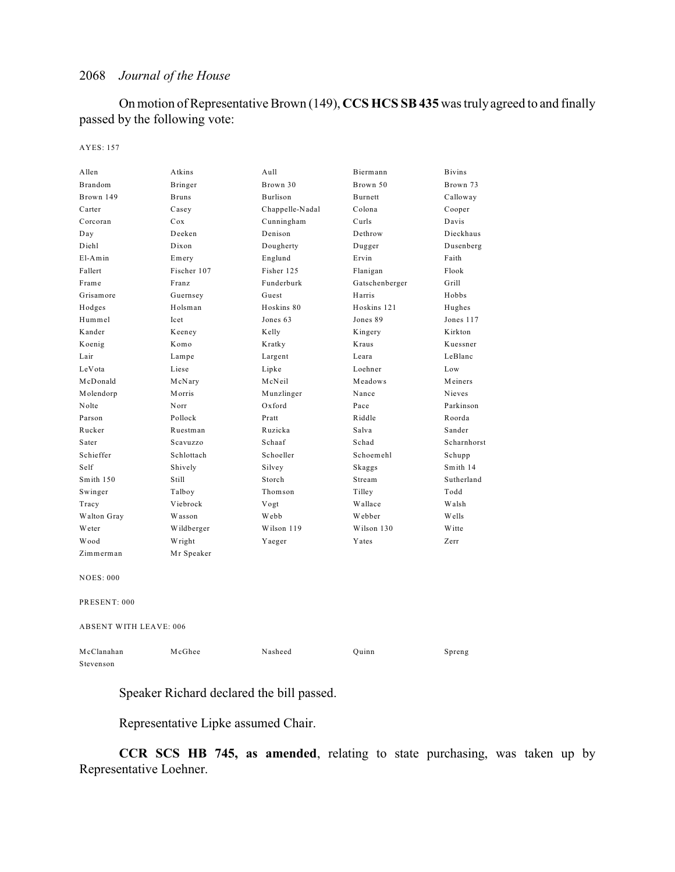On motion of Representative Brown (149), **CCS HCS SB 435** was truly agreed to and finally passed by the following vote:

#### AYES: 157

| Allen                         | Atkins       | Aull            | Biermann       | <b>Bivins</b> |
|-------------------------------|--------------|-----------------|----------------|---------------|
| <b>Brandom</b>                | Bringer      | Brown 30        | Brown 50       | Brown 73      |
| Brown 149                     | <b>Bruns</b> | Burlison        | Burnett        | Calloway      |
| Carter                        | Casey        | Chappelle-Nadal | Colona         | Cooper        |
| Corcoran                      | Cox          | Cunningham      | Curls          | Davis         |
| Day                           | Deeken       | Denison         | Dethrow        | Dieckhaus     |
| Diehl                         | Dixon        | Dougherty       | Dugger         | Dusenberg     |
| $E1-Amin$                     | Emery        | Englund         | Ervin          | Faith         |
| Fallert                       | Fischer 107  | Fisher 125      | Flanigan       | Flook         |
| Frame                         | Franz        | Funderburk      | Gatschenberger | Grill         |
| Grisamore                     | Guernsey     | Guest           | Harris         | Hobbs         |
| Hodges                        | Holsman      | Hoskins 80      | Hoskins 121    | Hughes        |
| Hummel                        | Icet         | Jones 63        | Jones 89       | Jones 117     |
| Kander                        | Keeney       | Kelly           | Kingery        | Kirkton       |
| Koenig                        | Komo         | Kratky          | Kraus          | Kuessner      |
| Lair                          | Lampe        | Largent         | Leara          | LeBlanc       |
| LeVota                        | Liese        | Lipke           | Loehner        | Low           |
| McDonald                      | McNary       | McNeil          | Meadows        | Meiners       |
| Molendorp                     | Morris       | Munzlinger      | Nance          | Nieves        |
| Nolte                         | Norr         | Oxford          | Pace           | Parkinson     |
| Parson                        | Pollock      | Pratt           | Riddle         | Roorda        |
| Rucker                        | Ruestman     | Ruzicka         | Salva          | Sander        |
| Sater                         | Scavuzzo     | Schaaf          | Schad          | Scharnhorst   |
| Schieffer                     | Schlottach   | Schoeller       | Schoemehl      | Schupp        |
| Self                          | Shively      | Silvey          | Skaggs         | Smith 14      |
| Smith 150                     | Still        | Storch          | Stream         | Sutherland    |
| Swinger                       | Talboy       | Thomson         | Tilley         | Todd          |
| Tracy                         | Viebrock     | Vogt            | Wallace        | Walsh         |
| Walton Gray                   | Wasson       | Webb            | Webber         | Wells         |
| Weter                         | Wildberger   | Wilson 119      | Wilson 130     | <b>W</b> itte |
| Wood                          | Wright       | Yaeger          | Yates          | Zerr          |
| Zimmerman                     | Mr Speaker   |                 |                |               |
| <b>NOES: 000</b>              |              |                 |                |               |
| PRESENT: 000                  |              |                 |                |               |
| <b>ABSENT WITH LEAVE: 006</b> |              |                 |                |               |
| McClanahan                    | McGhee       | Nasheed         | Quinn          | Spreng        |
| Stevenson                     |              |                 |                |               |

Speaker Richard declared the bill passed.

Representative Lipke assumed Chair.

**CCR SCS HB 745, as amended**, relating to state purchasing, was taken up by Representative Loehner.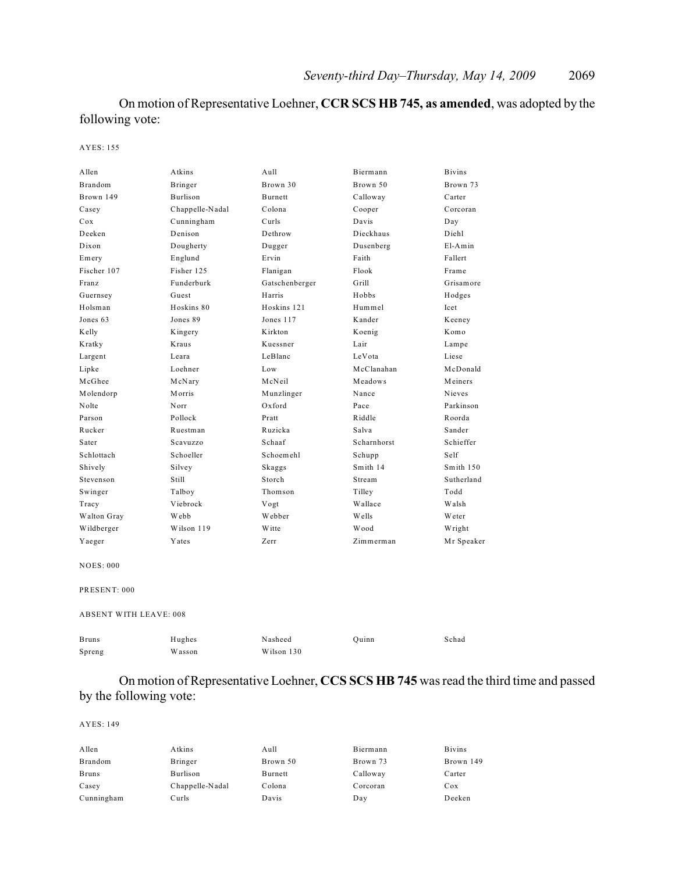## On motion of Representative Loehner, **CCR SCS HB 745, as amended**, was adopted by the following vote:

#### AYES: 155

| Allen                         | Atkins          | Aull           | Biermann    | <b>Bivins</b> |
|-------------------------------|-----------------|----------------|-------------|---------------|
| Brandom                       | Bringer         | Brown 30       | Brown 50    | Brown 73      |
| Brown 149                     | Burlison        | <b>Burnett</b> | Calloway    | Carter        |
| Casey                         | Chappelle-Nadal | Colona         | Cooper      | Corcoran      |
| Cox                           | Cunningham      | Curls          | Davis       | Day           |
| Deeken                        | Denison         | Dethrow        | Dieckhaus   | Diehl         |
| Dixon                         | Dougherty       | Dugger         | Dusenberg   | $E1-Amin$     |
| Emery                         | Englund         | Ervin          | Faith       | Fallert       |
| Fischer 107                   | Fisher 125      | Flanigan       | Flook       | Frame         |
| Franz                         | Funderburk      | Gatschenberger | Grill       | Grisamore     |
| Guernsey                      | Guest           | Harris         | Hobbs       | Hodges        |
| Holsman                       | Hoskins 80      | Hoskins 121    | Hummel      | Icet          |
| Jones 63                      | Jones 89        | Jones 117      | Kander      | Keeney        |
| Kelly                         | Kingery         | Kirkton        | Koenig      | Komo          |
| Kratky                        | Kraus           | Kuessner       | Lair        | Lampe         |
| Largent                       | Leara           | LeBlanc        | LeVota      | Liese         |
| Lipke                         | Loehner         | Low            | McClanahan  | McDonald      |
| McGhee                        | McNary          | McNeil         | Meadows     | Meiners       |
| Molendorp                     | Morris          | Munzlinger     | Nance       | Nieves        |
| Nolte                         | Norr            | Oxford         | Pace        | Parkinson     |
| Parson                        | Pollock         | Pratt          | Riddle      | Roorda        |
| Rucker                        | Ruestman        | Ruzicka        | Salva       | Sander        |
| Sater                         | Scavuzzo        | Schaaf         | Scharnhorst | Schieffer     |
| Schlottach                    | Schoeller       | Schoemehl      | Schupp      | Self          |
| Shively                       | Silvey          | Skaggs         | Smith 14    | Smith 150     |
| Stevenson                     | Still           | Storch         | Stream      | Sutherland    |
| Swinger                       | Talboy          | Thomson        | Tilley      | Todd          |
| Tracy                         | Viebrock        | Vogt           | Wallace     | Walsh         |
| Walton Gray                   | Webb            | Webber         | W ells      | W eter        |
| Wildberger                    | Wilson 119      | <b>W</b> itte  | Wood        | Wright        |
| Yaeger                        | Yates           | Zerr           | Zimmerman   | Mr Speaker    |
| <b>NOES: 000</b>              |                 |                |             |               |
| PRESENT: 000                  |                 |                |             |               |
| <b>ABSENT WITH LEAVE: 008</b> |                 |                |             |               |

Bruns Hughes Nasheed Quinn Schad Spreng Wasson Wilson 130

## On motion of Representative Loehner, **CCS SCS HB 745** was read the third time and passed by the following vote:

| Allen        | Atkins          | Aull     | Biermann | <b>Bivins</b> |
|--------------|-----------------|----------|----------|---------------|
| Brandom      | Bringer         | Brown 50 | Brown 73 | Brown 149     |
| <b>Bruns</b> | Burlison        | Burnett  | Calloway | Carter        |
| Casey        | Chappelle-Nadal | Colona   | Corcoran | Cox           |
| Cunningham   | Curls           | Davis    | Day      | Deeken        |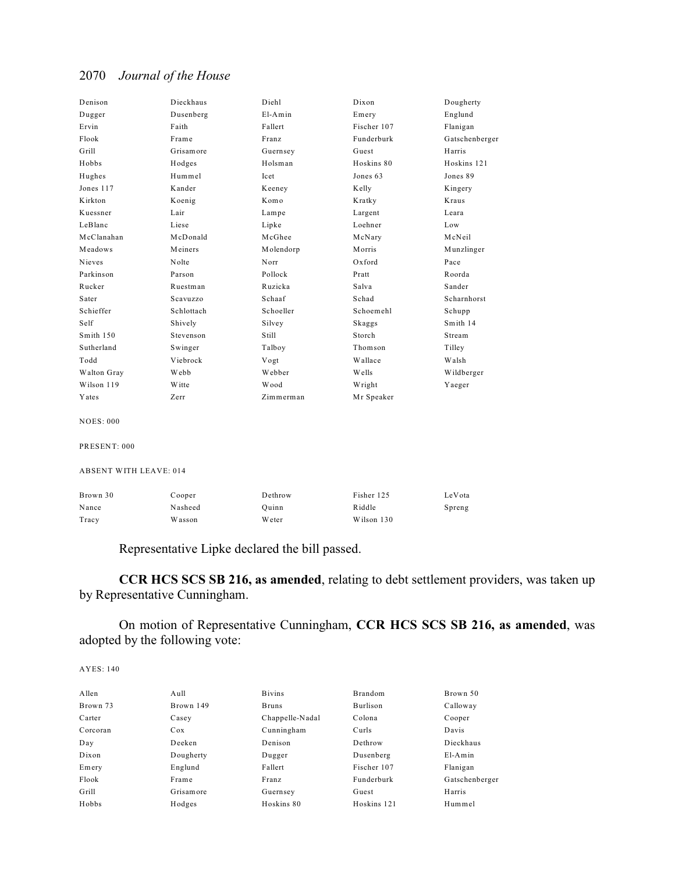| Denison                       | Dieckhaus  | Diehl       | Dixon       | Dougherty      |
|-------------------------------|------------|-------------|-------------|----------------|
| Dugger                        | Dusenberg  | El-Amin     | Emery       | Englund        |
| Ervin                         | Faith      | Fallert     | Fischer 107 | Flanigan       |
| Flook                         | Frame      | Franz       | Funderburk  | Gatschenberger |
| Grill                         | Grisamore  | Guernsey    | Guest       | Harris         |
| Hobbs                         | Hodges     | Holsman     | Hoskins 80  | Hoskins 121    |
| Hughes                        | Hummel     | <b>Icet</b> | Jones 63    | Jones 89       |
| Jones 117                     | Kander     | Keeney      | Kelly       | Kingery        |
| Kirkton                       | Koenig     | Komo        | Kratky      | Kraus          |
| Kuessner                      | Lair       | Lampe       | Largent     | Leara          |
| LeBlanc                       | Liese      | Lipke       | Loehner     | Low            |
| McClanahan                    | McDonald   | McGhee      | McNary      | McNeil         |
| Meadows                       | Meiners    | Molendorp   | Morris      | Munzlinger     |
| Nieves                        | Nolte      | Norr        | $Ox$ ford   | Pace           |
| Parkinson                     | Parson     | Pollock     | Pratt       | Roorda         |
| Rucker                        | Ruestman   | Ruzicka     | Salva       | Sander         |
| Sater                         | Scavuzzo   | Schaaf      | Schad       | Scharnhorst    |
| Schieffer                     | Schlottach | Schoeller   | Schoemehl   | Schupp         |
| Self                          | Shively    | Silvey      | Skaggs      | Smith 14       |
| Smith 150                     | Stevenson  | Still       | Storch      | Stream         |
| Sutherland                    | Swinger    | Talboy      | Thomson     | Tilley         |
| Todd                          | Viebrock   | Vogt        | Wallace     | Walsh          |
| Walton Gray                   | Webb       | Webber      | Wells       | Wildberger     |
| Wilson 119                    | Witte      | Wood        | Wright      | Yaeger         |
| Yates                         | Zerr       | Zimmerman   | Mr Speaker  |                |
| <b>NOES: 000</b>              |            |             |             |                |
| PRESENT: 000                  |            |             |             |                |
| <b>ABSENT WITH LEAVE: 014</b> |            |             |             |                |
| Brown 30                      | Cooper     | Dethrow     | Fisher 125  | LeVota         |
| Nance                         | Nasheed    | Quinn       | Riddle      | Spreng         |
| Tracy                         | Wasson     | Weter       | Wilson 130  |                |
|                               |            |             |             |                |

Representative Lipke declared the bill passed.

**CCR HCS SCS SB 216, as amended**, relating to debt settlement providers, was taken up by Representative Cunningham.

On motion of Representative Cunningham, **CCR HCS SCS SB 216, as amended**, was adopted by the following vote:

| Allen    | Aull      | <b>B</b> ivins  | <b>Brandom</b> | Brown 50       |
|----------|-----------|-----------------|----------------|----------------|
| Brown 73 | Brown 149 | <b>Bruns</b>    | Burlison       | Calloway       |
| Carter   | Casey     | Chappelle-Nadal | Colona         | Cooper         |
| Corcoran | Cox       | Cunningham      | Curls          | Davis          |
| Day      | Deeken    | Denison         | Dethrow        | Dieckhaus      |
| Dixon    | Dougherty | Dugger          | Dusenberg      | $E1-Amin$      |
| Emery    | Englund   | Fallert         | Fischer 107    | Flanigan       |
| Flook    | Frame     | Franz           | Funderburk     | Gatschenberger |
| Grill    | Grisamore | Guernsey        | Guest          | Harris         |
| Hobbs    | Hodges    | Hoskins 80      | Hoskins 121    | Hummel         |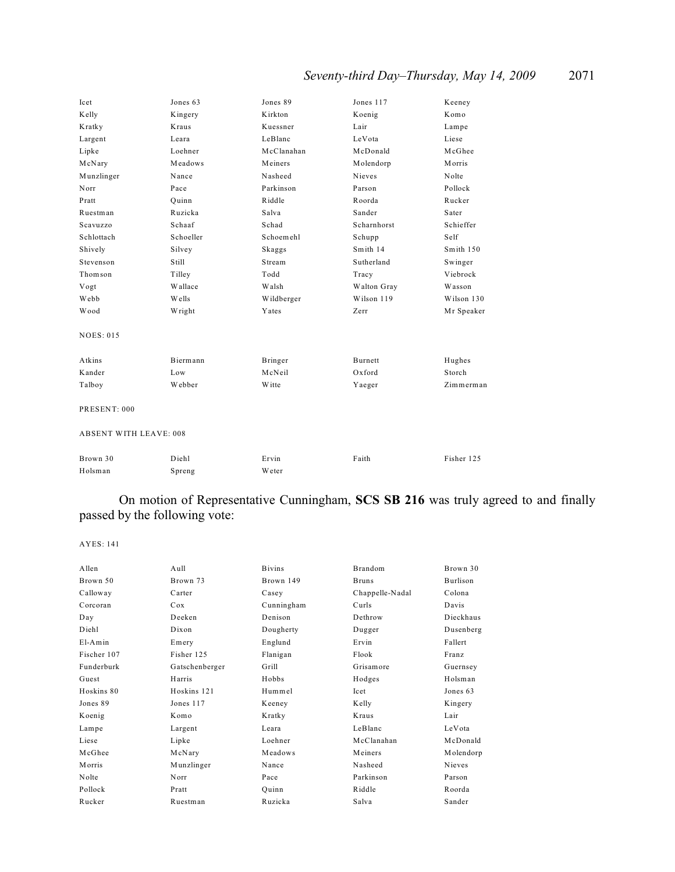| Icet                          | Jones 63  | Jones 89       | Jones 117   | Keeney     |  |  |
|-------------------------------|-----------|----------------|-------------|------------|--|--|
| Kelly                         | Kingery   | Kirkton        | Koenig      | Komo       |  |  |
| Kratky                        | Kraus     | Kuessner       | Lair        | Lampe      |  |  |
| Largent                       | Leara     | LeBlanc        | LeVota      | Liese      |  |  |
| Lipke                         | Loehner   | McClanahan     | McDonald    | McGhee     |  |  |
| McNary                        | Meadows   | Meiners        | Molendorp   | Morris     |  |  |
| Munzlinger                    | Nance     | Nasheed        | Nieves      | Nolte      |  |  |
| Norr                          | Pace      | Parkinson      | Parson      | Pollock    |  |  |
| Pratt                         | Quinn     | Riddle         | Roorda      | Rucker     |  |  |
| Ruestman                      | Ruzicka   | Salva          | Sander      | Sater      |  |  |
| Scavuzzo                      | Schaaf    | Schad          | Scharnhorst | Schieffer  |  |  |
| Schlottach                    | Schoeller | Schoemehl      | Schupp      | Self       |  |  |
| Shively                       | Silvey    | Skaggs         | Smith 14    | Smith 150  |  |  |
| Stevenson                     | Still     | Stream         | Sutherland  | Swinger    |  |  |
| Thomson                       | Tilley    | Todd           | Tracy       | Viebrock   |  |  |
| Vogt                          | Wallace   | Walsh          | Walton Gray | Wasson     |  |  |
| Webb                          | Wells     | Wildberger     | Wilson 119  | Wilson 130 |  |  |
| Wood                          | Wright    | Yates          | Zerr        | Mr Speaker |  |  |
| <b>NOES: 015</b>              |           |                |             |            |  |  |
| Atkins                        | Biermann  | <b>Bringer</b> | Burnett     | Hughes     |  |  |
| Kander                        | Low       | McNeil         | Oxford      | Storch     |  |  |
| Talboy                        | Webber    | W itte         | Yaeger      | Zimmerman  |  |  |
| PRESENT: 000                  |           |                |             |            |  |  |
| <b>ABSENT WITH LEAVE: 008</b> |           |                |             |            |  |  |
| Brown 30                      | Diehl     | Ervin          | Faith       | Fisher 125 |  |  |
| Holsman                       | Spreng    | Weter          |             |            |  |  |

On motion of Representative Cunningham, **SCS SB 216** was truly agreed to and finally passed by the following vote:

| Allen       | Aull           | <b>B</b> ivins | <b>Brandom</b>  | Brown 30  |
|-------------|----------------|----------------|-----------------|-----------|
| Brown 50    | Brown 73       | Brown 149      | <b>Bruns</b>    | Burlison  |
| Calloway    | Carter         | Casey          | Chappelle-Nadal | Colona    |
| Corcoran    | Cox            | Cunningham     | Curls           | Davis     |
| Day         | Deeken         | Denison        | Dethrow         | Dieckhaus |
| Diehl       | Dixon          | Dougherty      | Dugger          | Dusenberg |
| $E1-Amin$   | Emery          | Englund        | Ervin           | Fallert   |
| Fischer 107 | Fisher 125     | Flanigan       | Flook           | Franz     |
| Funderburk  | Gatschenberger | Grill          | Grisamore       | Guernsey  |
| Guest       | Harris         | Hobbs          | Hodges          | Holsman   |
| Hoskins 80  | Hoskins 121    | Hummel         | Icet            | Jones 63  |
| Jones 89    | Jones 117      | Keeney         | Kelly           | Kingery   |
| Koenig      | Komo           | Kratky         | Kraus           | Lair      |
| Lampe       | Largent        | Leara          | LeBlanc         | LeVota    |
| Liese       | Lipke          | Loehner        | McClanahan      | McDonald  |
| McGhee      | McNary         | Meadows        | Meiners         | Molendorp |
| Morris      | Munzlinger     | Nance          | Nasheed         | Nieves    |
| Nolte       | Norr           | Pace           | Parkinson       | Parson    |
| Pollock     | Pratt          | Quinn          | Riddle          | Roorda    |
| Rucker      | Ruestman       | Ruzicka        | Salva           | Sander    |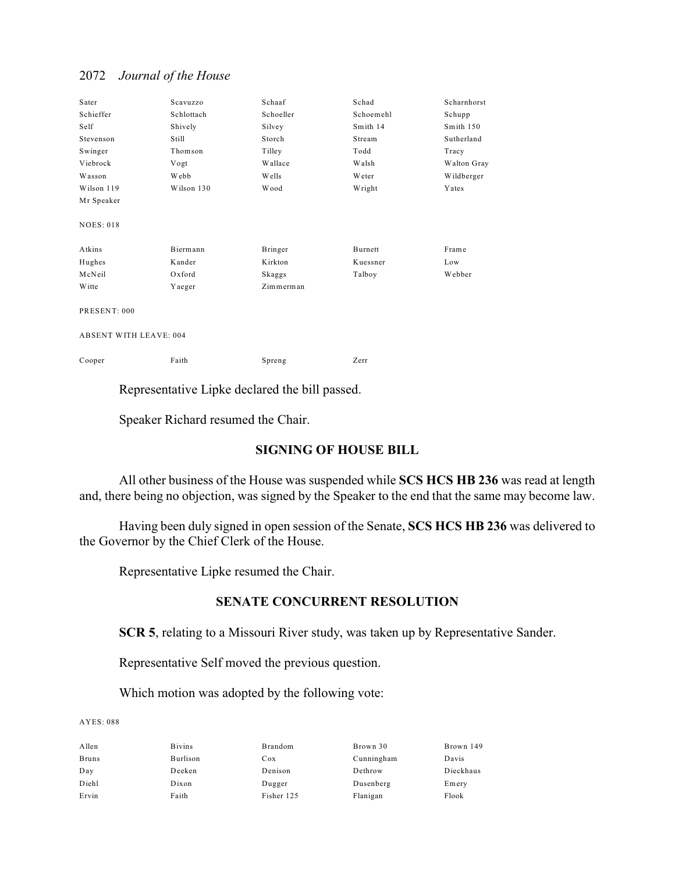| Sater                         | Scavuzzo   | Schaaf       | Schad     | Scharnhorst |
|-------------------------------|------------|--------------|-----------|-------------|
| Schieffer                     | Schlottach | Schoeller    | Schoemehl | Schupp      |
| Self                          | Shively    | Silvey       | Smith 14  | Smith 150   |
| Stevenson                     | Still      | Storch       | Stream    | Sutherland  |
| Swinger                       | Thomson    | Tilley       | Todd      | Tracy       |
| Viebrock                      | Vogt       | Wallace      | Walsh     | Walton Gray |
| Wasson                        | Webb       | <b>Wells</b> | Weter     | Wildberger  |
| Wilson 119                    | Wilson 130 | <b>Wood</b>  | Wright    | Yates       |
| Mr Speaker                    |            |              |           |             |
| <b>NOES: 018</b>              |            |              |           |             |
| Atkins                        | Biermann   | Bringer      | Burnett   | Frame       |
| Hughes                        | Kander     | Kirkton      | Kuessner  | Low         |
| McNeil                        | Oxford     | Skaggs       | Talboy    | Webber      |
| <b>W</b> itte                 | Yaeger     | Zimmerman    |           |             |
| PRESENT: 000                  |            |              |           |             |
| <b>ABSENT WITH LEAVE: 004</b> |            |              |           |             |
| Cooper                        | Faith      | Spreng       | Zerr      |             |

Representative Lipke declared the bill passed.

Speaker Richard resumed the Chair.

## **SIGNING OF HOUSE BILL**

All other business of the House was suspended while **SCS HCS HB 236** was read at length and, there being no objection, was signed by the Speaker to the end that the same may become law.

Having been duly signed in open session of the Senate, **SCS HCS HB 236** was delivered to the Governor by the Chief Clerk of the House.

Representative Lipke resumed the Chair.

## **SENATE CONCURRENT RESOLUTION**

**SCR 5**, relating to a Missouri River study, was taken up by Representative Sander.

Representative Self moved the previous question.

Which motion was adopted by the following vote:

| <b>Bivins</b> | Brandom    | Brown 30   | Brown 149 |
|---------------|------------|------------|-----------|
| Burlison      | Cox        | Cunningham | Davis     |
| Deeken        | Denison    | Dethrow    | Dieckhaus |
| Dixon         | Dugger     | Dusenberg  | Emery     |
| Faith         | Fisher 125 | Flanigan   | Flook     |
|               |            |            |           |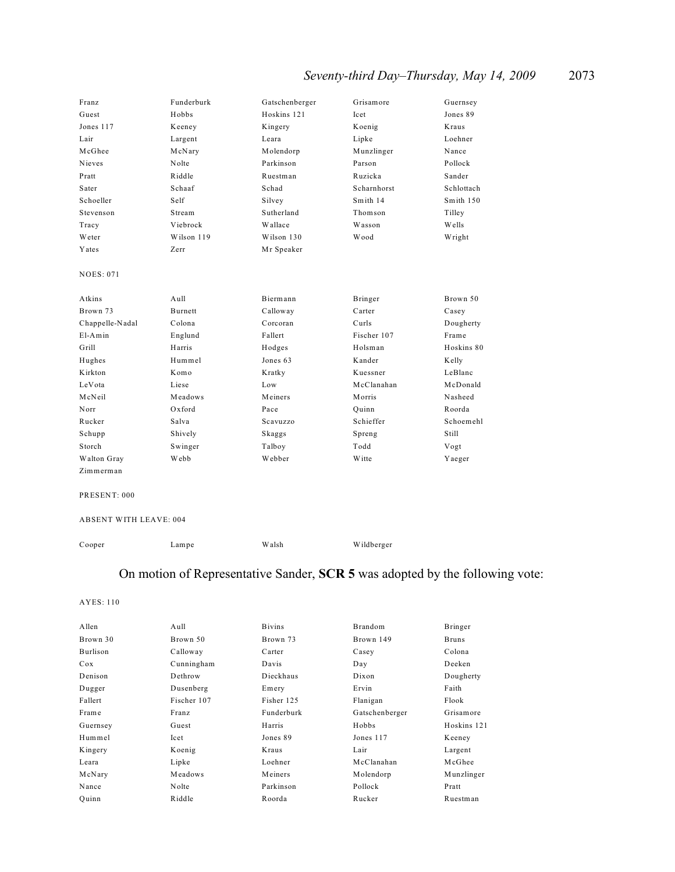# *Seventy-third Day–Thursday, May 14, 2009* 2073

| Franz            | Funderburk        | Gatschenberger | Grisamore   | Guernsey   |
|------------------|-------------------|----------------|-------------|------------|
| Guest            | Hobbs             | Hoskins 121    | <b>Icet</b> | Jones 89   |
| Jones 117        | Keeney            | Kingery        | Koenig      | Kraus      |
| Lair             | Largent           | Leara          | Lipke       | Loehner    |
| McGhee           | McNary            | Molendorp      | Munzlinger  | Nance      |
| Nieves           | Nolte             | Parkinson      | Parson      | Pollock    |
| Pratt            | Riddle            | Ruestman       | Ruzicka     | Sander     |
| Sater            | Schaaf            | Schad          | Scharnhorst | Schlottach |
| Schoeller        | Self              | Silvey         | Smith 14    | Smith 150  |
| Stevenson        | Stream            | Sutherland     | Thomson     | Tilley     |
| Tracy            | Viebrock          | Wallace        | Wasson      | Wells      |
| Weter            | Wilson 119        | Wilson 130     | Wood        | Wright     |
| Yates            | Zerr              | Mr Speaker     |             |            |
|                  |                   |                |             |            |
| <b>NOES: 071</b> |                   |                |             |            |
|                  |                   |                |             |            |
| Atkins           | A <sub>u</sub> 11 | Biermann       | Bringer     | Brown 50   |
| Brown 73         | <b>Burnett</b>    | Calloway       | Carter      | Casey      |
| Chappelle-Nadal  | Colona            | Corcoran       | Curls       | Dougherty  |
| $E1-Amin$        | Englund           | Fallert        | Fischer 107 | Frame      |
| Grill            | Harris            | Hodges         | Holsman     | Hoskins 80 |
| Hughes           | Hummel            | Jones 63       | Kander      | Kelly      |
| Kirkton          | Komo              | Kratky         | Kuessner    | LeBlanc    |
| LeVota           | Liese             | Low            | McClanahan  | McDonald   |
| McNeil           | Meadows           | Meiners        | Morris      | Nasheed    |
| Norr             | Oxford            | Pace           | Quinn       | Roorda     |
| Rucker           | Salva             | Scavuzzo       | Schieffer   | Schoemehl  |
| Schupp           | Shively           | Skaggs         | Spreng      | Still      |
| Storch           | Swinger           | Talboy         | Todd        | Vogt       |
| Walton Gray      | Webb              | Webber         | Witte       | Yaeger     |
| Zimmerman        |                   |                |             |            |

PRESENT: 000

#### ABSENT WITH LEAVE: 004

Cooper Lampe Walsh Wildberger

# On motion of Representative Sander, **SCR 5** was adopted by the following vote:

| Allen    | Aull        | <b>B</b> ivins | Brandom        | Bringer      |
|----------|-------------|----------------|----------------|--------------|
| Brown 30 | Brown 50    | Brown 73       | Brown 149      | <b>Bruns</b> |
| Burlison | Calloway    | Carter         | Casey          | Colona       |
| Cox      | Cunningham  | Davis          | Day            | Deeken       |
| Denison  | Dethrow     | Dieckhaus      | Dixon          | Dougherty    |
| Dugger   | Dusenberg   | Emery          | Ervin          | Faith        |
| Fallert  | Fischer 107 | Fisher 125     | Flanigan       | Flook        |
| Frame    | Franz       | Funderburk     | Gatschenberger | Grisamore    |
| Guernsey | Guest       | Harris         | Hobbs          | Hoskins 121  |
| Hummel   | Icet        | Jones 89       | Jones 117      | Keeney       |
| Kingery  | Koenig      | Kraus          | Lair           | Largent      |
| Leara    | Lipke       | Loehner        | McClanahan     | McGhee       |
| McNary   | Meadows     | Meiners        | Molendorp      | Munzlinger   |
| Nance    | Nolte       | Parkinson      | Pollock        | Pratt        |
| Ouinn    | Riddle      | Roorda         | Rucker         | Ruestman     |
|          |             |                |                |              |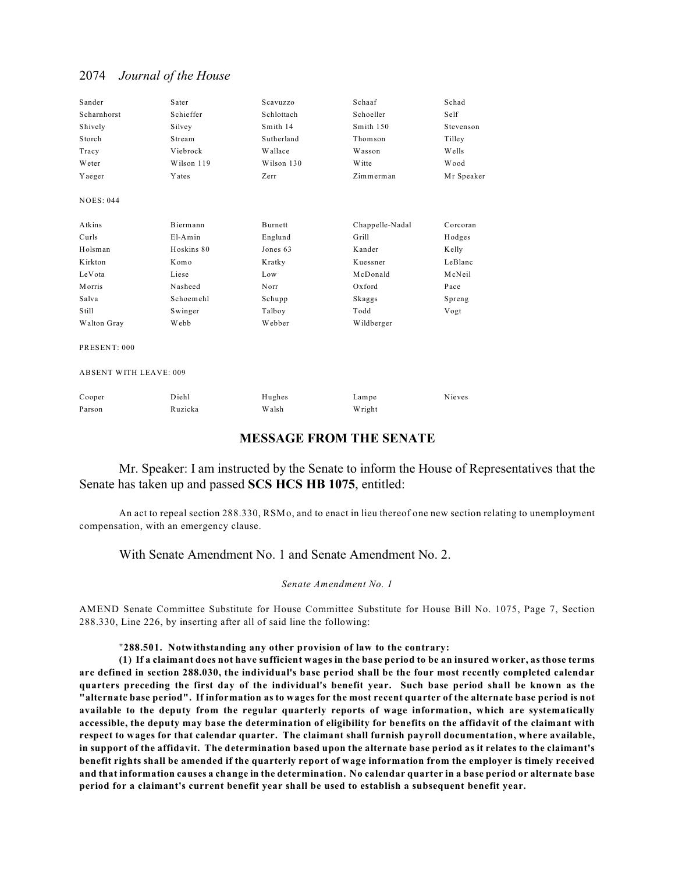| Sander                        | Sater      | Scavuzzo   | Schaaf          | Schad      |
|-------------------------------|------------|------------|-----------------|------------|
| Scharnhorst                   | Schieffer  | Schlottach | Schoeller       | Self       |
| Shively                       | Silvey     | Smith 14   | Smith 150       | Stevenson  |
| Storch                        | Stream     | Sutherland | Thomson         | Tilley     |
| Tracy                         | Viebrock   | Wallace    | Wasson          | Wells      |
| Weter                         | Wilson 119 | Wilson 130 | Witte           | Wood       |
| Yaeger                        | Yates      | Zerr       | Zimmerman       | Mr Speaker |
| <b>NOES: 044</b>              |            |            |                 |            |
| Atkins                        | Biermann   | Burnett    | Chappelle-Nadal | Corcoran   |
| Curls                         | $E1-Amin$  | Englund    | Grill           | Hodges     |
| Holsman                       | Hoskins 80 | Jones 63   | Kander          | Kelly      |
| Kirkton                       | Komo       | Kratky     | Kuessner        | LeBlanc    |
| LeVota                        | Liese      | Low        | McDonald        | McNeil     |
| Morris                        | Nasheed    | Norr       | Oxford          | Pace       |
| Salva                         | Schoemehl  | Schupp     | Skaggs          | Spreng     |
| Still                         | Swinger    | Talboy     | Todd            | Vogt       |
| Walton Gray                   | Webb       | Webber     | Wildberger      |            |
| PRESENT: 000                  |            |            |                 |            |
| <b>ABSENT WITH LEAVE: 009</b> |            |            |                 |            |

| Cooper | Diehl   | Hughes | Lampe  | Nieves |
|--------|---------|--------|--------|--------|
| Parson | Ruzicka | Walsh  | Wright |        |

## **MESSAGE FROM THE SENATE**

### Mr. Speaker: I am instructed by the Senate to inform the House of Representatives that the Senate has taken up and passed **SCS HCS HB 1075**, entitled:

An act to repeal section 288.330, RSMo, and to enact in lieu thereof one new section relating to unemployment compensation, with an emergency clause.

With Senate Amendment No. 1 and Senate Amendment No. 2.

#### *Senate Amendment No. 1*

AMEND Senate Committee Substitute for House Committee Substitute for House Bill No. 1075, Page 7, Section 288.330, Line 226, by inserting after all of said line the following:

#### "**288.501. Notwithstanding any other provision of law to the contrary:**

**(1) If a claimant does not have sufficient wages in the base period to be an insured worker, as those terms are defined in section 288.030, the individual's base period shall be the four most recently completed calendar quarters preceding the first day of the individual's benefit year. Such base period shall be known as the "alternate base period". If information as to wages for the most recent quarter of the alternate base period is not available to the deputy from the regular quarterly reports of wage information, which are systematically accessible, the deputy may base the determination of eligibility for benefits on the affidavit of the claimant with respect to wages for that calendar quarter. The claimant shall furnish payroll documentation, where available, in support of the affidavit. The determination based upon the alternate base period as it relates to the claimant's benefit rights shall be amended if the quarterly report of wage information from the employer is timely received and that information causes a change in the determination. No calendar quarter in a base period or alternate base period for a claimant's current benefit year shall be used to establish a subsequent benefit year.**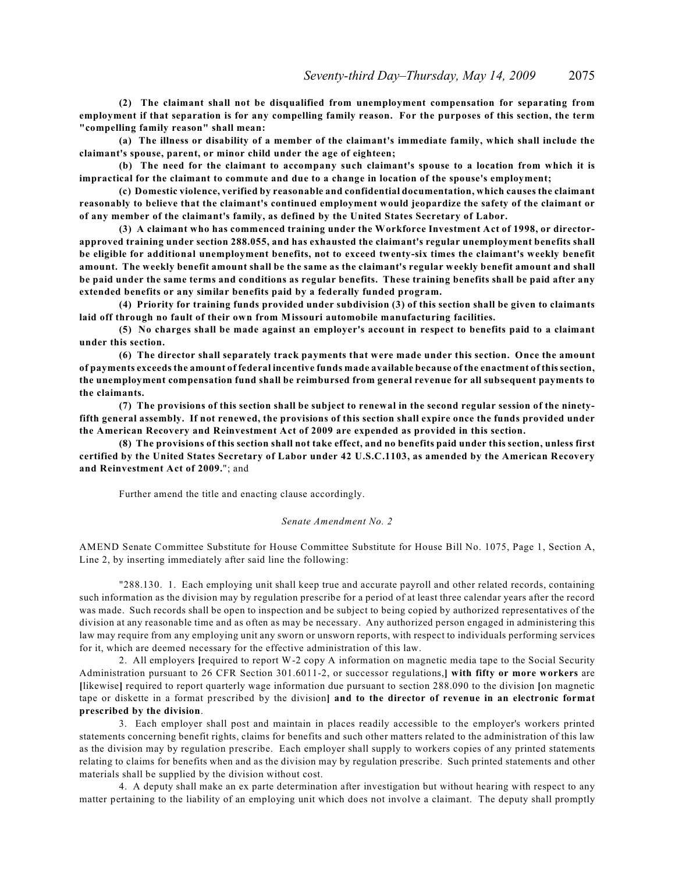**(2) The claimant shall not be disqualified from unemployment compensation for separating from employment if that separation is for any compelling family reason. For the purposes of this section, the term "compelling family reason" shall mean:**

**(a) The illness or disability of a member of the claimant's immediate family, which shall include the claimant's spouse, parent, or minor child under the age of eighteen;**

**(b) The need for the claimant to accompany such claimant's spouse to a location from which it is impractical for the claimant to commute and due to a change in location of the spouse's employment;**

**(c) Domestic violence, verified by reasonable and confidential documentation, which causes the claimant reasonably to believe that the claimant's continued employment would jeopardize the safety of the claimant or of any member of the claimant's family, as defined by the United States Secretary of Labor.**

**(3) A claimant who has commenced training under the Workforce Investment Act of 1998, or directorapproved training under section 288.055, and has exhausted the claimant's regular unemployment benefits shall be eligible for additional unemployment benefits, not to exceed twenty-six times the claimant's weekly benefit amount. The weekly benefit amount shall be the same as the claimant's regular weekly benefit amount and shall be paid under the same terms and conditions as regular benefits. These training benefits shall be paid after any extended benefits or any similar benefits paid by a federally funded program.**

**(4) Priority for training funds provided under subdivision (3) of this section shall be given to claimants laid off through no fault of their own from Missouri automobile manufacturing facilities.**

**(5) No charges shall be made against an employer's account in respect to benefits paid to a claimant under this section.**

**(6) The director shall separately track payments that were made under this section. Once the amount of payments exceeds the amount of federal incentive funds made available because of the enactment of this section, the unemployment compensation fund shall be reimbursed from general revenue for all subsequent payments to the claimants.**

**(7) The provisions of this section shall be subject to renewal in the second regular session of the ninetyfifth general assembly. If not renewed, the provisions of this section shall expire once the funds provided under the American Recovery and Reinvestment Act of 2009 are expended as provided in this section.**

**(8) The provisions of this section shall not take effect, and no benefits paid under this section, unless first certified by the United States Secretary of Labor under 42 U.S.C.1103, as amended by the American Recovery and Reinvestment Act of 2009.**"; and

Further amend the title and enacting clause accordingly.

#### *Senate Amendment No. 2*

AMEND Senate Committee Substitute for House Committee Substitute for House Bill No. 1075, Page 1, Section A, Line 2, by inserting immediately after said line the following:

"288.130. 1. Each employing unit shall keep true and accurate payroll and other related records, containing such information as the division may by regulation prescribe for a period of at least three calendar years after the record was made. Such records shall be open to inspection and be subject to being copied by authorized representatives of the division at any reasonable time and as often as may be necessary. Any authorized person engaged in administering this law may require from any employing unit any sworn or unsworn reports, with respect to individuals performing services for it, which are deemed necessary for the effective administration of this law.

2. All employers **[**required to report W-2 copy A information on magnetic media tape to the Social Security Administration pursuant to 26 CFR Section 301.6011-2, or successor regulations,**] with fifty or more workers** are **[**likewise**]** required to report quarterly wage information due pursuant to section 288.090 to the division **[**on magnetic tape or diskette in a format prescribed by the division**] and to the director of revenue in an electronic format prescribed by the division**.

3. Each employer shall post and maintain in places readily accessible to the employer's workers printed statements concerning benefit rights, claims for benefits and such other matters related to the administration of this law as the division may by regulation prescribe. Each employer shall supply to workers copies of any printed statements relating to claims for benefits when and as the division may by regulation prescribe. Such printed statements and other materials shall be supplied by the division without cost.

4. A deputy shall make an ex parte determination after investigation but without hearing with respect to any matter pertaining to the liability of an employing unit which does not involve a claimant. The deputy shall promptly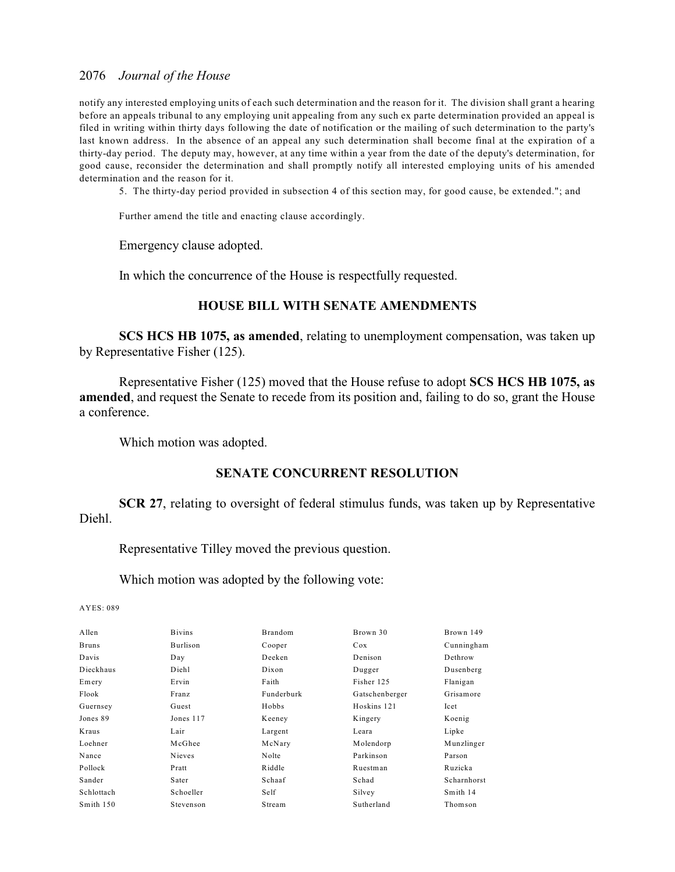notify any interested employing units of each such determination and the reason for it. The division shall grant a hearing before an appeals tribunal to any employing unit appealing from any such ex parte determination provided an appeal is filed in writing within thirty days following the date of notification or the mailing of such determination to the party's last known address. In the absence of an appeal any such determination shall become final at the expiration of a thirty-day period. The deputy may, however, at any time within a year from the date of the deputy's determination, for good cause, reconsider the determination and shall promptly notify all interested employing units of his amended determination and the reason for it.

5. The thirty-day period provided in subsection 4 of this section may, for good cause, be extended."; and

Further amend the title and enacting clause accordingly.

Emergency clause adopted.

In which the concurrence of the House is respectfully requested.

### **HOUSE BILL WITH SENATE AMENDMENTS**

**SCS HCS HB 1075, as amended**, relating to unemployment compensation, was taken up by Representative Fisher (125).

Representative Fisher (125) moved that the House refuse to adopt **SCS HCS HB 1075, as amended**, and request the Senate to recede from its position and, failing to do so, grant the House a conference.

Which motion was adopted.

## **SENATE CONCURRENT RESOLUTION**

**SCR 27**, relating to oversight of federal stimulus funds, was taken up by Representative Diehl.

Representative Tilley moved the previous question.

Which motion was adopted by the following vote:

| Allen        | <b>Bivins</b>   | <b>Brandom</b> | Brown 30       | Brown 149   |
|--------------|-----------------|----------------|----------------|-------------|
| <b>Bruns</b> | <b>Burlison</b> | Cooper         | Cox            | Cunningham  |
| Davis        | Day             | Deeken         | Denison        | Dethrow     |
| Dieckhaus    | Diehl           | Dixon          | Dugger         | Dusenberg   |
| Emery        | Ervin           | Faith          | Fisher 125     | Flanigan    |
| Flook        | Franz           | Funderburk     | Gatschenberger | Grisamore   |
| Guernsey     | Guest           | Hobbs          | Hoskins 121    | Icet        |
| Jones 89     | Jones 117       | Keeney         | Kingery        | Koenig      |
| Kraus        | Lair            | Largent        | Leara          | Lipke       |
| Loehner      | McGhee          | McNary         | Molendorp      | Munzlinger  |
| Nance        | Nieves          | Nolte          | Parkinson      | Parson      |
| Pollock      | Pratt           | Riddle         | Ruestman       | Ruzicka     |
| Sander       | Sater           | Schaaf         | Schad          | Scharnhorst |
| Schlottach   | Schoeller       | Self           | Silvey         | Smith 14    |
| Smith 150    | Stevenson       | Stream         | Sutherland     | Thomson     |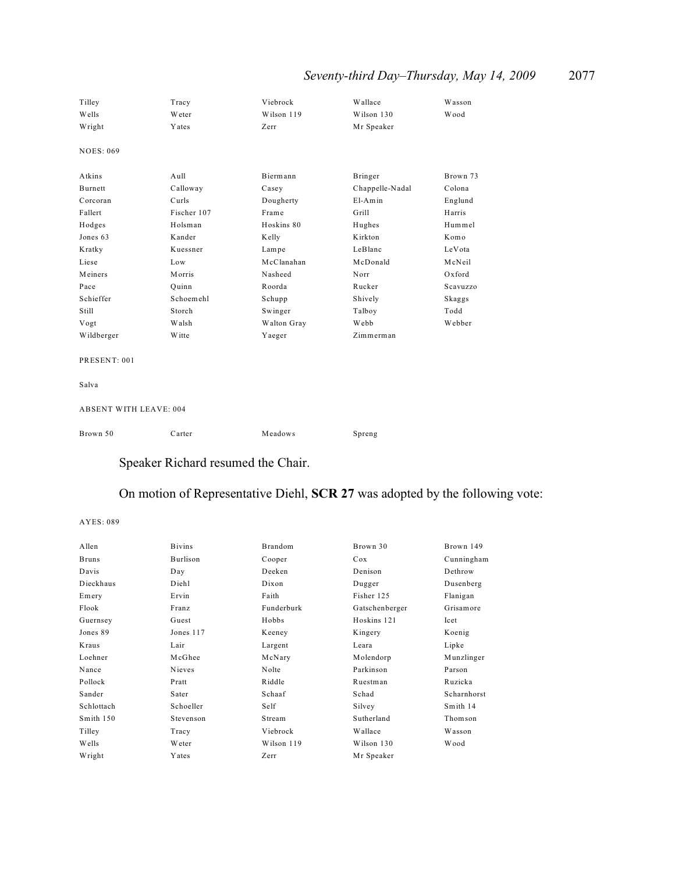# *Seventy-third Day–Thursday, May 14, 2009* 2077

| Tilley                        | Tracy       | Viebrock    | Wallace         | Wasson   |
|-------------------------------|-------------|-------------|-----------------|----------|
| Wells                         | Weter       | Wilson 119  | Wilson 130      | Wood     |
| Wright                        | Yates       | Zerr        | Mr Speaker      |          |
| <b>NOES: 069</b>              |             |             |                 |          |
| Atkins                        | Aull        | Biermann    | Bringer         | Brown 73 |
| Burnett                       | Calloway    | Casey       | Chappelle-Nadal | Colona   |
| Corcoran                      | Curls       | Dougherty   | $E1-Amin$       | Englund  |
| Fallert                       | Fischer 107 | Frame       | Grill           | Harris   |
| Hodges                        | Holsman     | Hoskins 80  | Hughes          | Hummel   |
| Jones 63                      | Kander      | Kelly       | Kirkton         | Komo     |
| Kratky                        | Kuessner    | Lampe       | LeBlanc         | LeVota   |
| Liese                         | Low         | McClanahan  | McDonald        | McNeil   |
| Meiners                       | Morris      | Nasheed     | Norr            | Oxford   |
| Pace                          | Ouinn       | Roorda      | Rucker          | Scavuzzo |
| Schieffer                     | Schoemehl   | Schupp      | Shively         | Skaggs   |
| Still                         | Storch      | Swinger     | Talboy          | Todd     |
| Vogt                          | Walsh       | Walton Gray | Webb            | Webber   |
| Wildberger                    | Witte       | Yaeger      | Zimmerman       |          |
| PRESENT: 001                  |             |             |                 |          |
| Salva                         |             |             |                 |          |
| <b>ABSENT WITH LEAVE: 004</b> |             |             |                 |          |
| Brown 50                      | Carter      | Meadows     | Spreng          |          |
|                               |             |             |                 |          |

# Speaker Richard resumed the Chair.

# On motion of Representative Diehl, **SCR 27** was adopted by the following vote:

| Allen        | <b>Bivins</b> | <b>Brandom</b> | Brown 30       | Brown 149   |
|--------------|---------------|----------------|----------------|-------------|
| <b>Bruns</b> | Burlison      | Cooper         | Cox            | Cunningham  |
| Davis        | Day           | Deeken         | Denison        | Dethrow     |
| Dieckhaus    | Diehl         | Dixon          | Dugger         | Dusenberg   |
| Emery        | Ervin         | Faith          | Fisher 125     | Flanigan    |
| Flook        | Franz         | Funderburk     | Gatschenberger | Grisamore   |
| Guernsey     | Guest         | Hobbs          | Hoskins 121    | Icet        |
| Jones 89     | Jones 117     | Keeney         | Kingery        | Koenig      |
| Kraus        | Lair          | Largent        | Leara          | Lipke       |
| Loehner      | McGhee        | McNary         | Molendorp      | Munzlinger  |
| Nance        | Nieves        | Nolte          | Parkinson      | Parson      |
| Pollock      | Pratt         | Riddle         | Ruestman       | Ruzicka     |
| Sander       | Sater         | Schaaf         | Schad          | Scharnhorst |
| Schlottach   | Schoeller     | Self           | Silvey         | Smith 14    |
| Smith 150    | Stevenson     | Stream         | Sutherland     | Thomson     |
| Tilley       | Tracy         | Viebrock       | Wallace        | Wasson      |
| Wells        | <b>W</b> eter | Wilson 119     | Wilson 130     | W ood       |
| Wright       | Yates         | Zerr           | Mr Speaker     |             |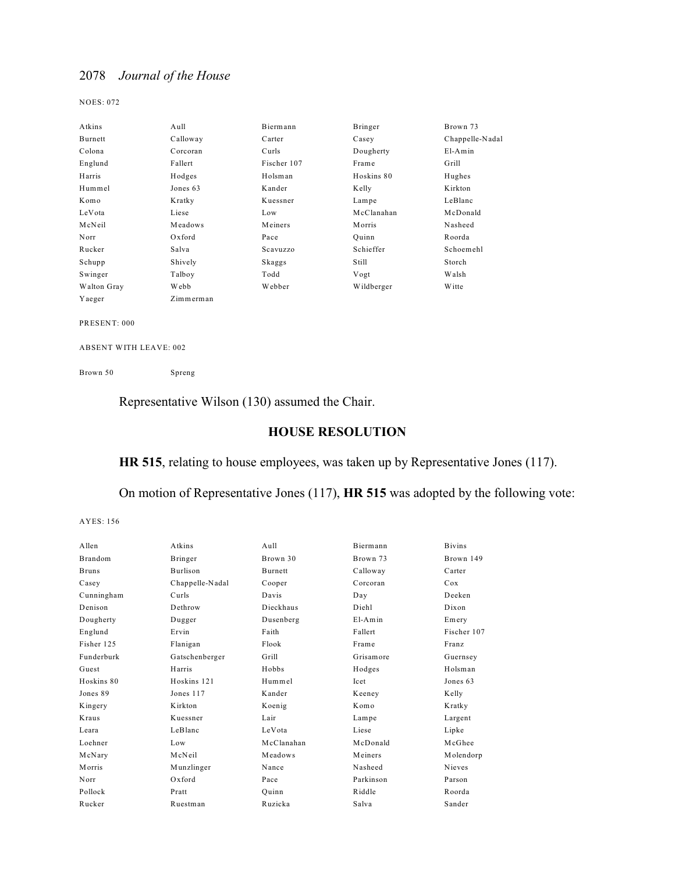NOES: 072

| Atkins      | Aull      | Biermann    | Bringer    | Brown 73        |
|-------------|-----------|-------------|------------|-----------------|
| Burnett     | Calloway  | Carter      | Casey      | Chappelle-Nadal |
| Colona      | Corcoran  | Curls       | Dougherty  | $E1-Amin$       |
| Englund     | Fallert   | Fischer 107 | Frame      | Grill           |
| Harris      | Hodges    | Holsman     | Hoskins 80 | Hughes          |
| Hummel      | Jones 63  | Kander      | Kelly      | Kirkton         |
| Komo        | Kratky    | Kuessner    | Lampe      | LeBlanc         |
| LeVota      | Liese     | Low         | McClanahan | McDonald        |
| McNeil      | Meadows   | Meiners     | Morris     | Nasheed         |
| Norr        | Oxford    | Pace        | Ouinn      | Roorda          |
| Rucker      | Salva     | Scavuzzo    | Schieffer  | Schoemehl       |
| Schupp      | Shively   | Skaggs      | Still      | Storch          |
| Swinger     | Talboy    | Todd        | Vogt       | Walsh           |
| Walton Gray | Webb      | Webber      | Wildberger | <b>W</b> itte   |
| Yaeger      | Zimmerman |             |            |                 |

PRESENT: 000

ABSENT WITH LEAVE: 002

Brown 50 Spreng

Representative Wilson (130) assumed the Chair.

## **HOUSE RESOLUTION**

## **HR 515**, relating to house employees, was taken up by Representative Jones (117).

On motion of Representative Jones (117), **HR 515** was adopted by the following vote:

| Allen        | Atkins          | $A$ ull    | Biermann  | <b>Bivins</b> |
|--------------|-----------------|------------|-----------|---------------|
| Brandom      | Bringer         | Brown 30   | Brown 73  | Brown 149     |
| <b>Bruns</b> | <b>Burlison</b> | Burnett    | Calloway  | Carter        |
| Casey        | Chappelle-Nadal | Cooper     | Corcoran  | Cox           |
| Cunningham   | Curls           | Davis      | Day       | Deeken        |
| Denison      | Dethrow         | Dieckhaus  | Dieh1     | Dixon         |
| Dougherty    | Dugger          | Dusenberg  | $E1-Amin$ | Emery         |
| Englund      | Ervin           | Faith      | Fallert   | Fischer 107   |
| Fisher 125   | Flanigan        | Flook      | Frame     | Franz         |
| Funderburk   | Gatschenberger  | Grill      | Grisamore | Guernsey      |
| Guest        | Harris          | Hobbs      | Hodges    | Holsman       |
| Hoskins 80   | Hoskins 121     | Hummel     | Icet      | Jones 63      |
| Jones 89     | Jones 117       | Kander     | Keeney    | Kelly         |
| Kingery      | K irkton        | Koenig     | Komo      | Kratky        |
| Kraus        | Kuessner        | Lair       | Lampe     | Largent       |
| Leara        | LeBlanc         | LeVota     | Liese     | Lipke         |
| Loehner      | Low             | McClanahan | McDonald  | McGhee        |
| McNary       | McNeil          | Meadows    | Meiners   | Molendorp     |
| Morris       | Munzlinger      | Nance      | Nasheed   | <b>Nieves</b> |
| Norr         | $Ox$ ford       | Pace       | Parkinson | Parson        |
| Pollock      | Pratt           | Ouinn      | Riddle    | Roorda        |
| Rucker       | Ruestman        | Ruzicka    | Salva     | Sander        |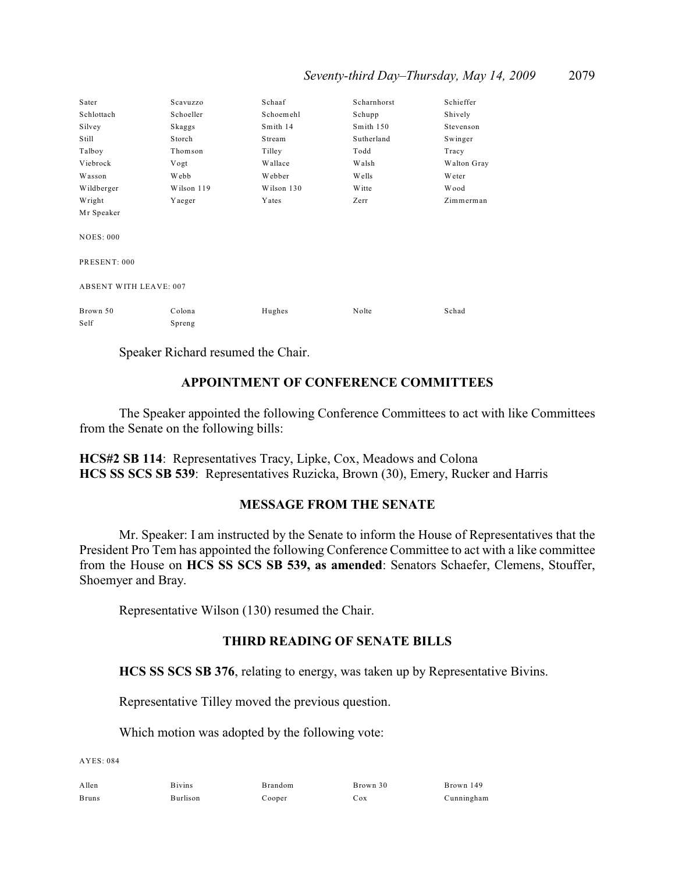| Seventy-third Day-Thursday, May 14, 2009 |  |  |  |  | 2079 |
|------------------------------------------|--|--|--|--|------|
|------------------------------------------|--|--|--|--|------|

| Sater                         | Scavuzzo   | Schaaf     | Scharnhorst | Schieffer     |  |
|-------------------------------|------------|------------|-------------|---------------|--|
| Schlottach                    | Schoeller  | Schoemehl  | Schupp      | Shively       |  |
| Silvey                        | Skaggs     | Smith 14   | Smith 150   | Stevenson     |  |
| Still                         | Storch     | Stream     | Sutherland  | Swinger       |  |
| Talboy                        | Thomson    | Tilley     | Todd        | Tracy         |  |
| Viebrock                      | Vogt       | Wallace    | Walsh       | Walton Gray   |  |
| Wasson                        | Webb       | Webber     | Wells       | <b>W</b> eter |  |
| Wildberger                    | Wilson 119 | Wilson 130 | Witte       | <b>Wood</b>   |  |
| Wright                        | Yaeger     | Yates      | Zerr        | Zimmerman     |  |
| Mr Speaker                    |            |            |             |               |  |
|                               |            |            |             |               |  |
| <b>NOES: 000</b>              |            |            |             |               |  |
|                               |            |            |             |               |  |
| PRESENT: 000                  |            |            |             |               |  |
|                               |            |            |             |               |  |
| <b>ABSENT WITH LEAVE: 007</b> |            |            |             |               |  |
|                               |            |            |             |               |  |
| Brown 50                      | Colona     | Hughes     | Nolte       | Schad         |  |
| Self                          | Spreng     |            |             |               |  |

Speaker Richard resumed the Chair.

### **APPOINTMENT OF CONFERENCE COMMITTEES**

The Speaker appointed the following Conference Committees to act with like Committees from the Senate on the following bills:

**HCS#2 SB 114**: Representatives Tracy, Lipke, Cox, Meadows and Colona **HCS SS SCS SB 539**: Representatives Ruzicka, Brown (30), Emery, Rucker and Harris

## **MESSAGE FROM THE SENATE**

Mr. Speaker: I am instructed by the Senate to inform the House of Representatives that the President Pro Tem has appointed the following Conference Committee to act with a like committee from the House on **HCS SS SCS SB 539, as amended**: Senators Schaefer, Clemens, Stouffer, Shoemyer and Bray.

Representative Wilson (130) resumed the Chair.

### **THIRD READING OF SENATE BILLS**

**HCS SS SCS SB 376**, relating to energy, was taken up by Representative Bivins.

Representative Tilley moved the previous question.

Which motion was adopted by the following vote:

 $AYES: 084$ 

Allen Bivins Brandom Brown 30 Brown 149 Bruns Burlison Cooper Cox Cunningham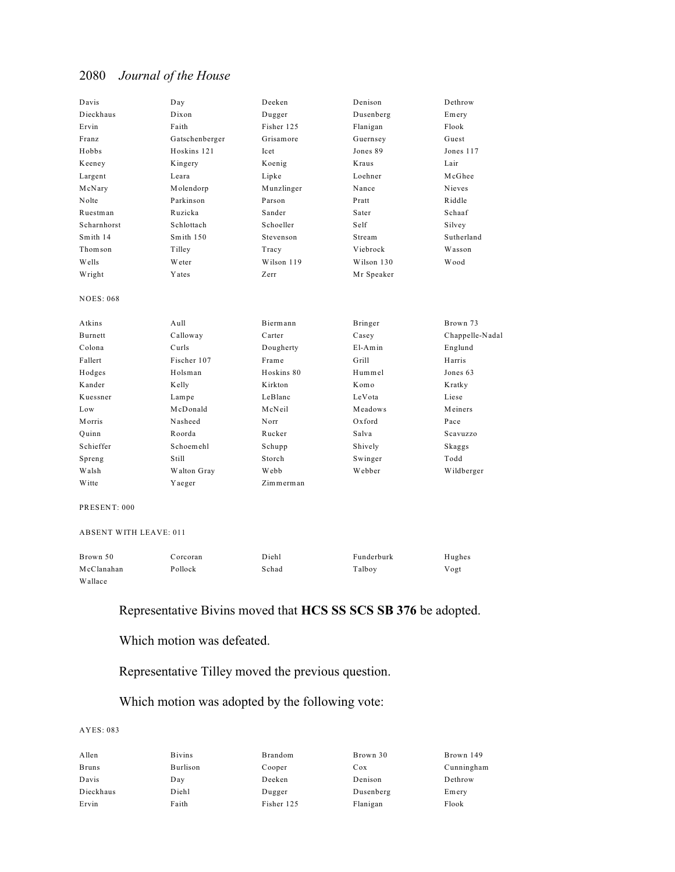| Davis            | Day            | Deeken     | Denison      | Dethrow         |
|------------------|----------------|------------|--------------|-----------------|
| Dieckhaus        | Dixon          | Dugger     | Dusenberg    | Emery           |
| Ervin            | Faith          | Fisher 125 | Flanigan     | Flook           |
| Franz            | Gatschenberger | Grisamore  | Guernsey     | Guest           |
| Hobbs            | Hoskins 121    | Icet       | Jones 89     | Jones 117       |
| Keeney           | Kingery        | Koenig     | <b>Kraus</b> | Lair            |
| Largent          | Leara          | Lipke      | Loehner      | McGhee          |
| McNary           | Molendorp      | Munzlinger | Nance        | Nieves          |
| Nolte            | Parkinson      | Parson     | Pratt        | Riddle          |
| Ruestman         | Ruzicka        | Sander     | Sater        | Schaaf          |
| Scharnhorst      | Schlottach     | Schoeller  | Self         | Silvey          |
| Smith 14         | Smith 150      | Stevenson  | Stream       | Sutherland      |
| Thomson          | Tilley         | Tracy      | Viebrock     | Wasson          |
| Wells            | Weter          | Wilson 119 | Wilson 130   | Wood            |
| Wright           | Yates          | Zerr       | Mr Speaker   |                 |
| <b>NOES: 068</b> |                |            |              |                 |
| Atkins           | Aull           | Biermann   | Bringer      | Brown 73        |
| <b>Burnett</b>   | Calloway       | Carter     | Casey        | Chappelle-Nadal |
| Colona           | Curls          | Dougherty  | $E1-Amin$    | Englund         |
| Fallert          | Fischer 107    | Frame      | Grill        | Harris          |
| Hodges           | Holsman        | Hoskins 80 | Hummel       | Jones 63        |
| Kander           | Kelly          | Kirkton    | Komo         | Kratky          |
| Kuessner         | Lampe          | LeBlanc    | LeVota       | Liese           |
| Low              | McDonald       | McNeil     | Meadows      | Meiners         |
| Morris           | Nasheed        | Norr       | $Ox$ ford    | Pace            |
| Ouinn            | Roorda         | Rucker     | Salva        | Scavuzzo        |
| Schieffer        | Schoemehl      | Schupp     | Shively      | Skaggs          |
| Spreng           | Still          | Storch     | Swinger      | Todd            |
| Walsh            | Walton Gray    | Webb       | Webber       | Wildberger      |
| <b>W</b> itte    | Yaeger         | Zimmerman  |              |                 |

PRESENT: 000

ABSENT WITH LEAVE: 011

| Brown 50   | Corcoran | Diehl | Funderburk | Hughes |
|------------|----------|-------|------------|--------|
| McClanahan | Pollock  | Schad | Talboy     | Vogt   |
| Wallace    |          |       |            |        |

## Representative Bivins moved that **HCS SS SCS SB 376** be adopted.

Which motion was defeated.

## Representative Tilley moved the previous question.

## Which motion was adopted by the following vote:

| Allen        | <b>Bivins</b> | Brandom    | Brown 30  | Brown 149  |
|--------------|---------------|------------|-----------|------------|
| <b>Bruns</b> | Burlison      | Cooper     | Cox       | Cunningham |
| Davis        | Day           | Deeken     | Denison   | Dethrow    |
| Dieckhaus    | Diehl         | Dugger     | Dusenberg | Emery      |
| Ervin        | Faith         | Fisher 125 | Flanigan  | Flook      |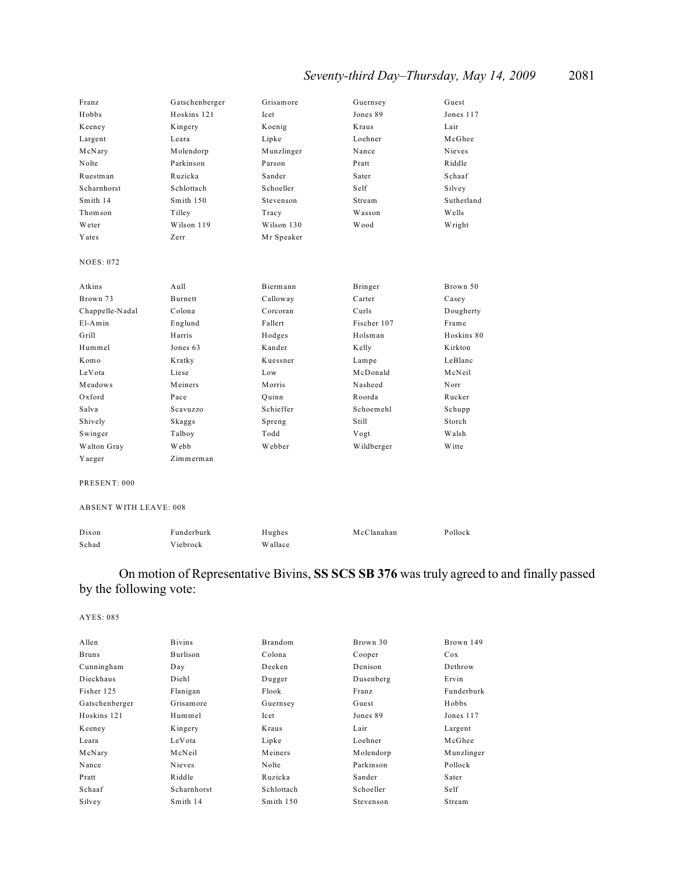# *Seventy-third Day–Thursday, May 14, 2009* 2081

| Franz            | Gatschenberger | Grisamore     | Guernsey    | Guest         |
|------------------|----------------|---------------|-------------|---------------|
| Hobbs            | Hoskins 121    | <b>Icet</b>   | Jones 89    | Jones 117     |
| Keeney           | Kingery        | Koenig        | Kraus       | Lair          |
| Largent          | Leara          | Lipke         | Loehner     | McGhee        |
| McNary           | Molendorp      | Munzlinger    | Nance       | <b>Nieves</b> |
| Nolte            | Parkinson      | Parson        | Pratt       | Riddle        |
| Ruestman         | Ruzicka        | Sander        | Sater       | Schaaf        |
| Scharnhorst      | Schlottach     | Schoeller     | Self        | Silvey        |
| Smith 14         | Smith 150      | Stevenson     | Stream      | Sutherland    |
| Thomson          | Tilley         | Tracy         | Wasson      | Wells         |
| Weter            | Wilson 119     | Wilson 130    | Wood        | Wright        |
| Yates            | Zerr           | Mr Speaker    |             |               |
| <b>NOES: 072</b> |                |               |             |               |
|                  |                |               |             |               |
| Atkins           | $A$ ull        | Biermann      | Bringer     | Brown 50      |
| Brown 73         | <b>Burnett</b> | Calloway      | Carter      | Casey         |
| Chappelle-Nadal  | Colona         | Corcoran      | Curls       | Dougherty     |
| $E1-Amin$        | Englund        | Fallert       | Fischer 107 | Frame         |
| Grill            | Harris         | Hodges        | Holsman     | Hoskins 80    |
| Hummel           | Jones 63       | Kander        | Kelly       | K irkton      |
| Komo             | Kratky         | Kuessner      | Lampe       | LeBlanc       |
| LeVota           | Liese          | Low           | McDonald    | McNeil        |
| Meadows          | Meiners        | <b>Morris</b> | Nasheed     | Norr          |
| Oxford           | Pace           | Ouinn         | Roorda      | Rucker        |
| Salva            | Scavuzzo       | Schieffer     | Schoemehl   | Schupp        |
| Shively          | Skaggs         | Spreng        | Still       | Storch        |
| Swinger          | Talboy         | Todd          | Vogt        | Walsh         |
| Walton Gray      | Webb           | Webber        | Wildberger  | <b>W</b> itte |
| Yaeger           | Zimmerman      |               |             |               |
|                  |                |               |             |               |

PRESENT: 000

#### ABSENT WITH LEAVE: 008

| Dixon | Funderburk | Hughes  | McClanahan | Pollock |
|-------|------------|---------|------------|---------|
| Schad | Viebrock   | Wallace |            |         |

## On motion of Representative Bivins, **SS SCS SB 376** was truly agreed to and finally passed by the following vote:

| Allen          | <b>Bivins</b> | Brandom    | Brown 30  | Brown 149  |
|----------------|---------------|------------|-----------|------------|
| <b>Bruns</b>   | Burlison      | Colona     | Cooper    | Cox        |
| Cunningham     | Day           | Deeken     | Denison   | Dethrow    |
| Dieckhaus      | Diehl         | Dugger     | Dusenberg | Ervin      |
| Fisher 125     | Flanigan      | Flook      | Franz     | Funderburk |
| Gatschenberger | Grisamore     | Guernsey   | Guest     | Hobbs      |
| Hoskins 121    | Hummel        | Icet       | Jones 89  | Jones 117  |
| Keeney         | Kingery       | Kraus      | Lair      | Largent    |
| Leara          | LeVota        | Lipke      | Loehner   | McGhee     |
| McNary         | McNeil        | Meiners    | Molendorp | Munzlinger |
| Nance          | Nieves        | Nolte      | Parkinson | Pollock    |
| Pratt          | Riddle        | Ruzicka    | Sander    | Sater      |
| Schaaf         | Scharnhorst   | Schlottach | Schoeller | Self       |
| Silvey         | Smith 14      | Smith 150  | Stevenson | Stream     |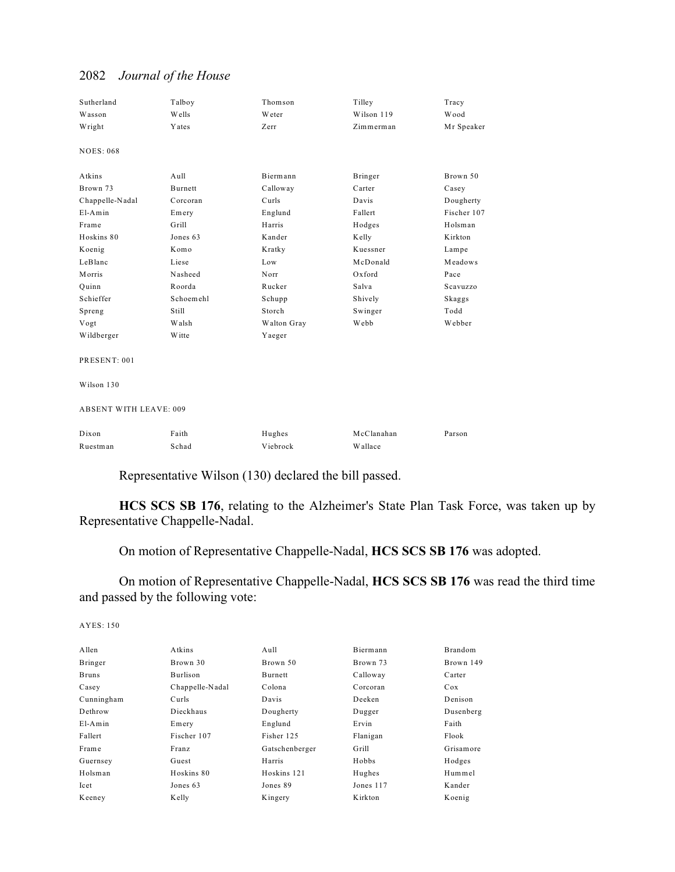## Sutherland Talboy Thomson Tilley Tracy Wasson Wells Weter Wilson 119 Wood Wright Yates Zerr Zimmerman Mr Speaker NOES: 068 Atkins Aull Biermann Bringer Brown 50 Brown 73 Burnett Calloway Carter Casey Chappelle-Nadal Corcoran Curls Davis Dougherty El-Amin Emery Englund Fallert Fischer 107 Frame Grill Harris Hodges Holsman Hoskins 80 Jones 63 Kander Kelly Kirkton Koenig Komo Kratky Kuessner Lampe LeBlanc Liese Low McDonald Meadows Morris Nasheed Norr Oxford Pace Quinn Roorda Rucker Salva Scavuzzo Schieffer Schoemehl Schupp Shively Skaggs Spreng Still Storch Swinger Todd Vogt Walsh Walton Gray Webb Webber Wildberger Witte Yaeger PRESENT: 001 Wilson 130 ABSENT WITH LEAVE: 009 Dixon Faith Hughes McClanahan Parson Ruestman Schad Viebrock Wallace

## 2082 *Journal of the House*

Representative Wilson (130) declared the bill passed.

**HCS SCS SB 176**, relating to the Alzheimer's State Plan Task Force, was taken up by Representative Chappelle-Nadal.

On motion of Representative Chappelle-Nadal, **HCS SCS SB 176** was adopted.

On motion of Representative Chappelle-Nadal, **HCS SCS SB 176** was read the third time and passed by the following vote:

| Allen        | Atkins          | Aull           | Biermann  | Brandom   |
|--------------|-----------------|----------------|-----------|-----------|
| Bringer      | Brown 30        | Brown 50       | Brown 73  | Brown 149 |
| <b>Bruns</b> | Burlison        | Burnett        | Calloway  | Carter    |
| Casey        | Chappelle-Nadal | Colona         | Corcoran  | Cox       |
| Cunningham   | Curls           | Davis          | Deeken    | Denison   |
| Dethrow      | Dieckhaus       | Dougherty      | Dugger    | Dusenberg |
| $E1-Amin$    | Emery           | Englund        | Ervin     | Faith     |
| Fallert      | Fischer 107     | Fisher 125     | Flanigan  | Flook     |
| Frame        | Franz           | Gatschenberger | Grill     | Grisamore |
| Guernsey     | Guest           | Harris         | Hobbs     | Hodges    |
| Holsman      | Hoskins 80      | Hoskins 121    | Hughes    | Hummel    |
| Icet         | Jones 63        | Jones 89       | Jones 117 | Kander    |
| Keeney       | Kelly           | Kingery        | Kirkton   | Koenig    |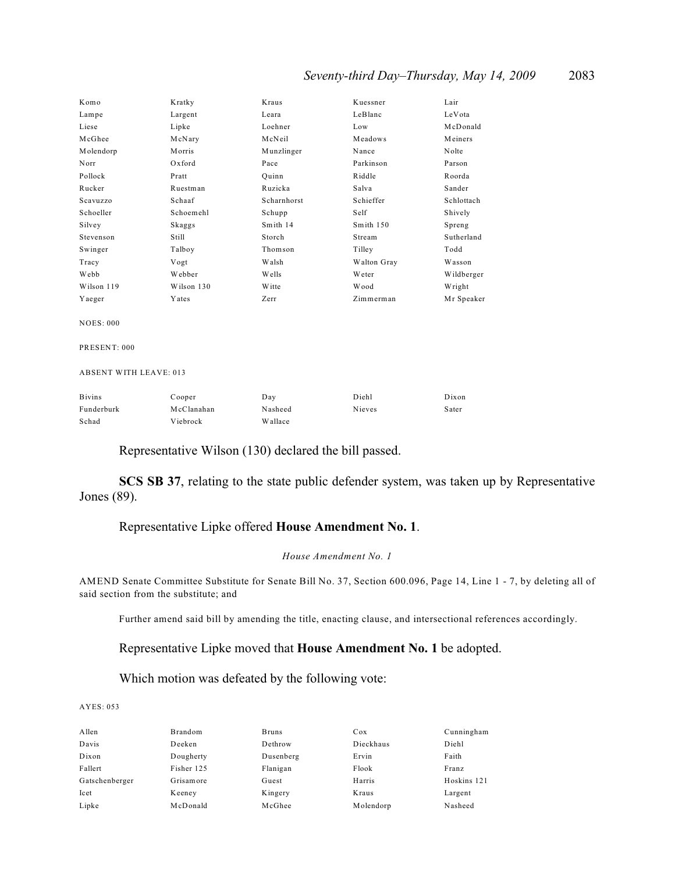## *Seventy-third Day–Thursday, May 14, 2009* 2083

| Komo       | Kratky        | Kraus        | Kuessner    | Lair       |
|------------|---------------|--------------|-------------|------------|
| Lampe      | Largent       | Leara        | LeBlanc     | LeVota     |
| Liese      | Lipke         | Loehner      | Low         | McDonald   |
| McGhee     | McNary        | McNeil       | Meadows     | Meiners    |
| Molendorp  | Morris        | Munzlinger   | Nance       | Nolte      |
| Norr       | Oxford        | Pace         | Parkinson   | Parson     |
| Pollock    | Pratt         | Ouinn        | Riddle      | Roorda     |
| Rucker     | Ruestman      | Ruzicka      | Salva       | Sander     |
| Scavuzzo   | Schaaf        | Scharnhorst  | Schieffer   | Schlottach |
| Schoeller  | Schoemehl     | Schupp       | Self        | Shively    |
| Silvey     | Skaggs        | Smith 14     | Smith 150   | Spreng     |
| Stevenson  | Still         | Storch       | Stream      | Sutherland |
| Swinger    | Talboy        | Thomson      | Tilley      | Todd       |
| Tracy      | Vogt          | Walsh        | Walton Gray | Wasson     |
| Webb       | Webber        | <b>Wells</b> | Weter       | Wildberger |
| Wilson 119 | Wilson 130    | W itte       | Wood        | Wright     |
| Yaeger     | <b>Y</b> ates | Zerr         | Zimmerman   | Mr Speaker |

NOES: 000

PRESENT: 000

ABSENT WITH LEAVE: 013

| <b>B</b> ivins | Cooper     | Day     | Diehl  | Dixon |
|----------------|------------|---------|--------|-------|
| Funderburk     | McClanahan | Nasheed | Nieves | Sater |
| Schad          | Viebrock   | Wallace |        |       |

### Representative Wilson (130) declared the bill passed.

**SCS SB 37**, relating to the state public defender system, was taken up by Representative Jones (89).

## Representative Lipke offered **House Amendment No. 1**.

#### *House Amendment No. 1*

AMEND Senate Committee Substitute for Senate Bill No. 37, Section 600.096, Page 14, Line 1 - 7, by deleting all of said section from the substitute; and

Further amend said bill by amending the title, enacting clause, and intersectional references accordingly.

Representative Lipke moved that **House Amendment No. 1** be adopted.

## Which motion was defeated by the following vote:

| Allen          | Brandom    | <b>Bruns</b> | Cox       | Cunningham  |
|----------------|------------|--------------|-----------|-------------|
| Davis          | Deeken     | Dethrow      | Dieckhaus | Diehl       |
| Dixon          | Dougherty  | Dusenberg    | Ervin     | Faith       |
| Fallert        | Fisher 125 | Flanigan     | Flook     | Franz       |
| Gatschenberger | Grisamore  | Guest        | Harris    | Hoskins 121 |
| Icet           | Keeney     | Kingery      | Kraus     | Largent     |
| Lipke          | McDonald   | McGhee       | Molendorp | Nasheed     |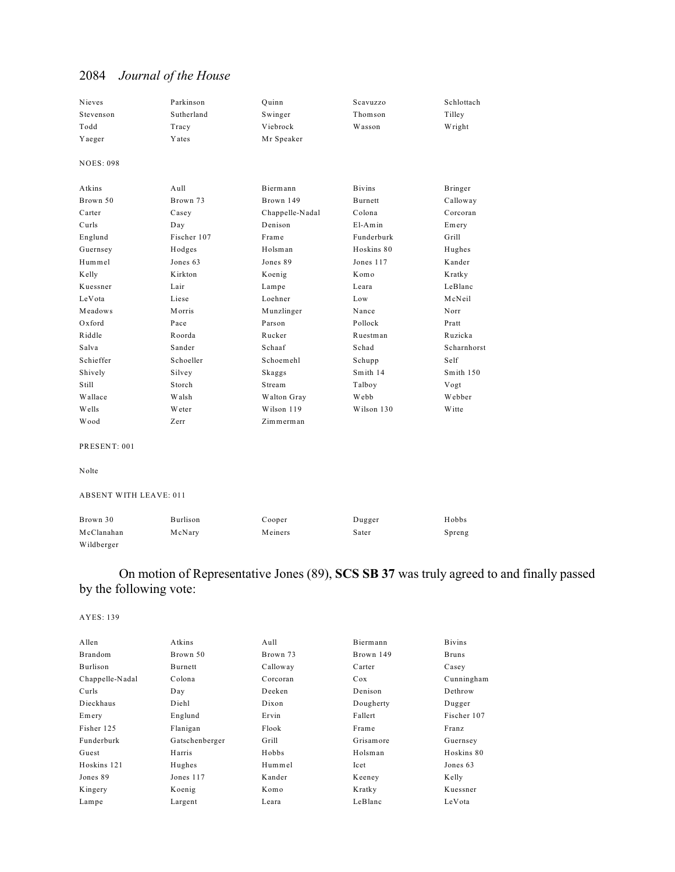| Nieves                        | Parkinson   | Quinn           | Scavuzzo      | Schlottach  |
|-------------------------------|-------------|-----------------|---------------|-------------|
| Stevenson                     | Sutherland  | Swinger         | Thomson       | Tilley      |
| Todd                          | Tracy       | Viebrock        | Wasson        | Wright      |
| Yaeger                        | Yates       | Mr Speaker      |               |             |
| <b>NOES: 098</b>              |             |                 |               |             |
|                               |             |                 |               |             |
| Atkins                        | Aull        | Biermann        | <b>Bivins</b> | Bringer     |
| Brown 50                      | Brown 73    | Brown 149       | Burnett       | Calloway    |
| Carter                        | Casey       | Chappelle-Nadal | Colona        | Corcoran    |
| Curls                         | Day         | Denison         | $E1-Amin$     | Emery       |
| Englund                       | Fischer 107 | Frame           | Funderburk    | Grill       |
| Guernsey                      | Hodges      | Holsman         | Hoskins 80    | Hughes      |
| Hummel                        | Jones 63    | Jones 89        | Jones 117     | Kander      |
| Kelly                         | Kirkton     | Koenig          | Komo          | Kratky      |
| Kuessner                      | Lair        | Lampe           | Leara         | LeBlanc     |
| LeVota                        | Liese       | Loehner         | Low           | McNeil      |
| Meadows                       | Morris      | Munzlinger      | Nance         | Norr        |
| Oxford                        | Pace        | Parson          | Pollock       | Pratt       |
| Riddle                        | Roorda      | Rucker          | Ruestman      | Ruzicka     |
| Salva                         | Sander      | Schaaf          | Schad         | Scharnhorst |
| Schieffer                     | Schoeller   | Schoemehl       | Schupp        | Self        |
| Shively                       | Silvey      | Skaggs          | Smith 14      | Smith 150   |
| Still                         | Storch      | Stream          | Talboy        | Vogt        |
| Wallace                       | Walsh       | Walton Gray     | Webb          | Webber      |
| Wells                         | Weter       | Wilson 119      | Wilson 130    | W itte      |
| Wood                          | Zerr        | Zimmerman       |               |             |
| PRESENT: 001                  |             |                 |               |             |
|                               |             |                 |               |             |
| Nolte                         |             |                 |               |             |
| <b>ABSENT WITH LEAVE: 011</b> |             |                 |               |             |
| Brown 30                      | Burlison    | Cooper          | Dugger        | Hobbs       |
| McClanahan                    | McNary      | Meiners         | Sater         | Spreng      |

## On motion of Representative Jones (89), **SCS SB 37** was truly agreed to and finally passed by the following vote:

## AYES: 139

Wildberger

| Allen           | Atkins         | Aull     | Biermann  | <b>Bivins</b> |
|-----------------|----------------|----------|-----------|---------------|
| Brandom         | Brown 50       | Brown 73 | Brown 149 | <b>Bruns</b>  |
| Burlison        | Burnett        | Calloway | Carter    | Casey         |
| Chappelle-Nadal | Colona         | Corcoran | Cox       | Cunningham    |
| Curls           | Day            | Deeken   | Denison   | Dethrow       |
| Dieckhaus       | Diehl          | Dixon    | Dougherty | Dugger        |
| Emery           | Englund        | Ervin    | Fallert   | Fischer 107   |
| Fisher 125      | Flanigan       | Flook    | Frame     | Franz         |
| Funderburk      | Gatschenberger | Grill    | Grisamore | Guernsey      |
| Guest           | Harris         | Hobbs    | Holsman   | Hoskins 80    |
| Hoskins 121     | Hughes         | Hummel   | Icet      | Jones 63      |
| Jones 89        | Jones 117      | Kander   | Keeney    | Kelly         |
| Kingery         | Koenig         | Komo     | Kratky    | Kuessner      |
| Lampe           | Largent        | Leara    | LeBlanc   | LeVota        |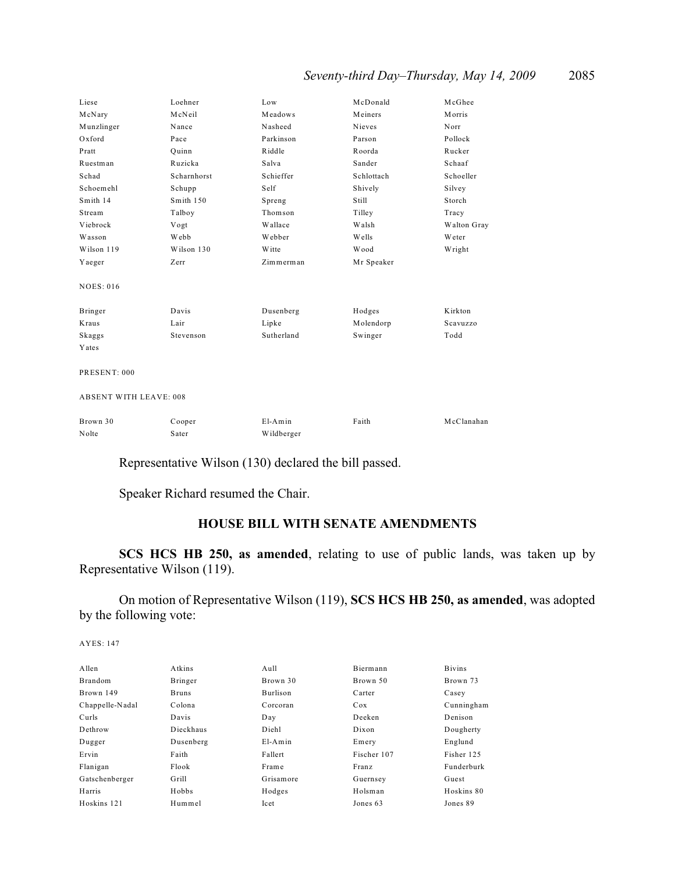## *Seventy-third Day–Thursday, May 14, 2009* 2085

| Liese                         | Loehner     | Low           | McDonald     | McGhee      |
|-------------------------------|-------------|---------------|--------------|-------------|
| McNary                        | McNeil      | Meadows       | Meiners      | Morris      |
| Munzlinger                    | Nance       | Nasheed       | Nieves       | Norr        |
| Oxford                        | Pace        | Parkinson     | Parson       | Pollock     |
| Pratt                         | Ouinn       | Riddle        | Roorda       | Rucker      |
| Ruestman                      | Ruzicka     | Salva         | Sander       | Schaaf      |
| Schad                         | Scharnhorst | Schieffer     | Schlottach   | Schoeller   |
| Schoemehl                     | Schupp      | Self          | Shively      | Silvey      |
| Smith 14                      | Smith 150   | Spreng        | Still        | Storch      |
| Stream                        | Talboy      | Thomson       | Tilley       | Tracy       |
| Viebrock                      | Vogt        | Wallace       | Walsh        | Walton Gray |
| Wasson                        | Webb        | Webber        | <b>Wells</b> | Weter       |
| Wilson 119                    | Wilson 130  | <b>W</b> itte | Wood         | Wright      |
| Yaeger                        | Zerr        | Zimmerman     | Mr Speaker   |             |
| <b>NOES: 016</b>              |             |               |              |             |
| Bringer                       | Davis       | Dusenberg     | Hodges       | Kirkton     |
| Kraus                         | Lair        | Lipke         | Molendorp    | Scavuzzo    |
| Skaggs                        | Stevenson   | Sutherland    | Swinger      | Todd        |
| Yates                         |             |               |              |             |
| PRESENT: 000                  |             |               |              |             |
| <b>ABSENT WITH LEAVE: 008</b> |             |               |              |             |

| Brown 30 | Cooper | $E1-Amin$  | Faith | McClanahan |
|----------|--------|------------|-------|------------|
| Nolte    | Sater  | Wildberger |       |            |

Representative Wilson (130) declared the bill passed.

Speaker Richard resumed the Chair.

## **HOUSE BILL WITH SENATE AMENDMENTS**

**SCS HCS HB 250, as amended**, relating to use of public lands, was taken up by Representative Wilson (119).

On motion of Representative Wilson (119), **SCS HCS HB 250, as amended**, was adopted by the following vote:

| A llen          | <b>Atkins</b> | $A$ ull   | Biermann     | <b>Bivins</b> |
|-----------------|---------------|-----------|--------------|---------------|
| <b>Brandom</b>  | Bringer       | Brown 30  | Brown 50     | Brown 73      |
| Brown 149       | <b>Bruns</b>  | Burlison  | Carter       | Casey         |
| Chappelle-Nadal | Colona        | Corcoran  | Cox          | Cunningham    |
| Curls           | Davis         | Day       | Deeken       | Denison       |
| Dethrow         | Dieckhaus     | Diehl     | Dixon        | Dougherty     |
| Dugger          | Dusenberg     | $E1-Amin$ | Emery        | Englund       |
| Ervin           | Faith         | Fallert   | Fischer 107  | Fisher 125    |
| Flanigan        | Flook         | Fram e    | <b>Franz</b> | Funderburk    |
| Gatschenberger  | Grill         | Grisamore | Guernsey     | Guest         |
| Harris          | Hobbs         | Hodges    | Holsman      | Hoskins 80    |
| Hoskins 121     | Hummel        | Icet      | Jones 63     | Jones 89      |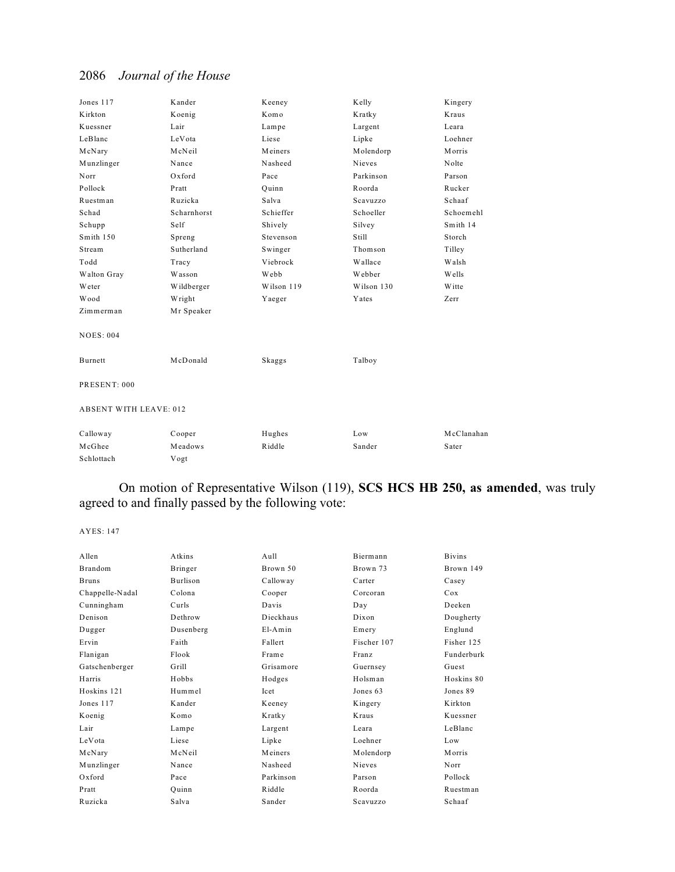| Jones 117                     | Kander      | Keeney     | Kelly      | Kingery       |
|-------------------------------|-------------|------------|------------|---------------|
| Kirkton                       | Koenig      | Komo       | Kratky     | Kraus         |
| Kuessner                      | Lair        | Lampe      | Largent    | Leara         |
| LeBlanc                       | LeVota      | Liese      | Lipke      | Loehner       |
| McNary                        | McNeil      | Meiners    | Molendorp  | Morris        |
| Munzlinger                    | Nance       | Nasheed    | Nieves     | Nolte         |
| Norr                          | Oxford      | Pace       | Parkinson  | Parson        |
| Pollock                       | Pratt       | Quinn      | Roorda     | Rucker        |
| Ruestman                      | Ruzicka     | Salva      | Scavuzzo   | Schaaf        |
| Schad                         | Scharnhorst | Schieffer  | Schoeller  | Schoemehl     |
| Schupp                        | Self        | Shively    | Silvey     | Smith 14      |
| Smith 150                     | Spreng      | Stevenson  | Still      | Storch        |
| Stream                        | Sutherland  | Swinger    | Thomson    | Tilley        |
| Todd                          | Tracy       | Viebrock   | Wallace    | Walsh         |
| Walton Gray                   | Wasson      | Webb       | Webber     | Wells         |
| Weter                         | Wildberger  | Wilson 119 | Wilson 130 | <b>W</b> itte |
| Wood                          | Wright      | Yaeger     | Yates      | Zerr          |
| Zimmerman                     | Mr Speaker  |            |            |               |
| <b>NOES: 004</b>              |             |            |            |               |
| Burnett                       | McDonald    | Skaggs     | Talboy     |               |
| PRESENT: 000                  |             |            |            |               |
| <b>ABSENT WITH LEAVE: 012</b> |             |            |            |               |
| Calloway                      | Cooper      | Hughes     | Low        | McClanahan    |
| McGhee                        | Meadows     | Riddle     | Sander     | Sater         |
| Schlottach                    | Vogt        |            |            |               |

## On motion of Representative Wilson (119), **SCS HCS HB 250, as amended**, was truly agreed to and finally passed by the following vote:

| Allen           | Atkins    | Aull      | Biermann    | <b>Bivins</b> |
|-----------------|-----------|-----------|-------------|---------------|
| Brandom         | Bringer   | Brown 50  | Brown 73    | Brown 149     |
| <b>Bruns</b>    | Burlison  | Calloway  | Carter      | Casey         |
| Chappelle-Nadal | Colona    | Cooper    | Corcoran    | Cox           |
| Cunningham      | Curls     | Davis     | Day         | Deeken        |
| Denison         | Dethrow   | Dieckhaus | Dixon       | Dougherty     |
| Dugger          | Dusenberg | $E1-Amin$ | Emery       | Englund       |
| Ervin           | Faith     | Fallert   | Fischer 107 | Fisher 125    |
| Flanigan        | Flook     | Frame     | Franz       | Funderburk    |
| Gatschenberger  | Grill     | Grisamore | Guernsey    | Guest         |
| Harris          | Hobbs     | Hodges    | Holsman     | Hoskins 80    |
| Hoskins 121     | Hummel    | Icet      | Jones 63    | Jones 89      |
| Jones 117       | Kander    | Keeney    | Kingery     | Kirkton       |
| Koenig          | Komo      | Kratky    | Kraus       | Kuessner      |
| Lair            | Lampe     | Largent   | Leara       | LeBlanc       |
| LeVota          | Liese     | Lipke     | Loehner     | Low           |
| McNary          | McNeil    | Meiners   | Molendorp   | <b>Morris</b> |
| Munzlinger      | Nance     | Nasheed   | Nieves      | Norr          |
| Oxford          | Pace      | Parkinson | Parson      | Pollock       |
| Pratt           | Ouinn     | Riddle    | Roorda      | Ruestman      |
| Ruzicka         | Salva     | Sander    | Scavuzzo    | Schaaf        |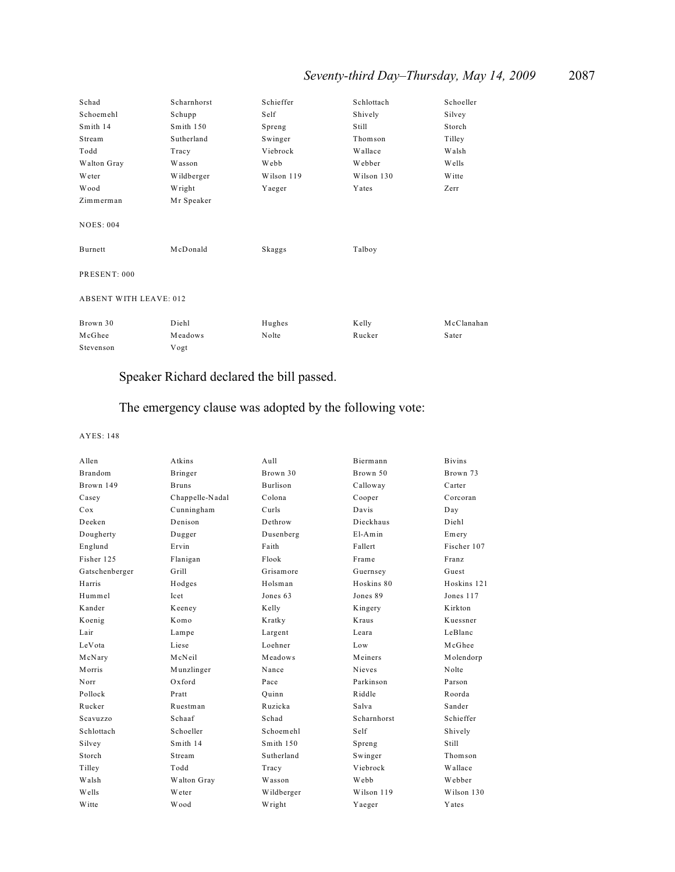| Schad                         | Scharnhorst | Schieffer  | Schlottach | Schoeller     |
|-------------------------------|-------------|------------|------------|---------------|
| Schoemehl                     | Schupp      | Self       | Shively    | Silvey        |
| Smith 14                      | Smith 150   | Spreng     | Still      | Storch        |
| Stream                        | Sutherland  | Swinger    | Thomson    | Tilley        |
| Todd                          | Tracy       | Viebrock   | Wallace    | Walsh         |
| Walton Gray                   | Wasson      | Webb       | Webber     | Wells         |
| Weter                         | Wildberger  | Wilson 119 | Wilson 130 | <b>W</b> itte |
| Wood                          | Wright      | Yaeger     | Yates      | Zerr          |
| Zimmerman                     | Mr Speaker  |            |            |               |
| <b>NOES: 004</b><br>Burnett   | McDonald    | Skaggs     | Talboy     |               |
| PRESENT: 000                  |             |            |            |               |
| <b>ABSENT WITH LEAVE: 012</b> |             |            |            |               |
| Brown 30                      | Diehl       | Hughes     | Kelly      | McClanahan    |
| McGhee                        | Meadows     | Nolte      | Rucker     | Sater         |
| Stevenson                     | Vogt        |            |            |               |

## Speaker Richard declared the bill passed.

# The emergency clause was adopted by the following vote:

| Allen          | Atkins          | Aull            | <b>Biermann</b> | <b>Bivins</b> |
|----------------|-----------------|-----------------|-----------------|---------------|
| <b>Brandom</b> | Bringer         | Brown 30        | Brown 50        | Brown 73      |
| Brown 149      | <b>Bruns</b>    | <b>Burlison</b> | Calloway        | Carter        |
| Casey          | Chappelle-Nadal | Colona          | Cooper          | Corcoran      |
| Cox            | Cunningham      | Curls           | Davis           | Day           |
| Deeken         | Denison         | Dethrow         | Dieckhaus       | Diehl         |
| Dougherty      | Dugger          | Dusenberg       | $E1-Amin$       | Emery         |
| Englund        | Ervin           | Faith           | Fallert         | Fischer 107   |
| Fisher 125     | Flanigan        | Flook           | Frame           | Franz         |
| Gatschenberger | Grill           | Grisamore       | Guernsey        | Guest         |
| Harris         | Hodges          | Holsman         | Hoskins 80      | Hoskins 121   |
| Hummel         | Icet            | Jones 63        | Jones 89        | Jones 117     |
| Kander         | Keeney          | Kelly           | Kingery         | Kirkton       |
| Koenig         | Komo            | Kratky          | Kraus           | Kuessner      |
| Lair           | Lampe           | Largent         | Leara           | LeBlanc       |
| LeVota         | Liese           | Loehner         | Low             | McGhee        |
| McNary         | McNeil          | Meadows         | Meiners         | Molendorp     |
| Morris         | Munzlinger      | Nance           | Nieves          | Nolte         |
| Norr           | $Ox$ ford       | Pace            | Parkinson       | Parson        |
| Pollock        | Pratt           | Ouinn           | Riddle          | Roorda        |
| Rucker         | Ruestman        | Ruzicka         | Salva           | Sander        |
| Scavuzzo       | Schaaf          | Schad           | Scharnhorst     | Schieffer     |
| Schlottach     | Schoeller       | Schoemehl       | Self            | Shively       |
| Silvey         | Smith 14        | Smith $150$     | Spreng          | Still         |
| Storch         | Stream          | Sutherland      | Swinger         | Thomson       |
| Tilley         | Todd            | Tracy           | Viebrock        | Wallace       |
| Walsh          | Walton Gray     | Wasson          | Webb            | Webber        |
| Wells          | Weter           | Wildberger      | Wilson 119      | Wilson 130    |
| Witte          | Wood            | Wright          | Yaeger          | Yates         |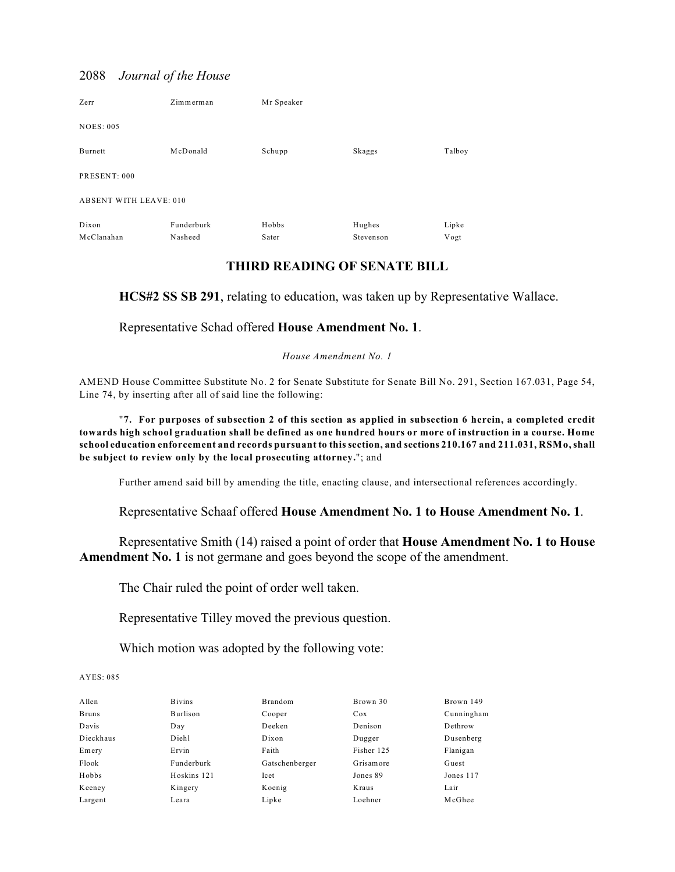| Zerr                          | Zimmerman  | Mr Speaker |           |        |
|-------------------------------|------------|------------|-----------|--------|
| <b>NOES: 005</b>              |            |            |           |        |
| Burnett                       | McDonald   | Schupp     | Skaggs    | Talboy |
| PRESENT: 000                  |            |            |           |        |
| <b>ABSENT WITH LEAVE: 010</b> |            |            |           |        |
| Dixon                         | Funderburk | Hobbs      | Hughes    | Lipke  |
| McClanahan                    | Nasheed    | Sater      | Stevenson | Vogt   |

## **THIRD READING OF SENATE BILL**

**HCS#2 SS SB 291**, relating to education, was taken up by Representative Wallace.

Representative Schad offered **House Amendment No. 1**.

*House Amendment No. 1*

AMEND House Committee Substitute No. 2 for Senate Substitute for Senate Bill No. 291, Section 167.031, Page 54, Line 74, by inserting after all of said line the following:

"**7. For purposes of subsection 2 of this section as applied in subsection 6 herein, a completed credit towards high school graduation shall be defined as one hundred hours or more of instruction in a course. Home school education enforcement and records pursuant to this section, and sections 210.167 and 211.031, RSMo, shall be subject to review only by the local prosecuting attorney.**"; and

Further amend said bill by amending the title, enacting clause, and intersectional references accordingly.

Representative Schaaf offered **House Amendment No. 1 to House Amendment No. 1**.

Representative Smith (14) raised a point of order that **House Amendment No. 1 to House Amendment No. 1** is not germane and goes beyond the scope of the amendment.

The Chair ruled the point of order well taken.

Representative Tilley moved the previous question.

Which motion was adopted by the following vote:

| Allen        | <b>Bivins</b> | Brandom        | Brown 30   | Brown 149  |
|--------------|---------------|----------------|------------|------------|
| <b>Bruns</b> | Burlison      | Cooper         | Cox        | Cunningham |
| Davis        | Day           | Deeken         | Denison    | Dethrow    |
| Dieckhaus    | Diehl         | Dixon          | Dugger     | Dusenberg  |
| Emery        | Ervin         | Faith          | Fisher 125 | Flanigan   |
| Flook        | Funderburk    | Gatschenberger | Grisamore  | Guest      |
| Hobbs        | Hoskins 121   | Icet           | Jones 89   | Jones 117  |
| Keeney       | Kingery       | Koenig         | Kraus      | Lair       |
| Largent      | Leara         | Lipke          | Loehner    | McGhee     |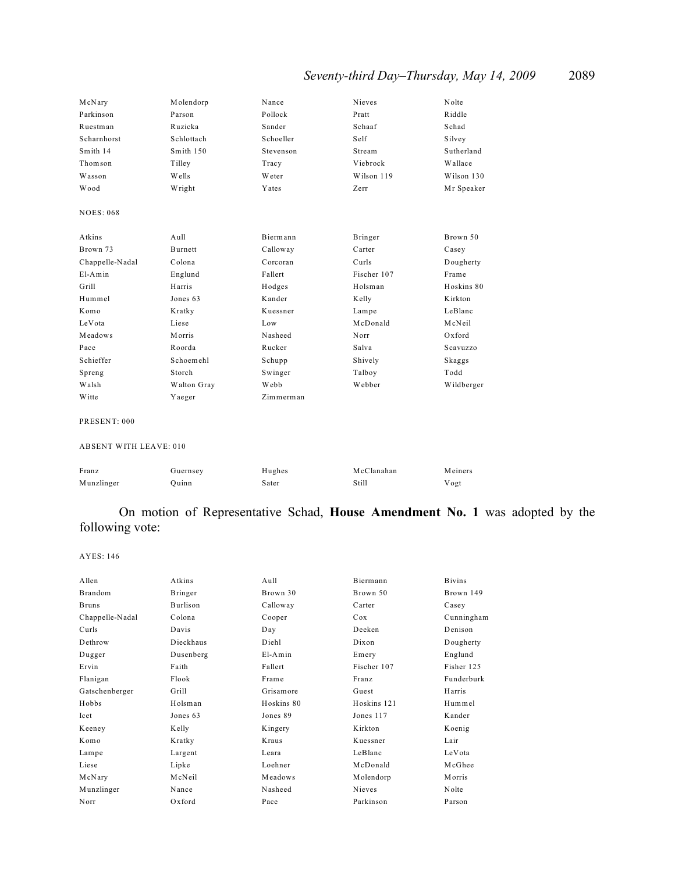# *Seventy-third Day–Thursday, May 14, 2009* 2089

| McNary           | Molendorp     | Nance     | Nieves      | Nolte      |
|------------------|---------------|-----------|-------------|------------|
| Parkinson        | Parson        | Pollock   | Pratt       | Riddle     |
| Ruestman         | Ruzicka       | Sander    | Schaaf      | Schad      |
| Scharnhorst      | Schlottach    | Schoeller | Self        | Silvey     |
| Smith 14         | Smith 150     | Stevenson | Stream      | Sutherland |
| Thomson          | Tilley        | Tracy     | Viebrock    | Wallace    |
| Wasson           | Wells         | Weter     | Wilson 119  | Wilson 130 |
| Wood             | Wright        | Yates     | Zerr        | Mr Speaker |
| <b>NOES: 068</b> |               |           |             |            |
|                  |               |           |             |            |
| Atkins           | Aull          | Biermann  | Bringer     | Brown 50   |
| Brown 73         | Burnett       | Calloway  | Carter      | Casey      |
| Chappelle-Nadal  | Colona        | Corcoran  | Curls       | Dougherty  |
| $E1-Amin$        | Englund       | Fallert   | Fischer 107 | Frame      |
| Grill            | Harris        | Hodges    | Holsman     | Hoskins 80 |
| Hummel           | Jones 63      | Kander    | Kelly       | Kirkton    |
| Komo             | Kratky        | Kuessner  | Lampe       | LeBlanc    |
| LeVota           | Liese         | Low       | McDonald    | McNeil     |
| Meadows          | <b>Morris</b> | Nasheed   | Norr        | Oxford     |
| Pace             | Roorda        | Rucker    | Salva       | Scavuzzo   |
| Schieffer        | Schoemehl     | Schupp    | Shively     | Skaggs     |
| Spreng           | Storch        | Swinger   | Talboy      | Todd       |
| Walsh            | Walton Gray   | Webb      | Webber      | Wildberger |
| Witte            | Yaeger        | Zimmerman |             |            |

#### PRESENT: 000

#### ABSENT WITH LEAVE: 010

| Franz      | Guernsey | Hughes | McClanahan | Meiners |
|------------|----------|--------|------------|---------|
| Munzlinger | Ouinn    | Sater  | Still      | Vogt    |

## On motion of Representative Schad, **House Amendment No. 1** was adopted by the following vote:

| Allen           | Atkins          | Aull         | Biermann      | <b>Bivins</b> |
|-----------------|-----------------|--------------|---------------|---------------|
| Brandom         | Bringer         | Brown 30     | Brown 50      | Brown 149     |
| <b>Bruns</b>    | <b>Burlison</b> | Calloway     | Carter        | Casey         |
| Chappelle-Nadal | Colona          | Cooper       | Cox           | Cunningham    |
| Curls           | Davis           | Day          | Deeken        | Denison       |
| Dethrow         | Dieckhaus       | Diehl        | Dixon         | Dougherty     |
| Dugger          | Dusenberg       | $E1-Amin$    | Emery         | Englund       |
| Ervin           | Faith           | Fallert      | Fischer 107   | Fisher 125    |
| Flanigan        | Flook           | Frame        | Franz         | Funderburk    |
| Gatschenberger  | Grill           | Grisamore    | Guest         | Harris        |
| Hobbs           | Holsman         | Hoskins 80   | Hoskins 121   | Hummel        |
| Icet            | Jones 63        | Jones 89     | Jones 117     | Kander        |
| Keeney          | Kelly           | Kingery      | Kirkton       | Koenig        |
| Komo            | Kratky          | <b>Kraus</b> | Kuessner      | Lair          |
| Lampe           | Largent         | Leara        | LeBlanc       | LeVota        |
| Liese           | Lipke           | Loehner      | McDonald      | McGhee        |
| McNary          | McNeil          | Meadows      | Molendorp     | <b>Morris</b> |
| Munzlinger      | Nance           | Nasheed      | <b>Nieves</b> | Nolte         |
| Norr            | $Ox$ ford       | Pace         | Parkinson     | Parson        |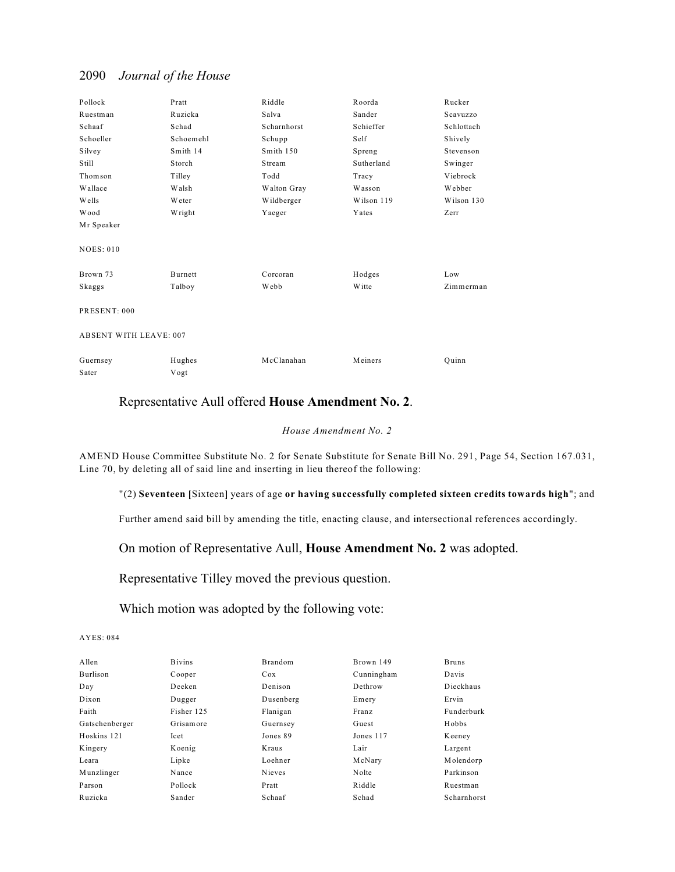| Pollock                       | Pratt     | Riddle      | Roorda     | Rucker     |
|-------------------------------|-----------|-------------|------------|------------|
| Ruestman                      | Ruzicka   | Salva       | Sander     | Scavuzzo   |
| Schaaf                        | Schad     | Scharnhorst | Schieffer  | Schlottach |
| Schoeller                     | Schoemehl | Schupp      | Self       | Shively    |
| Silvey                        | Smith 14  | Smith 150   | Spreng     | Stevenson  |
| Still                         | Storch    | Stream      | Sutherland | Swinger    |
| Thomson                       | Tilley    | Todd        | Tracy      | Viebrock   |
| Wallace                       | Walsh     | Walton Gray | Wasson     | Webber     |
| Wells                         | Weter     | Wildberger  | Wilson 119 | Wilson 130 |
| Wood                          | Wright    | Yaeger      | Yates      | Zerr       |
| Mr Speaker                    |           |             |            |            |
| <b>NOES: 010</b>              |           |             |            |            |
|                               |           |             |            |            |
| Brown 73                      | Burnett   | Corcoran    | Hodges     | Low        |
| Skaggs                        | Talboy    | Webb        | Witte      | Zimmerman  |
| PRESENT: 000                  |           |             |            |            |
| <b>ABSENT WITH LEAVE: 007</b> |           |             |            |            |
| Guernsey                      | Hughes    | McClanahan  | Meiners    | Ouinn      |
| Sater                         | Vogt      |             |            |            |

## Representative Aull offered **House Amendment No. 2**.

#### *House Amendment No. 2*

AMEND House Committee Substitute No. 2 for Senate Substitute for Senate Bill No. 291, Page 54, Section 167.031, Line 70, by deleting all of said line and inserting in lieu thereof the following:

#### "(2) **Seventeen [**Sixteen**]** years of age **or having successfully completed sixteen credits towards high**"; and

Further amend said bill by amending the title, enacting clause, and intersectional references accordingly.

### On motion of Representative Aull, **House Amendment No. 2** was adopted.

Representative Tilley moved the previous question.

### Which motion was adopted by the following vote:

| Allen          | <b>Bivins</b> | <b>Brandom</b> | Brown 149  | <b>Bruns</b> |
|----------------|---------------|----------------|------------|--------------|
|                |               |                |            |              |
| Burlison       | Cooper        | Cox            | Cunningham | Davis        |
| Day            | Deeken        | Denison        | Dethrow    | Dieckhaus    |
| Dixon          | Dugger        | Dusenberg      | Emery      | Ervin        |
| Faith          | Fisher 125    | Flanigan       | Franz      | Funderburk   |
| Gatschenberger | Grisamore     | Guernsey       | Guest      | Hobbs        |
| Hoskins 121    | Icet          | Jones 89       | Jones 117  | Keeney       |
| Kingery        | Koenig        | Kraus          | Lair       | Largent      |
| Leara          | Lipke         | Loehner        | McNary     | Molendorp    |
| Munzlinger     | Nance         | Nieves         | Nolte      | Parkinson    |
| Parson         | Pollock       | Pratt          | Riddle     | Ruestman     |
| Ruzicka        | Sander        | Schaaf         | Schad      | Scharnhorst  |
|                |               |                |            |              |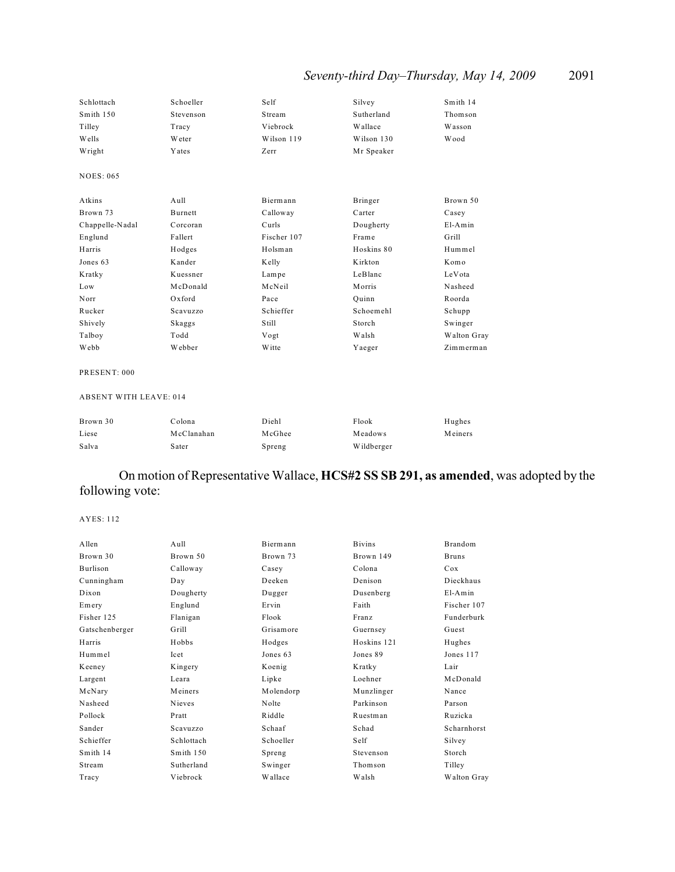# *Seventy-third Day–Thursday, May 14, 2009* 2091

| Schlottach       | Schoeller     | Self        | Silvey     | Smith 14    |
|------------------|---------------|-------------|------------|-------------|
| Smith 150        | Stevenson     | Stream      | Sutherland | Thomson     |
| Tilley           | Tracy         | Viebrock    | Wallace    | Wasson      |
| Wells            | <b>W</b> eter | Wilson 119  | Wilson 130 | Wood        |
| Wright           | Yates         | Zerr        | Mr Speaker |             |
| <b>NOES: 065</b> |               |             |            |             |
| Atkins           | Aull          | Biermann    | Bringer    | Brown 50    |
| Brown 73         | Burnett       | Calloway    | Carter     | Casey       |
| Chappelle-Nadal  | Corcoran      | Curls       | Dougherty  | $E1-Amin$   |
| Englund          | Fallert       | Fischer 107 | Frame      | Grill       |
| Harris           | Hodges        | Holsman     | Hoskins 80 | Hummel      |
| Jones 63         | Kander        | Kelly       | Kirkton    | Komo        |
| Kratky           | Kuessner      | Lampe       | LeBlanc    | LeVota      |
| Low              | McDonald      | McNeil      | Morris     | Nasheed     |
| Norr             | Oxford        | Pace        | Quinn      | Roorda      |
| Rucker           | Scavuzzo      | Schieffer   | Schoemehl  | Schupp      |
| Shively          | Skaggs        | Still       | Storch     | Swinger     |
| Talboy           | Todd          | Vogt        | Walsh      | Walton Gray |
| Webb             | Webber        | W itte      | Yaeger     | Zimmerman   |

#### PRESENT: 000

#### ABSENT WITH LEAVE: 014

| Brown 30 | Colona     | Diehl  | Flook      | Hughes  |
|----------|------------|--------|------------|---------|
| Liese    | McClanahan | McGhee | Meadows    | Meiners |
| Salva    | Sater      | Spreng | Wildberger |         |

## On motion of Representative Wallace, **HCS#2 SS SB 291, as amended**, was adopted by the following vote:

| Allen          | Aull          | Biermann  | <b>Bivins</b> | Brandom      |
|----------------|---------------|-----------|---------------|--------------|
| Brown 30       | Brown 50      | Brown 73  | Brown 149     | <b>Bruns</b> |
| Burlison       | Calloway      | Casey     | Colona        | Cox          |
| Cunningham     | Day           | Deeken    | Denison       | Dieckhaus    |
| Dixon          | Dougherty     | Dugger    | Dusenberg     | $E1-Amin$    |
| Emery          | Englund       | Ervin     | Faith         | Fischer 107  |
| Fisher 125     | Flanigan      | Flook     | Franz         | Funderburk   |
| Gatschenberger | Grill         | Grisamore | Guernsey      | Guest        |
| Harris         | Hobbs         | Hodges    | Hoskins 121   | Hughes       |
| Hummel         | Icet          | Jones 63  | Jones 89      | Jones 117    |
| Keeney         | Kingery       | Koenig    | Kratky        | Lair         |
| Largent        | Leara         | Lipke     | Loehner       | McDonald     |
| McNary         | Meiners       | Molendorp | Munzlinger    | Nance        |
| Nasheed        | <b>Nieves</b> | Nolte     | Parkinson     | Parson       |
| Pollock        | Pratt         | Riddle    | Ruestman      | Ruzicka      |
| Sander         | Scavuzzo      | Schaaf    | Schad         | Scharnhorst  |
| Schieffer      | Schlottach    | Schoeller | Self          | Silvey       |
| Smith 14       | Smith 150     | Spreng    | Stevenson     | Storch       |
| Stream         | Sutherland    | Swinger   | Thomson       | Tilley       |
| Tracy          | Viebrock      | Wallace   | Walsh         | Walton Gray  |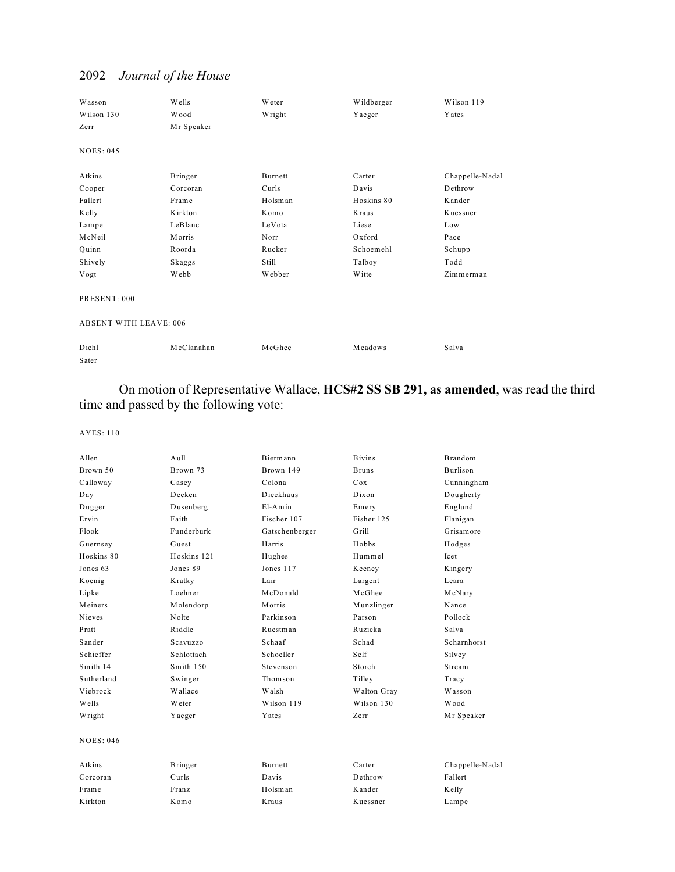| Wasson<br>Wilson 130<br>Zerr  | Wells<br>Wood<br>Mr Speaker | <b>W</b> eter<br>Wright | Wildberger<br>Yaeger | Wilson 119<br>Yates |
|-------------------------------|-----------------------------|-------------------------|----------------------|---------------------|
| <b>NOES: 045</b>              |                             |                         |                      |                     |
| Atkins                        | Bringer                     | <b>Burnett</b>          | Carter               | Chappelle-Nadal     |
| Cooper                        | Corcoran                    | Curls                   | Davis                | Dethrow             |
| Fallert                       | Frame                       | Holsman                 | Hoskins 80           | Kander              |
| Kelly                         | Kirkton                     | Komo                    | Kraus                | Kuessner            |
| Lampe                         | LeBlanc                     | LeVota                  | Liese                | Low                 |
| McNeil                        | Morris                      | Norr                    | Oxford               | Pace                |
| Quinn                         | Roorda                      | Rucker                  | Schoemehl            | Schupp              |
| Shively                       | Skaggs                      | Still                   | Talboy               | Todd                |
| Vogt                          | Webb                        | Webber                  | Witte                | Zimmerman           |
| PRESENT: 000                  |                             |                         |                      |                     |
| <b>ABSENT WITH LEAVE: 006</b> |                             |                         |                      |                     |
| Diehl<br>Sater                | McClanahan                  | McGhee                  | Meadows              | Salva               |

## On motion of Representative Wallace, **HCS#2 SS SB 291, as amended**, was read the third time and passed by the following vote:

| Allen            | Aull        | Biermann       | <b>Bivins</b> | <b>Brandom</b>  |
|------------------|-------------|----------------|---------------|-----------------|
| Brown 50         | Brown 73    | Brown 149      | <b>Bruns</b>  | <b>Burlison</b> |
| Calloway         | Casey       | Colona         | Cox           | Cunningham      |
| Day              | Deeken      | Dieckhaus      | Dixon         | Dougherty       |
| Dugger           | Dusenberg   | $E1-Amin$      | Emery         | Englund         |
| Ervin            | Faith       | Fischer 107    | Fisher 125    | Flanigan        |
| Flook            | Funderburk  | Gatschenberger | Grill         | Grisamore       |
| Guernsey         | Guest       | Harris         | Hobbs         | Hodges          |
| Hoskins 80       | Hoskins 121 | Hughes         | Hummel        | Icet            |
| Jones 63         | Jones 89    | Jones 117      | Keeney        | Kingery         |
| Koenig           | Kratky      | Lair           | Largent       | Leara           |
| Lipke            | Loehner     | McDonald       | McGhee        | McNary          |
| Meiners          | Molendorp   | Morris         | Munzlinger    | Nance           |
| Nieves           | Nolte       | Parkinson      | Parson        | Pollock         |
| Pratt            | Riddle      | Ruestman       | Ruzicka       | Salva           |
| Sander           | Scavuzzo    | Schaaf         | Schad         | Scharnhorst     |
| Schieffer        | Schlottach  | Schoeller      | Self          | Silvey          |
| Smith 14         | Smith 150   | Stevenson      | Storch        | Stream          |
| Sutherland       | Swinger     | Thomson        | Tilley        | Tracy           |
| Viebrock         | Wallace     | Walsh          | Walton Gray   | Wasson          |
| Wells            | Weter       | Wilson 119     | Wilson 130    | Wood            |
| Wright           | Yaeger      | Yates          | Zerr          | Mr Speaker      |
| <b>NOES: 046</b> |             |                |               |                 |
| Atkins           | Bringer     | <b>Burnett</b> | Carter        | Chappelle-Nadal |
| Corcoran         | Curls       | Davis          | Dethrow       | Fallert         |
| Frame            | Franz       | Holsman        | Kander        | Kelly           |
| Kirkton          | Komo        | Kraus          | Kuessner      | Lampe           |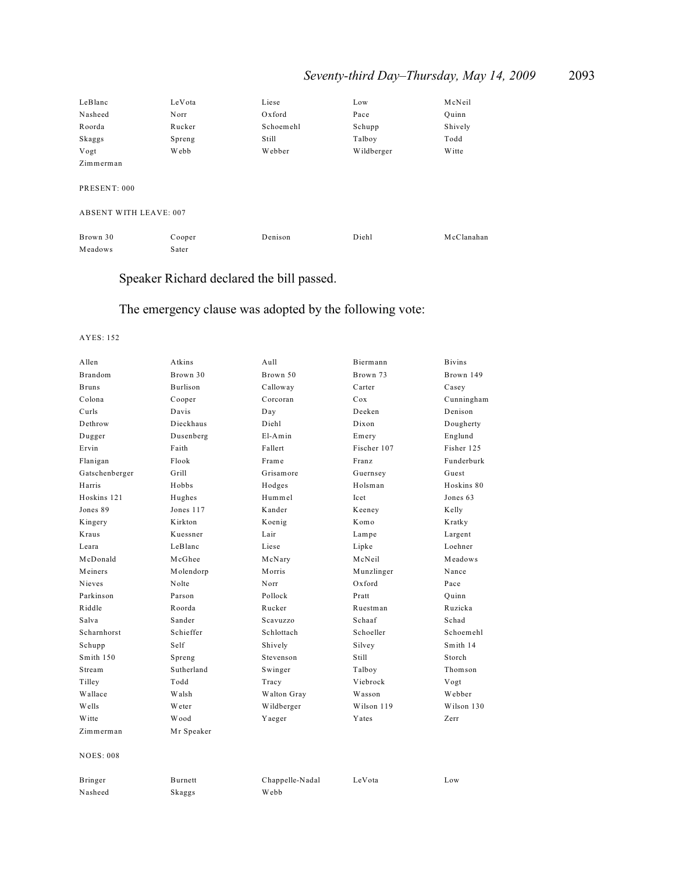# *Seventy-third Day–Thursday, May 14, 2009* 2093

| LeBlanc                       | LeVota | Liese     | Low        | McNeil        |
|-------------------------------|--------|-----------|------------|---------------|
| Nasheed                       | Norr   | Oxford    | Pace       | Ouinn         |
| Roorda                        | Rucker | Schoemehl | Schupp     | Shively       |
| Skaggs                        | Spreng | Still     | Talboy     | Todd          |
| Vogt                          | Webb   | Webber    | Wildberger | <b>W</b> itte |
| Zimmerman                     |        |           |            |               |
| PRESENT: 000                  |        |           |            |               |
| <b>ABSENT WITH LEAVE: 007</b> |        |           |            |               |
| Brown 30                      | Cooper | Denison   | Diehl      | McClanahan    |
| Meadows                       | Sater  |           |            |               |

# Speaker Richard declared the bill passed.

# The emergency clause was adopted by the following vote:

| Allen            | Atkins     | Aull            | Biermann    | <b>Bivins</b> |
|------------------|------------|-----------------|-------------|---------------|
| Brandom          | Brown 30   | Brown 50        | Brown 73    | Brown 149     |
| <b>Bruns</b>     | Burlison   | Calloway        | Carter      | Casey         |
| Colona           | Cooper     | Corcoran        | Cox         | Cunningham    |
| Curls            | Davis      | Day             | Deeken      | Denison       |
| Dethrow          | Dieckhaus  | Diehl           | Dixon       | Dougherty     |
| Dugger           | Dusenberg  | $E1-Amin$       | Emery       | Englund       |
| Ervin            | Faith      | Fallert         | Fischer 107 | Fisher 125    |
| Flanigan         | Flook      | Frame           | Franz       | Funderburk    |
| Gatschenberger   | Grill      | Grisamore       | Guernsey    | Guest         |
| Harris           | Hobbs      | Hodges          | Holsman     | Hoskins 80    |
| Hoskins 121      | Hughes     | Hummel          | Icet        | Jones 63      |
| Jones 89         | Jones 117  | Kander          | Keeney      | Kelly         |
| Kingery          | Kirkton    | Koenig          | Komo        | Kratky        |
| Kraus            | Kuessner   | Lair            | Lampe       | Largent       |
| Leara            | LeBlanc    | Liese           | Lipke       | Loehner       |
| McDonald         | McGhee     | McNary          | McNeil      | Meadows       |
| Meiners          | Molendorp  | Morris          | Munzlinger  | Nance         |
| Nieves           | Nolte      | Norr            | Oxford      | Pace          |
| Parkinson        | Parson     | Pollock         | Pratt       | Quinn         |
| Riddle           | Roorda     | Rucker          | Ruestman    | Ruzicka       |
| Salva            | Sander     | Scavuzzo        | Schaaf      | Schad         |
| Scharnhorst      | Schieffer  | Schlottach      | Schoeller   | Schoemehl     |
| Schupp           | Self       | Shively         | Silvey      | Smith 14      |
| Smith 150        | Spreng     | Stevenson       | Still       | Storch        |
| Stream           | Sutherland | Swinger         | Talboy      | Thomson       |
| Tilley           | Todd       | Tracy           | Viebrock    | Vogt          |
| Wallace          | Walsh      | Walton Gray     | Wasson      | Webber        |
| Wells            | Weter      | Wildberger      | Wilson 119  | Wilson 130    |
| Witte            | Wood       | Yaeger          | Yates       | Zerr          |
| Zimmerman        | Mr Speaker |                 |             |               |
| <b>NOES: 008</b> |            |                 |             |               |
| Bringer          | Burnett    | Chappelle-Nadal | LeVota      | Low           |
| Nasheed          | Skaggs     | Webb            |             |               |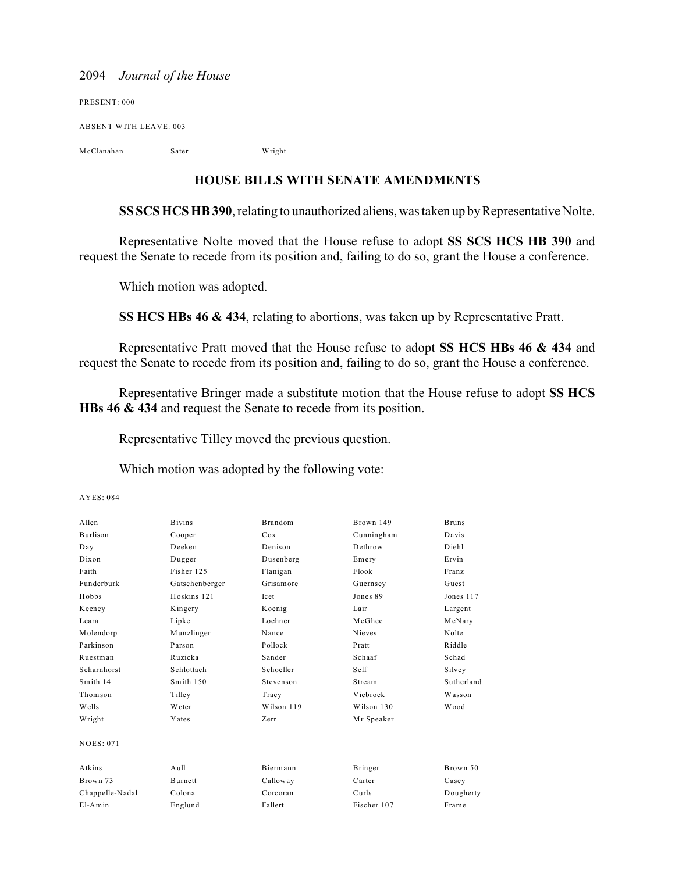PRESENT: 000 ABSENT WITH LEAVE: 003 McClanahan Sater Wright

**HOUSE BILLS WITH SENATE AMENDMENTS**

**SS SCS HCS HB 390**, relating to unauthorized aliens, was taken up by Representative Nolte.

Representative Nolte moved that the House refuse to adopt **SS SCS HCS HB 390** and request the Senate to recede from its position and, failing to do so, grant the House a conference.

Which motion was adopted.

**SS HCS HBs 46 & 434**, relating to abortions, was taken up by Representative Pratt.

Representative Pratt moved that the House refuse to adopt **SS HCS HBs 46 & 434** and request the Senate to recede from its position and, failing to do so, grant the House a conference.

Representative Bringer made a substitute motion that the House refuse to adopt **SS HCS HBs 46 & 434** and request the Senate to recede from its position.

Representative Tilley moved the previous question.

Which motion was adopted by the following vote:

| Allen            | <b>Bivins</b>     | <b>Brandom</b> | Brown 149     | <b>Bruns</b> |
|------------------|-------------------|----------------|---------------|--------------|
| <b>Burlison</b>  | Cooper            | Cox            | Cunningham    | Davis        |
| Day              | Deeken            | Denison        | Dethrow       | Diehl        |
| Dixon            | Dugger            | Dusenberg      | Emery         | Ervin        |
| Faith            | Fisher 125        | Flanigan       | Flook         | Franz        |
| Funderburk       | Gatschenberger    | Grisamore      | Guernsey      | Guest        |
| Hobbs            | Hoskins 121       | <b>Icet</b>    | Jones 89      | Jones 117    |
| Keeney           | Kingery           | Koenig         | Lair          | Largent      |
| Leara            | Lipke             | Loehner        | McGhee        | McNary       |
| Molendorp        | Munzlinger        | Nance          | <b>Nieves</b> | Nolte        |
| Parkinson        | Parson            | Pollock        | Pratt         | Riddle       |
| Ruestman         | Ruzicka           | Sander         | Schaaf        | Schad        |
| Scharnhorst      | Schlottach        | Schoeller      | Self          | Silvey       |
| Smith 14         | Smith 150         | Stevenson      | Stream        | Sutherland   |
| Thomson          | Tilley            | Tracy          | Viebrock      | Wasson       |
| Wells            | Weter             | Wilson 119     | Wilson 130    | Wood         |
| Wright           | Yates             | Zerr           | Mr Speaker    |              |
| <b>NOES: 071</b> |                   |                |               |              |
| Atkins           | A <sub>u</sub> 11 | Biermann       | Bringer       | Brown 50     |
| Brown 73         | <b>Burnett</b>    | Calloway       | Carter        | Casey        |
| Chappelle-Nadal  | Colona            | Corcoran       | Curls         | Dougherty    |
| $E1-Amin$        | Englund           | Fallert        | Fischer 107   | Frame        |
|                  |                   |                |               |              |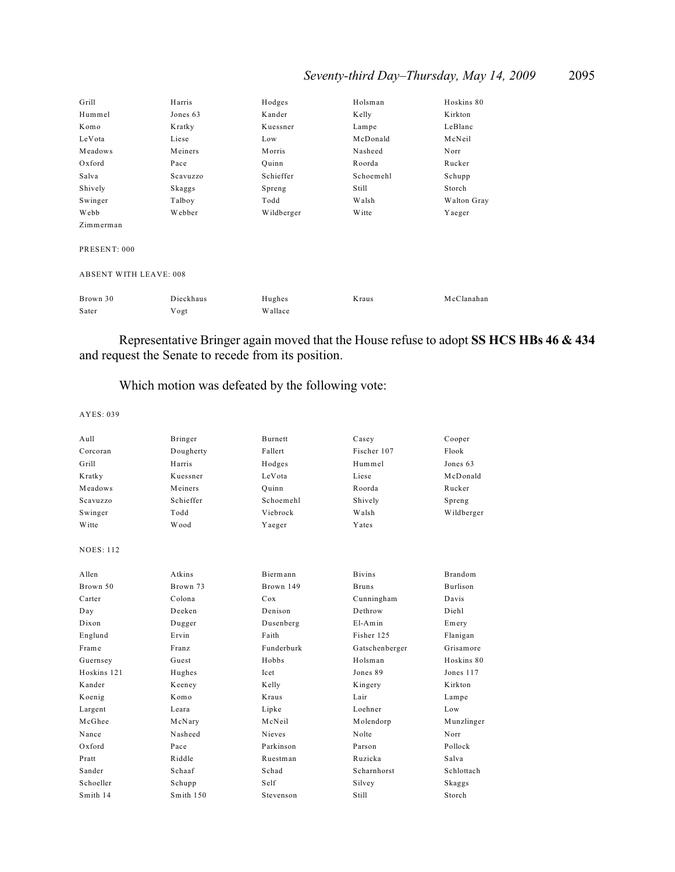## *Seventy-third Day–Thursday, May 14, 2009* 2095

| Grill                         | Harris    | Hodges     | Holsman   | Hoskins 80  |  |
|-------------------------------|-----------|------------|-----------|-------------|--|
| Hummel                        | Jones 63  | Kander     | Kelly     | Kirkton     |  |
| Komo                          | Kratky    | Kuessner   | Lampe     | LeBlanc     |  |
| LeVota                        | Liese     | Low        | McDonald  | McNeil      |  |
| Meadows                       | Meiners   | Morris     | Nasheed   | Norr        |  |
| Oxford                        | Pace      | Quinn      | Roorda    | Rucker      |  |
| Salva                         | Scavuzzo  | Schieffer  | Schoemehl | Schupp      |  |
| Shively                       | Skaggs    | Spreng     | Still     | Storch      |  |
| Swinger                       | Talboy    | Todd       | Walsh     | Walton Gray |  |
| Webb                          | Webber    | Wildberger | Witte     | Yaeger      |  |
| Zimmerman                     |           |            |           |             |  |
| PRESENT: 000                  |           |            |           |             |  |
|                               |           |            |           |             |  |
| <b>ABSENT WITH LEAVE: 008</b> |           |            |           |             |  |
| Brown 30                      | Dieckhaus | Hughes     | Kraus     | McClanahan  |  |
| Sater                         | Vogt      | Wallace    |           |             |  |
|                               |           |            |           |             |  |

Representative Bringer again moved that the House refuse to adopt **SS HCS HBs 46 & 434** and request the Senate to recede from its position.

## Which motion was defeated by the following vote:

| Aull             | Bringer   | Burnett         | Casey          | Cooper          |
|------------------|-----------|-----------------|----------------|-----------------|
| Corcoran         | Dougherty | Fallert         | Fischer 107    | Flook           |
| Grill            | Harris    | Hodges          | Hummel         | Jones 63        |
| Kratky           | Kuessner  | LeVota          | Liese          | McDonald        |
| Meadows          | Meiners   | Ouinn           | Roorda         | Rucker          |
| Scavuzzo         | Schieffer | Schoemehl       | Shively        | Spreng          |
| Swinger          | Todd      | Viebrock        | Walsh          | Wildberger      |
| Witte            | Wood      | Yaeger          | Yates          |                 |
| <b>NOES: 112</b> |           |                 |                |                 |
| A llen           | Atkins    | Biermann        | <b>Bivins</b>  | <b>Brandom</b>  |
| Brown 50         | Brown 73  | Brown 149       | <b>Bruns</b>   | <b>Burlison</b> |
| Carter           | Colona    | C <sub>ox</sub> | Cunningham     | Davis           |
| Day              | Deeken    | Denison         | Dethrow        | Diehl           |
| Dixon            | Dugger    | Dusenberg       | $E1-Amin$      | Emery           |
| Englund          | Ervin     | Faith           | Fisher 125     | Flanigan        |
| Frame            | Franz     | Funderburk      | Gatschenberger | Grisamore       |
| Guernsey         | Guest     | Hobbs           | Holsman        | Hoskins 80      |
| Hoskins 121      | Hughes    | Icet            | Jones 89       | Jones 117       |
| Kander           | Keeney    | Kelly           | Kingery        | Kirkton         |
| Koenig           | Komo      | Kraus           | Lair           | Lampe           |
| Largent          | Leara     | Lipke           | Loehner        | Low             |
| McGhee           | McNary    | McNeil          | Molendorp      | Munzlinger      |
| Nance            | Nasheed   | <b>Nieves</b>   | Nolte          | Norr            |
| $Ox$ ford        | Pace      | Parkinson       | Parson         | Pollock         |
| Pratt            | Riddle    | Ruestman        | Ruzicka        | Salva           |
| Sander           | Schaaf    | Schad           | Scharnhorst    | Schlottach      |
| Schoeller        | Schupp    | Self            | Silvey         | Skaggs          |
| Smith 14         | Smith 150 | Stevenson       | Still          | Storch          |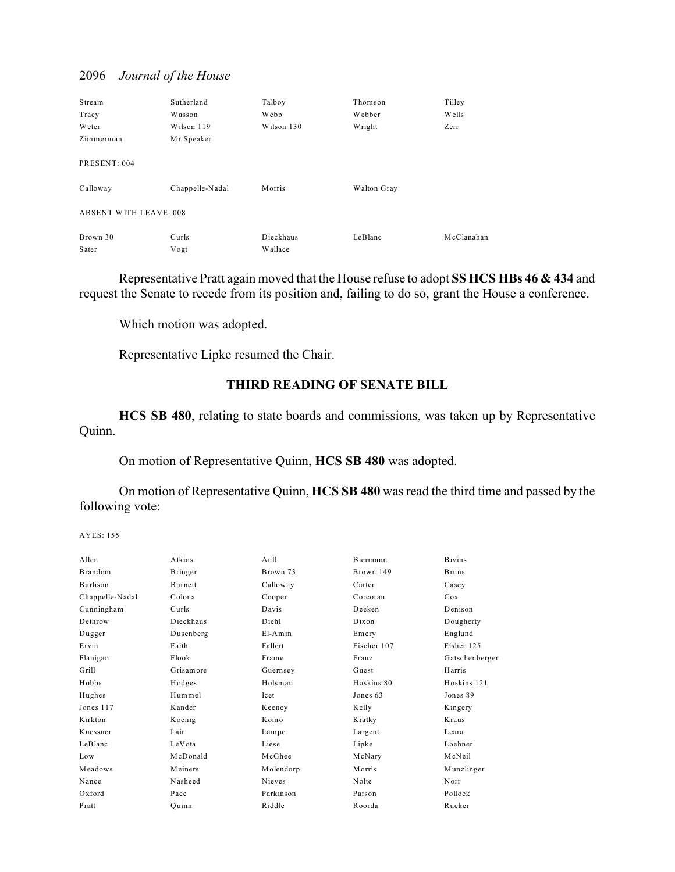| Stream                        | Sutherland      | Talboy     | Thomson     | Tilley     |
|-------------------------------|-----------------|------------|-------------|------------|
| Tracy                         | Wasson          | Webb       | Webber      | Wells      |
| Weter                         | Wilson 119      | Wilson 130 | Wright      | Zerr       |
| Zimmerman                     | Mr Speaker      |            |             |            |
| PRESENT: 004                  |                 |            |             |            |
| Calloway                      | Chappelle-Nadal | Morris     | Walton Gray |            |
| <b>ABSENT WITH LEAVE: 008</b> |                 |            |             |            |
| Brown 30                      | Curls           | Dieckhaus  | LeBlanc     | McClanahan |
| Sater                         | Vogt            | Wallace    |             |            |

Representative Pratt again moved that the House refuse to adopt **SS HCS HBs 46 & 434** and request the Senate to recede from its position and, failing to do so, grant the House a conference.

Which motion was adopted.

Representative Lipke resumed the Chair.

## **THIRD READING OF SENATE BILL**

**HCS SB 480**, relating to state boards and commissions, was taken up by Representative Quinn.

On motion of Representative Quinn, **HCS SB 480** was adopted.

On motion of Representative Quinn, **HCS SB 480** was read the third time and passed by the following vote:

| A llen          | Atkins         | $A$ ull   | Biermann    | <b>Bivins</b>  |
|-----------------|----------------|-----------|-------------|----------------|
| Brandom         | Bringer        | Brown 73  | Brown 149   | <b>Bruns</b>   |
| Burlison        | <b>Burnett</b> | Calloway  | Carter      | Casey          |
| Chappelle-Nadal | Colona         | Cooper    | Corcoran    | Cox            |
| Cunningham      | Curls          | Davis     | Deeken      | Denison        |
| Dethrow         | Dieckhaus      | Diehl     | Dixon       | Dougherty      |
| Dugger          | Dusenberg      | $E1-Amin$ | Emery       | Englund        |
| Ervin           | Faith          | Fallert   | Fischer 107 | Fisher 125     |
| Flanigan        | Flook          | Frame     | Franz       | Gatschenberger |
| Grill           | Grisamore      | Guernsey  | Guest       | Harris         |
| Hobbs           | Hodges         | Holsman   | Hoskins 80  | Hoskins 121    |
| Hughes          | Hummel         | Icet      | Jones 63    | Jones 89       |
| Jones 117       | Kander         | Keeney    | Kelly       | Kingery        |
| Kirkton         | Koenig         | Komo      | Kratky      | Kraus          |
| Kuessner        | Lair           | Lampe     | Largent     | Leara          |
| LeBlanc         | LeVota         | Liese     | Lipke       | Loehner        |
| Low             | McDonald       | McGhee    | McNary      | McNeil         |
| Meadows         | Meiners        | Molendorp | Morris      | Munzlinger     |
| Nance           | Nasheed        | Nieves    | Nolte       | Norr           |
| Oxford          | Pace           | Parkinson | Parson      | Pollock        |
| Pratt           | Ouinn          | Riddle    | Roorda      | Rucker         |
|                 |                |           |             |                |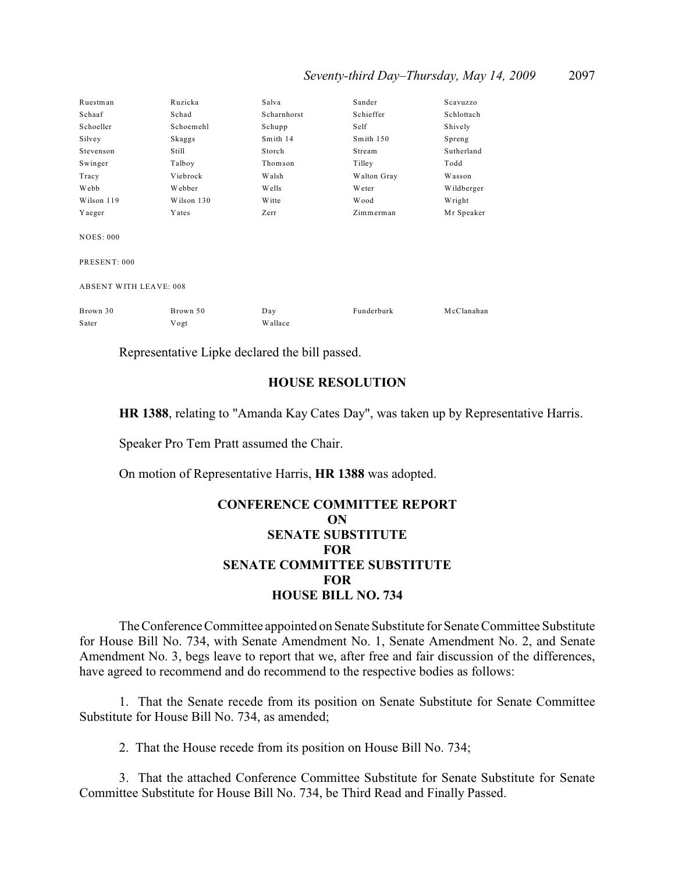| Seventy-third Day-Thursday, May 14, 2009 |  |  |  |  |  | 2097 |
|------------------------------------------|--|--|--|--|--|------|
|------------------------------------------|--|--|--|--|--|------|

| Ruestman                      | Ruzicka    | Salva        | Sander      | Scavuzzo   |  |
|-------------------------------|------------|--------------|-------------|------------|--|
| Schaaf                        | Schad      | Scharnhorst  | Schieffer   | Schlottach |  |
| Schoeller                     | Schoemehl  | Schupp       | Self        | Shively    |  |
| Silvey                        | Skaggs     | Smith 14     | Smith 150   | Spreng     |  |
| Stevenson                     | Still      | Storch       | Stream      | Sutherland |  |
| Swinger                       | Talboy     | Thomson      | Tilley      | Todd       |  |
| Tracy                         | Viebrock   | <b>Walsh</b> | Walton Gray | Wasson     |  |
| Webb                          | Webber     | <b>Wells</b> | Weter       | Wildberger |  |
| Wilson 119                    | Wilson 130 | W itte       | Wood        | Wright     |  |
| Yaeger                        | Yates      | Zerr         | Zimmerman   | Mr Speaker |  |
| <b>NOES: 000</b>              |            |              |             |            |  |
| PRESENT: 000                  |            |              |             |            |  |
| <b>ABSENT WITH LEAVE: 008</b> |            |              |             |            |  |
| Brown 30                      | Brown 50   | Day          | Funderburk  | McClanahan |  |
| Sater                         | Vogt       | Wallace      |             |            |  |

Representative Lipke declared the bill passed.

### **HOUSE RESOLUTION**

**HR 1388**, relating to "Amanda Kay Cates Day", was taken up by Representative Harris.

Speaker Pro Tem Pratt assumed the Chair.

On motion of Representative Harris, **HR 1388** was adopted.

## **CONFERENCE COMMITTEE REPORT ON SENATE SUBSTITUTE FOR SENATE COMMITTEE SUBSTITUTE FOR HOUSE BILL NO. 734**

The Conference Committee appointed on Senate Substitute for Senate Committee Substitute for House Bill No. 734, with Senate Amendment No. 1, Senate Amendment No. 2, and Senate Amendment No. 3, begs leave to report that we, after free and fair discussion of the differences, have agreed to recommend and do recommend to the respective bodies as follows:

1. That the Senate recede from its position on Senate Substitute for Senate Committee Substitute for House Bill No. 734, as amended;

2. That the House recede from its position on House Bill No. 734;

3. That the attached Conference Committee Substitute for Senate Substitute for Senate Committee Substitute for House Bill No. 734, be Third Read and Finally Passed.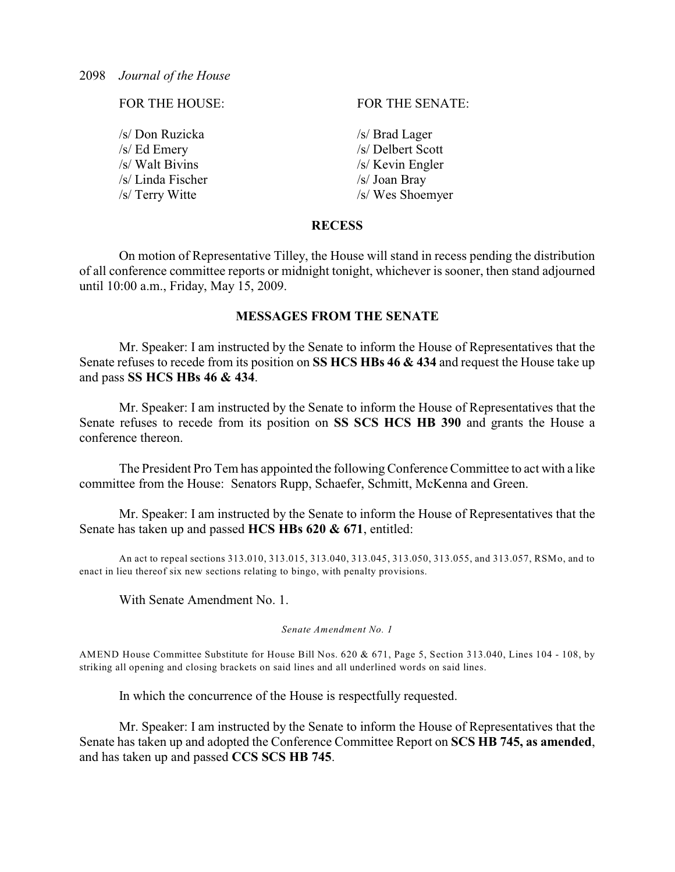/s/ Don Ruzicka /s/ Brad Lager /s/ Ed Emery /s/ Delbert Scott  $\sqrt{s}$  Walt Bivins  $\sqrt{s}$  Kevin Engler /s/ Linda Fischer /s/ Joan Bray

FOR THE HOUSE: FOR THE SENATE:

 $\sqrt{s}$  Terry Witte  $\sqrt{s}$  Wes Shoemyer

### **RECESS**

On motion of Representative Tilley, the House will stand in recess pending the distribution of all conference committee reports or midnight tonight, whichever is sooner, then stand adjourned until 10:00 a.m., Friday, May 15, 2009.

## **MESSAGES FROM THE SENATE**

Mr. Speaker: I am instructed by the Senate to inform the House of Representatives that the Senate refuses to recede from its position on **SS HCS HBs 46 & 434** and request the House take up and pass **SS HCS HBs 46 & 434**.

Mr. Speaker: I am instructed by the Senate to inform the House of Representatives that the Senate refuses to recede from its position on **SS SCS HCS HB 390** and grants the House a conference thereon.

The President Pro Tem has appointed the following Conference Committee to act with a like committee from the House: Senators Rupp, Schaefer, Schmitt, McKenna and Green.

Mr. Speaker: I am instructed by the Senate to inform the House of Representatives that the Senate has taken up and passed **HCS HBs 620 & 671**, entitled:

An act to repeal sections 313.010, 313.015, 313.040, 313.045, 313.050, 313.055, and 313.057, RSMo, and to enact in lieu thereof six new sections relating to bingo, with penalty provisions.

With Senate Amendment No. 1.

*Senate Amendment No. 1*

AMEND House Committee Substitute for House Bill Nos. 620 & 671, Page 5, Section 313.040, Lines 104 - 108, by striking all opening and closing brackets on said lines and all underlined words on said lines.

In which the concurrence of the House is respectfully requested.

Mr. Speaker: I am instructed by the Senate to inform the House of Representatives that the Senate has taken up and adopted the Conference Committee Report on **SCS HB 745, as amended**, and has taken up and passed **CCS SCS HB 745**.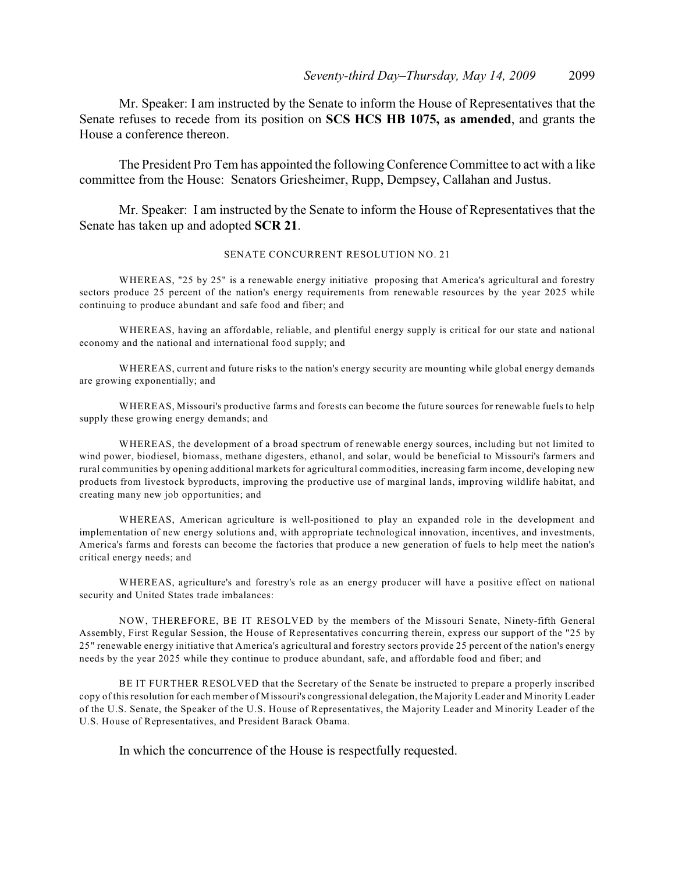Mr. Speaker: I am instructed by the Senate to inform the House of Representatives that the Senate refuses to recede from its position on **SCS HCS HB 1075, as amended**, and grants the House a conference thereon.

The President Pro Tem has appointed the following Conference Committee to act with a like committee from the House: Senators Griesheimer, Rupp, Dempsey, Callahan and Justus.

Mr. Speaker: I am instructed by the Senate to inform the House of Representatives that the Senate has taken up and adopted **SCR 21**.

#### SENATE CONCURRENT RESOLUTION NO. 21

WHEREAS, "25 by 25" is a renewable energy initiative proposing that America's agricultural and forestry sectors produce 25 percent of the nation's energy requirements from renewable resources by the year 2025 while continuing to produce abundant and safe food and fiber; and

WHEREAS, having an affordable, reliable, and plentiful energy supply is critical for our state and national economy and the national and international food supply; and

WHEREAS, current and future risks to the nation's energy security are mounting while global energy demands are growing exponentially; and

WHEREAS, Missouri's productive farms and forests can become the future sources for renewable fuels to help supply these growing energy demands; and

WHEREAS, the development of a broad spectrum of renewable energy sources, including but not limited to wind power, biodiesel, biomass, methane digesters, ethanol, and solar, would be beneficial to Missouri's farmers and rural communities by opening additional markets for agricultural commodities, increasing farm income, developing new products from livestock byproducts, improving the productive use of marginal lands, improving wildlife habitat, and creating many new job opportunities; and

WHEREAS, American agriculture is well-positioned to play an expanded role in the development and implementation of new energy solutions and, with appropriate technological innovation, incentives, and investments, America's farms and forests can become the factories that produce a new generation of fuels to help meet the nation's critical energy needs; and

WHEREAS, agriculture's and forestry's role as an energy producer will have a positive effect on national security and United States trade imbalances:

NOW, THEREFORE, BE IT RESOLVED by the members of the Missouri Senate, Ninety-fifth General Assembly, First Regular Session, the House of Representatives concurring therein, express our support of the "25 by 25" renewable energy initiative that America's agricultural and forestry sectors provide 25 percent of the nation's energy needs by the year 2025 while they continue to produce abundant, safe, and affordable food and fiber; and

BE IT FURTHER RESOLVED that the Secretary of the Senate be instructed to prepare a properly inscribed copy of this resolution for each member of Missouri's congressional delegation, the Majority Leader and Minority Leader of the U.S. Senate, the Speaker of the U.S. House of Representatives, the Majority Leader and Minority Leader of the U.S. House of Representatives, and President Barack Obama.

In which the concurrence of the House is respectfully requested.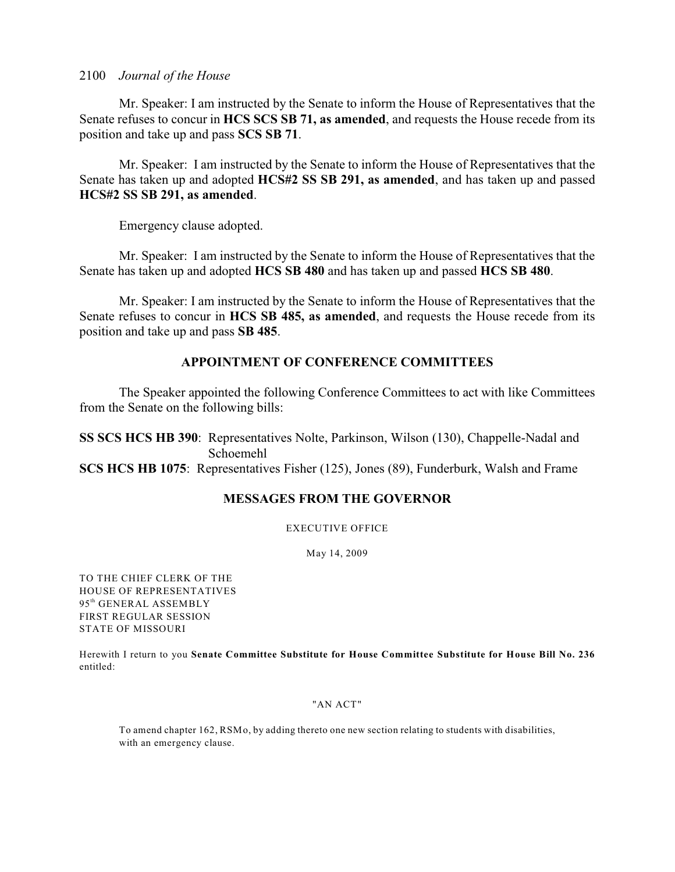Mr. Speaker: I am instructed by the Senate to inform the House of Representatives that the Senate refuses to concur in **HCS SCS SB 71, as amended**, and requests the House recede from its position and take up and pass **SCS SB 71**.

Mr. Speaker: I am instructed by the Senate to inform the House of Representatives that the Senate has taken up and adopted **HCS#2 SS SB 291, as amended**, and has taken up and passed **HCS#2 SS SB 291, as amended**.

Emergency clause adopted.

Mr. Speaker: I am instructed by the Senate to inform the House of Representatives that the Senate has taken up and adopted **HCS SB 480** and has taken up and passed **HCS SB 480**.

Mr. Speaker: I am instructed by the Senate to inform the House of Representatives that the Senate refuses to concur in **HCS SB 485, as amended**, and requests the House recede from its position and take up and pass **SB 485**.

## **APPOINTMENT OF CONFERENCE COMMITTEES**

The Speaker appointed the following Conference Committees to act with like Committees from the Senate on the following bills:

**SS SCS HCS HB 390**: Representatives Nolte, Parkinson, Wilson (130), Chappelle-Nadal and Schoemehl **SCS HCS HB 1075**: Representatives Fisher (125), Jones (89), Funderburk, Walsh and Frame

## **MESSAGES FROM THE GOVERNOR**

EXECUTIVE OFFICE

May 14, 2009

TO THE CHIEF CLERK OF THE HOUSE OF REPRESENTATIVES 95<sup>th</sup> GENERAL ASSEMBLY FIRST REGULAR SESSION STATE OF MISSOURI

Herewith I return to you **Senate Committee Substitute for House Committee Substitute for House Bill No. 236** entitled:

#### "AN ACT"

To amend chapter 162, RSMo, by adding thereto one new section relating to students with disabilities, with an emergency clause.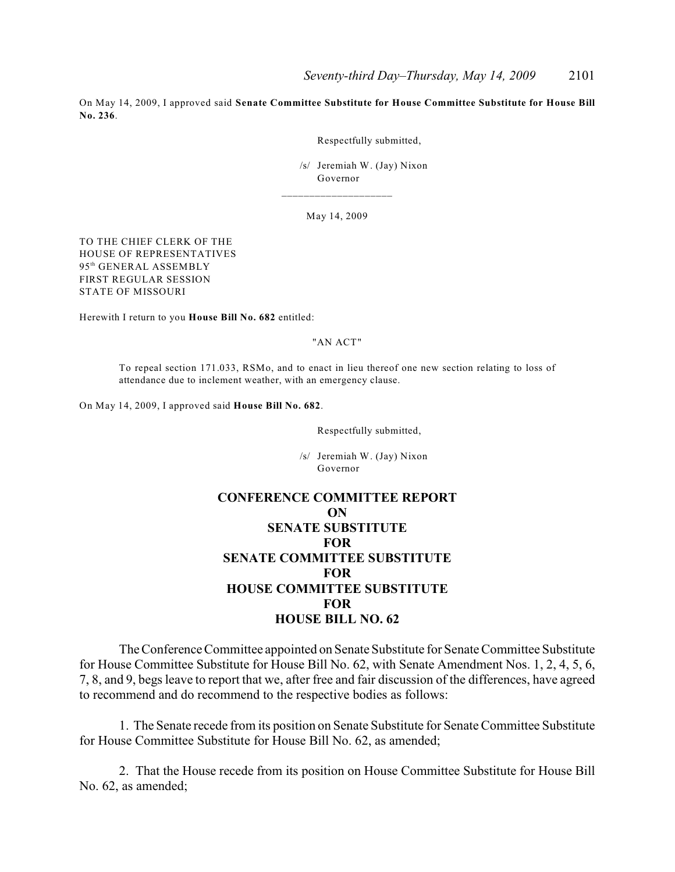On May 14, 2009, I approved said **Senate Committee Substitute for House Committee Substitute for House Bill No. 236**.

Respectfully submitted,

 /s/ Jeremiah W. (Jay) Nixon Governor

May 14, 2009

\_\_\_\_\_\_\_\_\_\_\_\_\_\_\_\_\_\_\_\_

TO THE CHIEF CLERK OF THE HOUSE OF REPRESENTATIVES 95<sup>th</sup> GENERAL ASSEMBLY FIRST REGULAR SESSION STATE OF MISSOURI

Herewith I return to you **House Bill No. 682** entitled:

#### "AN ACT"

To repeal section 171.033, RSMo, and to enact in lieu thereof one new section relating to loss of attendance due to inclement weather, with an emergency clause.

On May 14, 2009, I approved said **House Bill No. 682**.

Respectfully submitted,

 /s/ Jeremiah W. (Jay) Nixon Governor

## **CONFERENCE COMMITTEE REPORT ON SENATE SUBSTITUTE FOR SENATE COMMITTEE SUBSTITUTE FOR HOUSE COMMITTEE SUBSTITUTE FOR HOUSE BILL NO. 62**

The Conference Committee appointed on Senate Substitute for Senate Committee Substitute for House Committee Substitute for House Bill No. 62, with Senate Amendment Nos. 1, 2, 4, 5, 6, 7, 8, and 9, begs leave to report that we, after free and fair discussion of the differences, have agreed to recommend and do recommend to the respective bodies as follows:

1. The Senate recede from its position on Senate Substitute for Senate Committee Substitute for House Committee Substitute for House Bill No. 62, as amended;

2. That the House recede from its position on House Committee Substitute for House Bill No. 62, as amended;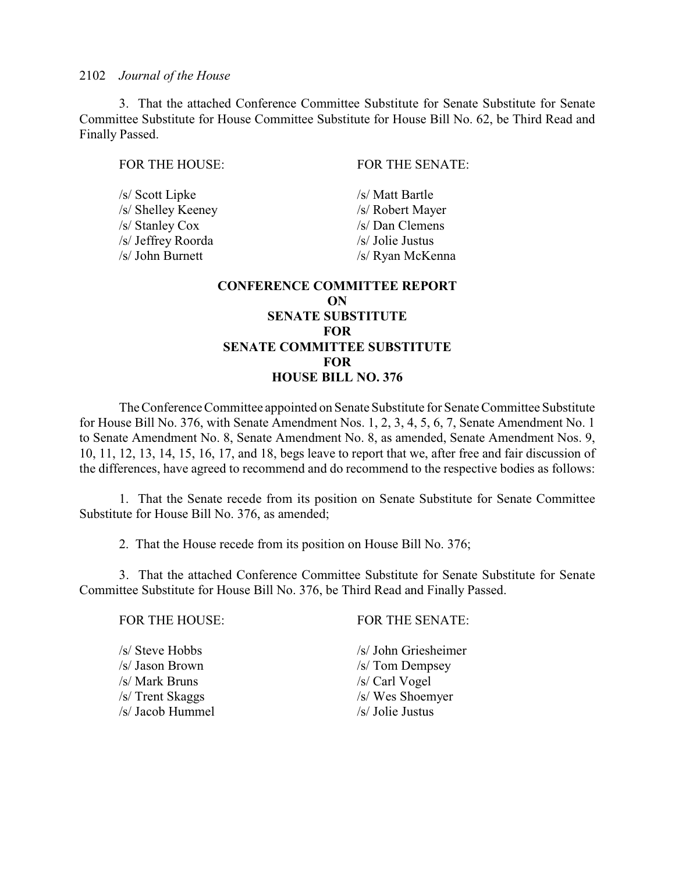3. That the attached Conference Committee Substitute for Senate Substitute for Senate Committee Substitute for House Committee Substitute for House Bill No. 62, be Third Read and Finally Passed.

/s/ Scott Lipke /s/ Matt Bartle /s/ Shelley Keeney /s/ Robert Mayer /s/ Stanley Cox /s/ Dan Clemens /s/ Jeffrey Roorda /s/ Jolie Justus

FOR THE HOUSE: FOR THE SENATE:

/s/ John Burnett /s/ Ryan McKenna

## **CONFERENCE COMMITTEE REPORT ON SENATE SUBSTITUTE FOR SENATE COMMITTEE SUBSTITUTE FOR HOUSE BILL NO. 376**

The Conference Committee appointed on Senate Substitute for Senate Committee Substitute for House Bill No. 376, with Senate Amendment Nos. 1, 2, 3, 4, 5, 6, 7, Senate Amendment No. 1 to Senate Amendment No. 8, Senate Amendment No. 8, as amended, Senate Amendment Nos. 9, 10, 11, 12, 13, 14, 15, 16, 17, and 18, begs leave to report that we, after free and fair discussion of the differences, have agreed to recommend and do recommend to the respective bodies as follows:

1. That the Senate recede from its position on Senate Substitute for Senate Committee Substitute for House Bill No. 376, as amended;

2. That the House recede from its position on House Bill No. 376;

3. That the attached Conference Committee Substitute for Senate Substitute for Senate Committee Substitute for House Bill No. 376, be Third Read and Finally Passed.

FOR THE HOUSE: FOR THE SENATE: /s/ Steve Hobbs /s/ John Griesheimer /s/ Jason Brown /s/ Tom Dempsey /s/ Mark Bruns /s/ Carl Vogel /s/ Trent Skaggs /s/ Wes Shoemyer /s/ Jacob Hummel /s/ Jolie Justus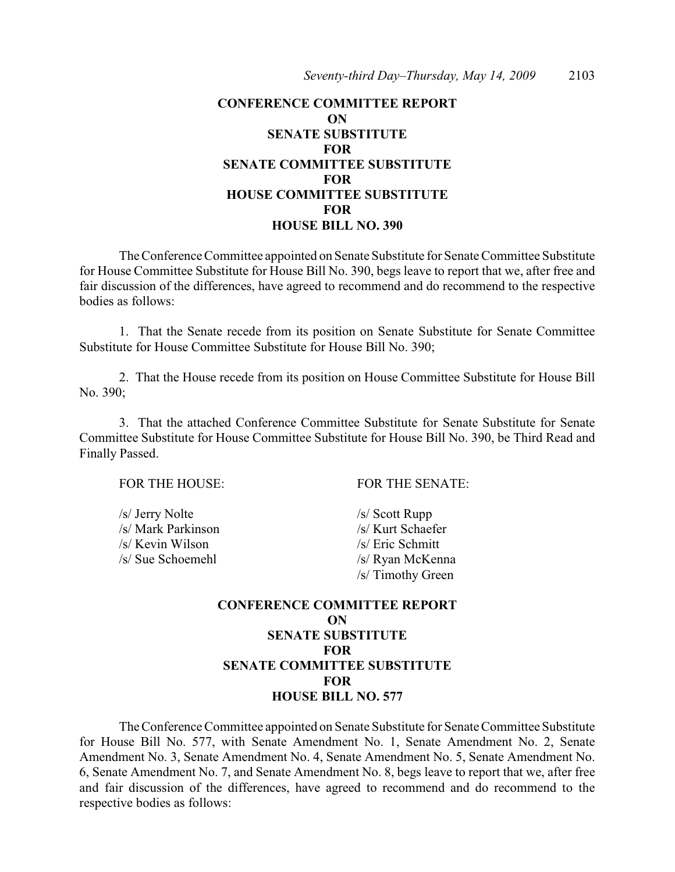## **CONFERENCE COMMITTEE REPORT ON SENATE SUBSTITUTE FOR SENATE COMMITTEE SUBSTITUTE FOR HOUSE COMMITTEE SUBSTITUTE FOR HOUSE BILL NO. 390**

The Conference Committee appointed on Senate Substitute for Senate Committee Substitute for House Committee Substitute for House Bill No. 390, begs leave to report that we, after free and fair discussion of the differences, have agreed to recommend and do recommend to the respective bodies as follows:

1. That the Senate recede from its position on Senate Substitute for Senate Committee Substitute for House Committee Substitute for House Bill No. 390;

2. That the House recede from its position on House Committee Substitute for House Bill No. 390;

3. That the attached Conference Committee Substitute for Senate Substitute for Senate Committee Substitute for House Committee Substitute for House Bill No. 390, be Third Read and Finally Passed.

/s/ Jerry Nolte /s/ Scott Rupp /s/ Mark Parkinson /s/ Kurt Schaefer /s/ Kevin Wilson /s/ Eric Schmitt /s/ Sue Schoemehl /s/ Ryan McKenna

FOR THE HOUSE: FOR THE SENATE:

/s/ Timothy Green

## **CONFERENCE COMMITTEE REPORT ON SENATE SUBSTITUTE FOR SENATE COMMITTEE SUBSTITUTE FOR HOUSE BILL NO. 577**

The Conference Committee appointed on Senate Substitute for Senate Committee Substitute for House Bill No. 577, with Senate Amendment No. 1, Senate Amendment No. 2, Senate Amendment No. 3, Senate Amendment No. 4, Senate Amendment No. 5, Senate Amendment No. 6, Senate Amendment No. 7, and Senate Amendment No. 8, begs leave to report that we, after free and fair discussion of the differences, have agreed to recommend and do recommend to the respective bodies as follows: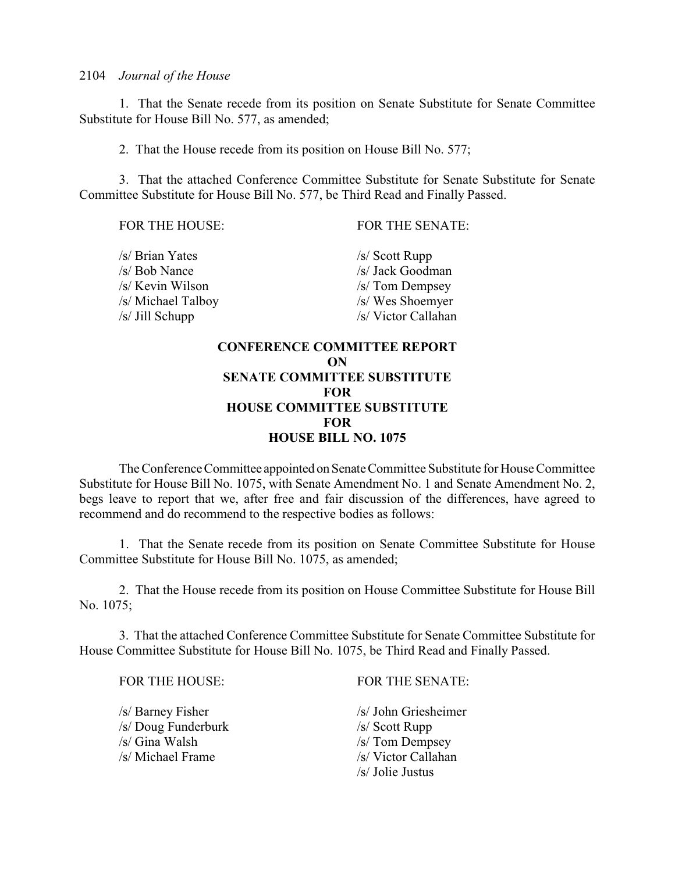1. That the Senate recede from its position on Senate Substitute for Senate Committee Substitute for House Bill No. 577, as amended;

2. That the House recede from its position on House Bill No. 577;

3. That the attached Conference Committee Substitute for Senate Substitute for Senate Committee Substitute for House Bill No. 577, be Third Read and Finally Passed.

FOR THE HOUSE: FOR THE SENATE:

| /s/ Brian Yates    | $/s/$ Scott Rupp    |
|--------------------|---------------------|
| /s/ Bob Nance      | /s/ Jack Goodman    |
| /s/ Kevin Wilson   | $/s/$ Tom Dempsey   |
| /s/ Michael Talboy | /s/ Wes Shoemyer    |
| s/ Jill Schupp     | /s/ Victor Callahan |
|                    |                     |

## **CONFERENCE COMMITTEE REPORT ON SENATE COMMITTEE SUBSTITUTE FOR HOUSE COMMITTEE SUBSTITUTE FOR HOUSE BILL NO. 1075**

The Conference Committee appointed on Senate Committee Substitute for House Committee Substitute for House Bill No. 1075, with Senate Amendment No. 1 and Senate Amendment No. 2, begs leave to report that we, after free and fair discussion of the differences, have agreed to recommend and do recommend to the respective bodies as follows:

1. That the Senate recede from its position on Senate Committee Substitute for House Committee Substitute for House Bill No. 1075, as amended;

2. That the House recede from its position on House Committee Substitute for House Bill No. 1075;

3. That the attached Conference Committee Substitute for Senate Committee Substitute for House Committee Substitute for House Bill No. 1075, be Third Read and Finally Passed.

/s/ Barney Fisher /s/ John Griesheimer /s/ Doug Funderburk /s/ Scott Rupp /s/ Gina Walsh /s/ Tom Dempsey /s/ Michael Frame /s/ Victor Callahan

FOR THE HOUSE: FOR THE SENATE:

/s/ Jolie Justus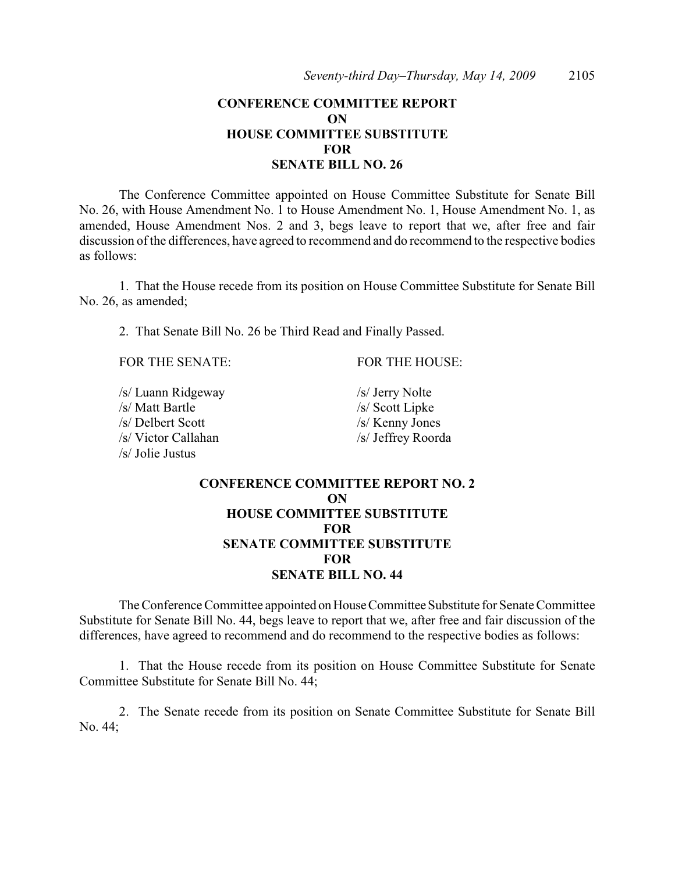## **CONFERENCE COMMITTEE REPORT ON HOUSE COMMITTEE SUBSTITUTE FOR SENATE BILL NO. 26**

The Conference Committee appointed on House Committee Substitute for Senate Bill No. 26, with House Amendment No. 1 to House Amendment No. 1, House Amendment No. 1, as amended, House Amendment Nos. 2 and 3, begs leave to report that we, after free and fair discussion of the differences, have agreed to recommend and do recommend to the respective bodies as follows:

1. That the House recede from its position on House Committee Substitute for Senate Bill No. 26, as amended;

2. That Senate Bill No. 26 be Third Read and Finally Passed.

FOR THE SENATE: FOR THE HOUSE:

/s/ Luann Ridgeway /s/ Jerry Nolte<br>/s/ Matt Bartle /s/ Scott Linke /s/ Delbert Scott /s/ Kenny Jones /s/ Victor Callahan /s/ Jeffrey Roorda /s/ Jolie Justus

 $/s/$  Scott Lipke

## **CONFERENCE COMMITTEE REPORT NO. 2 ON HOUSE COMMITTEE SUBSTITUTE FOR SENATE COMMITTEE SUBSTITUTE FOR SENATE BILL NO. 44**

The Conference Committee appointed on House Committee Substitute for Senate Committee Substitute for Senate Bill No. 44, begs leave to report that we, after free and fair discussion of the differences, have agreed to recommend and do recommend to the respective bodies as follows:

1. That the House recede from its position on House Committee Substitute for Senate Committee Substitute for Senate Bill No. 44;

2. The Senate recede from its position on Senate Committee Substitute for Senate Bill No. 44;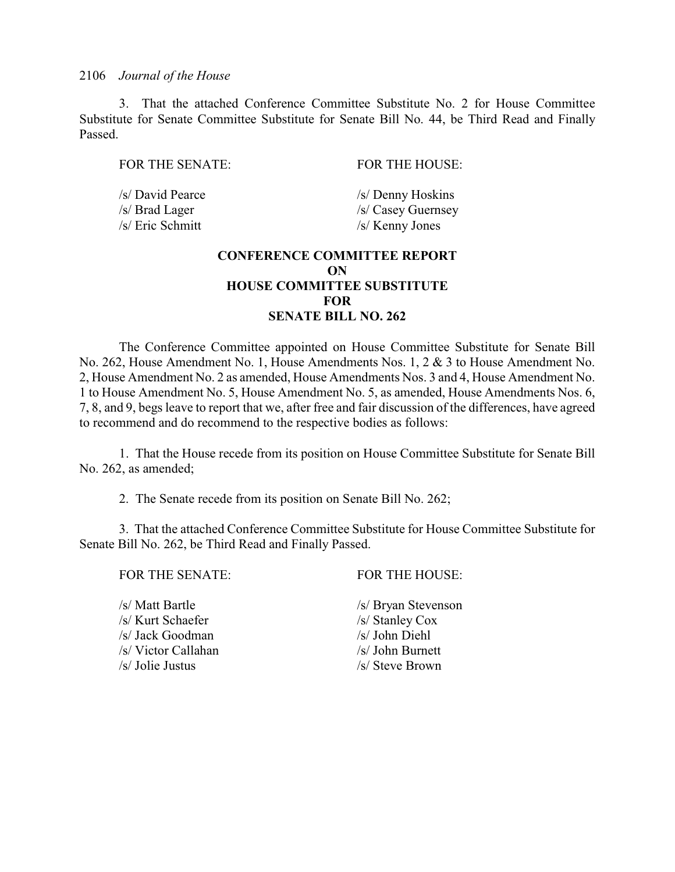3. That the attached Conference Committee Substitute No. 2 for House Committee Substitute for Senate Committee Substitute for Senate Bill No. 44, be Third Read and Finally Passed.

FOR THE SENATE: FOR THE HOUSE:

/s/ Eric Schmitt /s/ Kenny Jones

/s/ David Pearce /s/ Denny Hoskins /s/ Brad Lager /s/ Casey Guernsey

## **CONFERENCE COMMITTEE REPORT ON HOUSE COMMITTEE SUBSTITUTE FOR SENATE BILL NO. 262**

The Conference Committee appointed on House Committee Substitute for Senate Bill No. 262, House Amendment No. 1, House Amendments Nos. 1, 2 & 3 to House Amendment No. 2, House Amendment No. 2 as amended, House Amendments Nos. 3 and 4, House Amendment No. 1 to House Amendment No. 5, House Amendment No. 5, as amended, House Amendments Nos. 6, 7, 8, and 9, begs leave to report that we, after free and fair discussion of the differences, have agreed to recommend and do recommend to the respective bodies as follows:

1. That the House recede from its position on House Committee Substitute for Senate Bill No. 262, as amended;

2. The Senate recede from its position on Senate Bill No. 262;

3. That the attached Conference Committee Substitute for House Committee Substitute for Senate Bill No. 262, be Third Read and Finally Passed.

FOR THE SENATE: FOR THE HOUSE:

/s/ Matt Bartle /s/ Bryan Stevenson /s/ Kurt Schaefer /s/ Stanley Cox /s/ Jack Goodman /s/ John Diehl /s/ Victor Callahan /s/ John Burnett /s/ Jolie Justus /s/ Steve Brown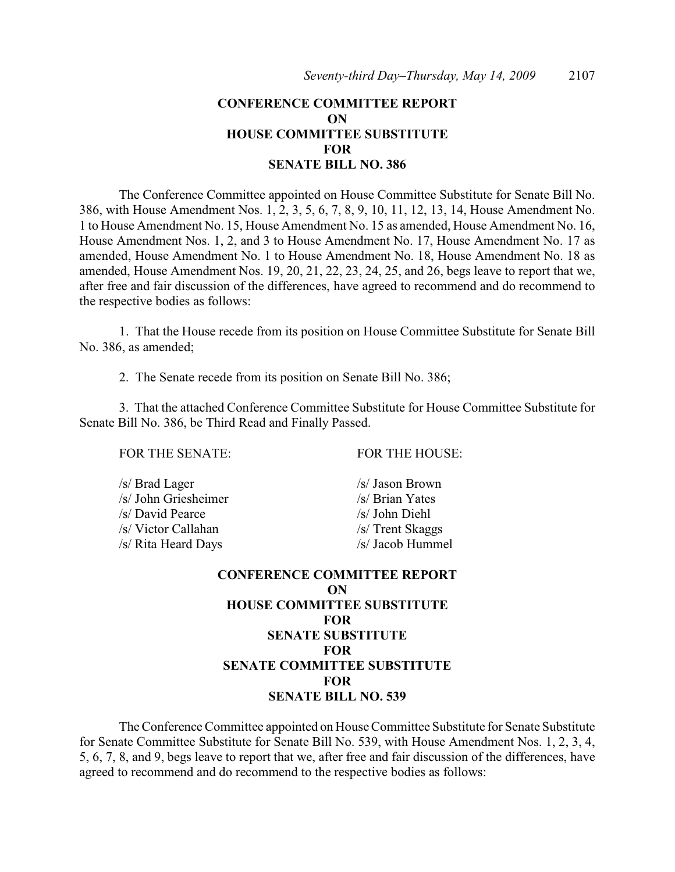## **CONFERENCE COMMITTEE REPORT ON HOUSE COMMITTEE SUBSTITUTE FOR SENATE BILL NO. 386**

The Conference Committee appointed on House Committee Substitute for Senate Bill No. 386, with House Amendment Nos. 1, 2, 3, 5, 6, 7, 8, 9, 10, 11, 12, 13, 14, House Amendment No. 1 to House Amendment No. 15, House Amendment No. 15 as amended, House Amendment No. 16, House Amendment Nos. 1, 2, and 3 to House Amendment No. 17, House Amendment No. 17 as amended, House Amendment No. 1 to House Amendment No. 18, House Amendment No. 18 as amended, House Amendment Nos. 19, 20, 21, 22, 23, 24, 25, and 26, begs leave to report that we, after free and fair discussion of the differences, have agreed to recommend and do recommend to the respective bodies as follows:

1. That the House recede from its position on House Committee Substitute for Senate Bill No. 386, as amended;

2. The Senate recede from its position on Senate Bill No. 386;

3. That the attached Conference Committee Substitute for House Committee Substitute for Senate Bill No. 386, be Third Read and Finally Passed.

FOR THE SENATE: FOR THE HOUSE:

/s/ Brad Lager /s/ Jason Brown /s/ John Griesheimer /s/ Brian Yates /s/ David Pearce /s/ John Diehl /s/ Victor Callahan /s/ Trent Skaggs /s/ Rita Heard Days /s/ Jacob Hummel

**CONFERENCE COMMITTEE REPORT ON HOUSE COMMITTEE SUBSTITUTE FOR SENATE SUBSTITUTE FOR SENATE COMMITTEE SUBSTITUTE FOR SENATE BILL NO. 539**

The Conference Committee appointed on House Committee Substitute for Senate Substitute for Senate Committee Substitute for Senate Bill No. 539, with House Amendment Nos. 1, 2, 3, 4, 5, 6, 7, 8, and 9, begs leave to report that we, after free and fair discussion of the differences, have agreed to recommend and do recommend to the respective bodies as follows: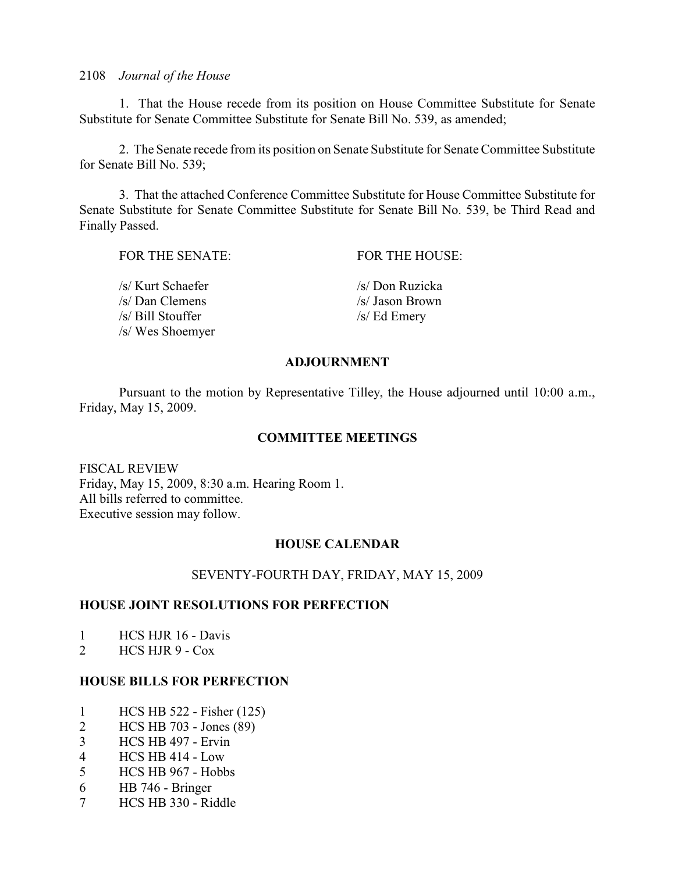1. That the House recede from its position on House Committee Substitute for Senate Substitute for Senate Committee Substitute for Senate Bill No. 539, as amended;

2. The Senate recede from its position on Senate Substitute for Senate Committee Substitute for Senate Bill No. 539;

3. That the attached Conference Committee Substitute for House Committee Substitute for Senate Substitute for Senate Committee Substitute for Senate Bill No. 539, be Third Read and Finally Passed.

| FOR THE SENATE:   | FOR THE HOUSE:  |
|-------------------|-----------------|
| /s/ Kurt Schaefer | /s/ Don Ruzicka |
| /s/ Dan Clemens   | /s/ Jason Brown |
| /s/ Bill Stouffer | $/s/Ed$ Emery   |
| /s/ Wes Shoemyer  |                 |

## **ADJOURNMENT**

Pursuant to the motion by Representative Tilley, the House adjourned until 10:00 a.m., Friday, May 15, 2009.

## **COMMITTEE MEETINGS**

FISCAL REVIEW Friday, May 15, 2009, 8:30 a.m. Hearing Room 1. All bills referred to committee. Executive session may follow.

## **HOUSE CALENDAR**

### SEVENTY-FOURTH DAY, FRIDAY, MAY 15, 2009

### **HOUSE JOINT RESOLUTIONS FOR PERFECTION**

- 1 HCS HJR 16 Davis
- 2 HCS HJR 9 Cox

## **HOUSE BILLS FOR PERFECTION**

- 1 HCS HB 522 Fisher (125)
- 2 HCS HB 703 Jones (89)
- 3 HCS HB 497 Ervin
- 4 HCS HB 414 Low
- 5 HCS HB 967 Hobbs
- 6 HB 746 Bringer
- 7 HCS HB 330 Riddle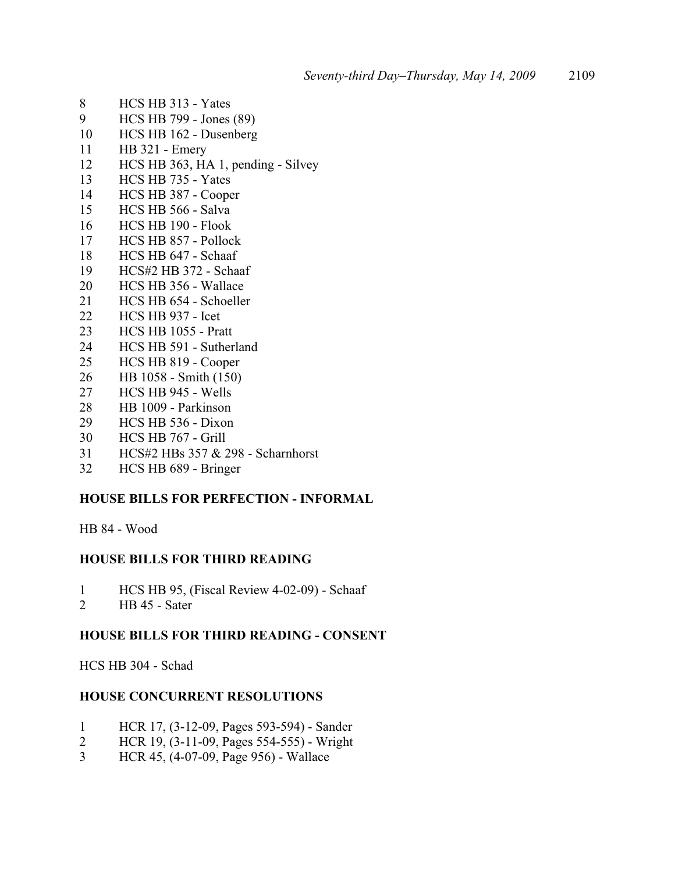- HCS HB 313 Yates
- HCS HB 799 Jones (89)
- HCS HB 162 Dusenberg
- HB 321 Emery
- HCS HB 363, HA 1, pending Silvey
- HCS HB 735 Yates
- HCS HB 387 Cooper
- HCS HB 566 Salva
- HCS HB 190 Flook
- HCS HB 857 Pollock
- HCS HB 647 Schaaf
- HCS#2 HB 372 Schaaf
- HCS HB 356 Wallace
- 21 HCS HB 654 Schoeller
- HCS HB 937 Icet
- HCS HB 1055 Pratt
- HCS HB 591 Sutherland
- HCS HB 819 Cooper
- HB 1058 Smith (150)
- HCS HB 945 Wells
- HB 1009 Parkinson
- HCS HB 536 Dixon
- HCS HB 767 Grill
- HCS#2 HBs 357 & 298 Scharnhorst
- HCS HB 689 Bringer

## **HOUSE BILLS FOR PERFECTION - INFORMAL**

HB 84 - Wood

## **HOUSE BILLS FOR THIRD READING**

- HCS HB 95, (Fiscal Review 4-02-09) Schaaf
- HB 45 Sater

## **HOUSE BILLS FOR THIRD READING - CONSENT**

HCS HB 304 - Schad

### **HOUSE CONCURRENT RESOLUTIONS**

- HCR 17, (3-12-09, Pages 593-594) Sander
- HCR 19, (3-11-09, Pages 554-555) Wright
- HCR 45, (4-07-09, Page 956) Wallace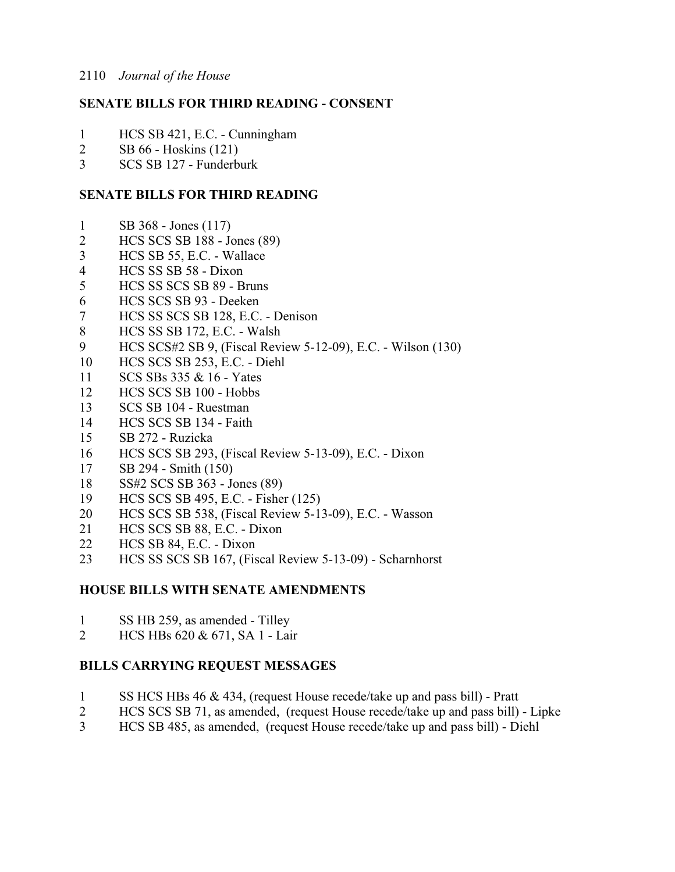## **SENATE BILLS FOR THIRD READING - CONSENT**

- HCS SB 421, E.C. Cunningham
- SB 66 Hoskins (121)
- SCS SB 127 Funderburk

## **SENATE BILLS FOR THIRD READING**

- SB 368 Jones (117)
- HCS SCS SB 188 Jones (89)
- HCS SB 55, E.C. Wallace
- HCS SS SB 58 Dixon
- HCS SS SCS SB 89 Bruns
- HCS SCS SB 93 Deeken
- HCS SS SCS SB 128, E.C. Denison
- HCS SS SB 172, E.C. Walsh
- HCS SCS#2 SB 9, (Fiscal Review 5-12-09), E.C. Wilson (130)
- HCS SCS SB 253, E.C. Diehl
- SCS SBs 335 & 16 Yates
- HCS SCS SB 100 Hobbs
- SCS SB 104 Ruestman
- HCS SCS SB 134 Faith
- SB 272 Ruzicka
- HCS SCS SB 293, (Fiscal Review 5-13-09), E.C. Dixon
- SB 294 Smith (150)
- SS#2 SCS SB 363 Jones (89)
- HCS SCS SB 495, E.C. Fisher (125)
- HCS SCS SB 538, (Fiscal Review 5-13-09), E.C. Wasson
- HCS SCS SB 88, E.C. Dixon
- HCS SB 84, E.C. Dixon
- HCS SS SCS SB 167, (Fiscal Review 5-13-09) Scharnhorst

## **HOUSE BILLS WITH SENATE AMENDMENTS**

- SS HB 259, as amended Tilley
- HCS HBs 620 & 671, SA 1 Lair

## **BILLS CARRYING REQUEST MESSAGES**

- SS HCS HBs 46 & 434, (request House recede/take up and pass bill) Pratt
- HCS SCS SB 71, as amended, (request House recede/take up and pass bill) Lipke
- HCS SB 485, as amended, (request House recede/take up and pass bill) Diehl